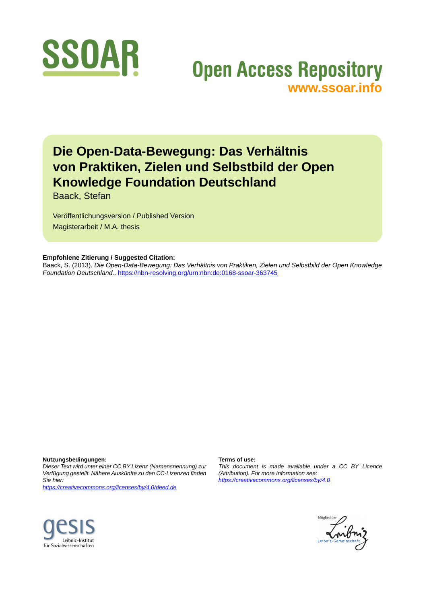

# **Open Access Repository [www.ssoar.info](http://www.ssoar.info)**

# **Die Open-Data-Bewegung: Das Verhältnis von Praktiken, Zielen und Selbstbild der Open Knowledge Foundation Deutschland**

Baack, Stefan

Veröffentlichungsversion / Published Version Magisterarbeit / M.A. thesis

#### **Empfohlene Zitierung / Suggested Citation:**

Baack, S. (2013). *Die Open-Data-Bewegung: Das Verhältnis von Praktiken, Zielen und Selbstbild der Open Knowledge Foundation Deutschland.*. <https://nbn-resolving.org/urn:nbn:de:0168-ssoar-363745>

**Nutzungsbedingungen:**

*Dieser Text wird unter einer CC BY Lizenz (Namensnennung) zur Verfügung gestellt. Nähere Auskünfte zu den CC-Lizenzen finden Sie hier:*

*<https://creativecommons.org/licenses/by/4.0/deed.de>*

#### **Terms of use:**

*This document is made available under a CC BY Licence (Attribution). For more Information see: <https://creativecommons.org/licenses/by/4.0>*



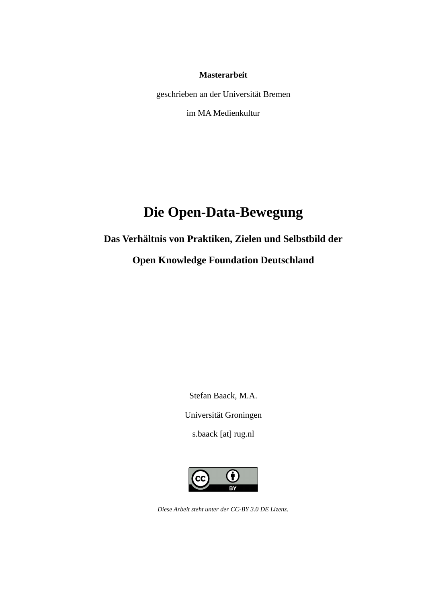### **Masterarbeit**

geschrieben an der Universität Bremen

im MA Medienkultur

# **Die Open-Data-Bewegung**

## **Das Verhältnis von Praktiken, Zielen und Selbstbild der**

## **Open Knowledge Foundation Deutschland**

Stefan Baack, M.A.

Universität Groningen

s.baack [at] rug.nl



*Diese Arbeit steht unter der [CC-BY 3.0 DE Lizenz.](https://creativecommons.org/licenses/by/3.0/de/)*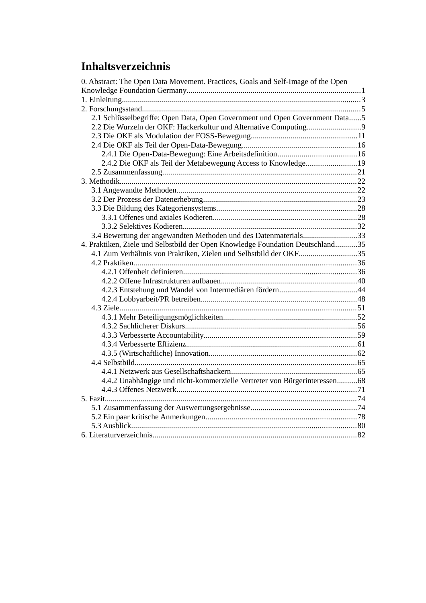# **Inhaltsverzeichnis**

| 0. Abstract: The Open Data Movement. Practices, Goals and Self-Image of the Open |  |
|----------------------------------------------------------------------------------|--|
|                                                                                  |  |
|                                                                                  |  |
|                                                                                  |  |
| 2.1 Schlüsselbegriffe: Open Data, Open Government und Open Government Data5      |  |
| 2.2 Die Wurzeln der OKF: Hackerkultur und Alternative Computing9                 |  |
|                                                                                  |  |
|                                                                                  |  |
|                                                                                  |  |
| 2.4.2 Die OKF als Teil der Metabewegung Access to Knowledge19                    |  |
|                                                                                  |  |
|                                                                                  |  |
|                                                                                  |  |
|                                                                                  |  |
|                                                                                  |  |
|                                                                                  |  |
|                                                                                  |  |
| 3.4 Bewertung der angewandten Methoden und des Datenmaterials33                  |  |
| 4. Praktiken, Ziele und Selbstbild der Open Knowledge Foundation Deutschland35   |  |
| 4.1 Zum Verhältnis von Praktiken, Zielen und Selbstbild der OKF35                |  |
|                                                                                  |  |
|                                                                                  |  |
|                                                                                  |  |
|                                                                                  |  |
|                                                                                  |  |
|                                                                                  |  |
|                                                                                  |  |
|                                                                                  |  |
|                                                                                  |  |
|                                                                                  |  |
|                                                                                  |  |
|                                                                                  |  |
|                                                                                  |  |
| 4.4.2 Unabhängige und nicht-kommerzielle Vertreter von Bürgerinteressen68        |  |
|                                                                                  |  |
|                                                                                  |  |
|                                                                                  |  |
|                                                                                  |  |
|                                                                                  |  |
|                                                                                  |  |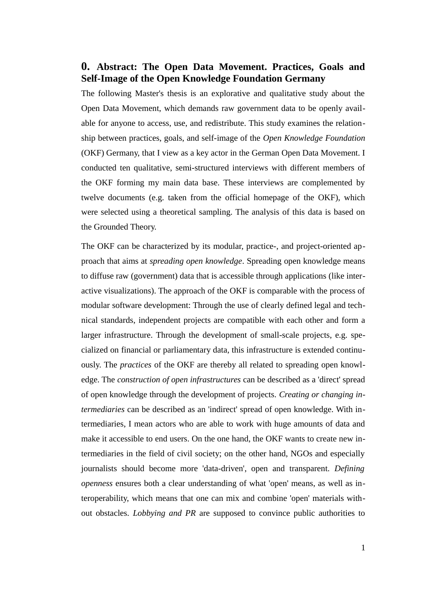## <span id="page-3-0"></span>**0. Abstract: The Open Data Movement. Practices, Goals and Self-Image of the Open Knowledge Foundation Germany**

The following Master's thesis is an explorative and qualitative study about the Open Data Movement, which demands raw government data to be openly available for anyone to access, use, and redistribute. This study examines the relationship between practices, goals, and self-image of the *Open Knowledge Foundation* (OKF) Germany, that I view as a key actor in the German Open Data Movement. I conducted ten qualitative, semi-structured interviews with different members of the OKF forming my main data base. These interviews are complemented by twelve documents (e.g. taken from the official homepage of the OKF), which were selected using a theoretical sampling. The analysis of this data is based on the Grounded Theory.

The OKF can be characterized by its modular, practice-, and project-oriented approach that aims at *spreading open knowledge*. Spreading open knowledge means to diffuse raw (government) data that is accessible through applications (like interactive visualizations). The approach of the OKF is comparable with the process of modular software development: Through the use of clearly defined legal and technical standards, independent projects are compatible with each other and form a larger infrastructure. Through the development of small-scale projects, e.g. specialized on financial or parliamentary data, this infrastructure is extended continuously. The *practices* of the OKF are thereby all related to spreading open knowledge. The *construction of open infrastructures* can be described as a 'direct' spread of open knowledge through the development of projects. *Creating or changing intermediaries* can be described as an 'indirect' spread of open knowledge. With intermediaries, I mean actors who are able to work with huge amounts of data and make it accessible to end users. On the one hand, the OKF wants to create new intermediaries in the field of civil society; on the other hand, NGOs and especially journalists should become more 'data-driven', open and transparent. *Defining openness* ensures both a clear understanding of what 'open' means, as well as interoperability, which means that one can mix and combine 'open' materials without obstacles. *Lobbying and PR* are supposed to convince public authorities to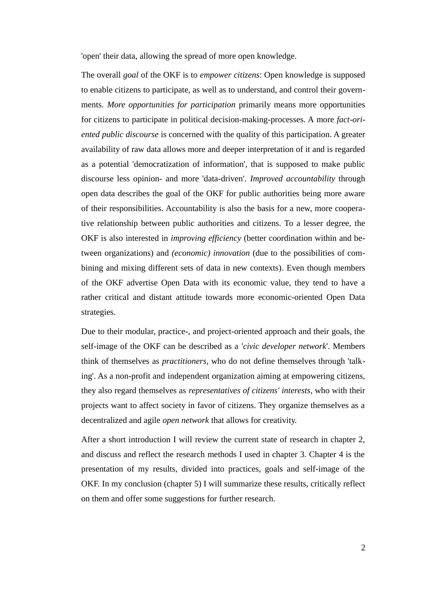'open' their data, allowing the spread of more open knowledge.

The overall *goal* of the OKF is to *empower citizens*: Open knowledge is supposed to enable citizens to participate, as well as to understand, and control their governments. *More opportunities for participation* primarily means more opportunities for citizens to participate in political decision-making-processes. A more *fact-oriented public discourse* is concerned with the quality of this participation. A greater availability of raw data allows more and deeper interpretation of it and is regarded as a potential 'democratization of information', that is supposed to make public discourse less opinion- and more 'data-driven'. *Improved accountability* through open data describes the goal of the OKF for public authorities being more aware of their responsibilities. Accountability is also the basis for a new, more cooperative relationship between public authorities and citizens. To a lesser degree, the OKF is also interested in *improving efficiency* (better coordination within and between organizations) and *(economic) innovation* (due to the possibilities of combining and mixing different sets of data in new contexts). Even though members of the OKF advertise Open Data with its economic value, they tend to have a rather critical and distant attitude towards more economic-oriented Open Data strategies.

Due to their modular, practice-, and project-oriented approach and their goals, the self-image of the OKF can be described as a '*civic developer network*'. Members think of themselves as *practitioners*, who do not define themselves through 'talking'. As a non-profit and independent organization aiming at empowering citizens, they also regard themselves as *representatives of citizens' interests*, who with their projects want to affect society in favor of citizens. They organize themselves as a decentralized and agile *open network* that allows for creativity.

After a short introduction I will review the current state of research in chapter 2, and discuss and reflect the research methods I used in chapter 3. Chapter 4 is the presentation of my results, divided into practices, goals and self-image of the OKF. In my conclusion (chapter 5) I will summarize these results, critically reflect on them and offer some suggestions for further research.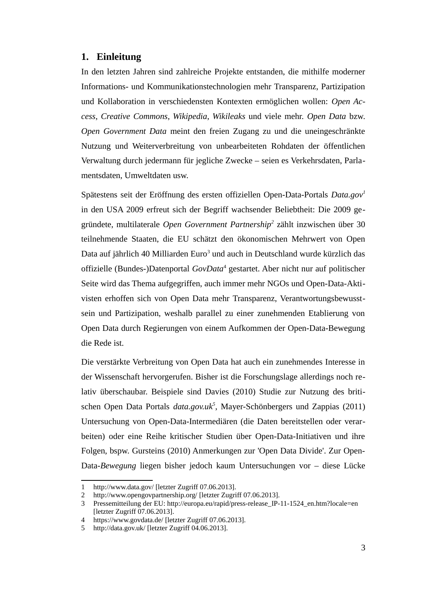#### <span id="page-5-0"></span>**1. Einleitung**

In den letzten Jahren sind zahlreiche Projekte entstanden, die mithilfe moderner Informations- und Kommunikationstechnologien mehr Transparenz, Partizipation und Kollaboration in verschiedensten Kontexten ermöglichen wollen: *Open Access*, *Creative Commons*, *Wikipedia*, *Wikileaks* und viele mehr. *Open Data* bzw. *Open Government Data* meint den freien Zugang zu und die uneingeschränkte Nutzung und Weiterverbreitung von unbearbeiteten Rohdaten der öffentlichen Verwaltung durch jedermann für jegliche Zwecke – seien es Verkehrsdaten, Parlamentsdaten, Umweltdaten usw.

Spätestens seit der Eröffnung des ersten offiziellen Open-Data-Portals *Data.gov[1](#page-5-1)* in den USA 2009 erfreut sich der Begriff wachsender Beliebtheit: Die 2009 gegründete, multilaterale *Open Government Partnership[2](#page-5-2)* zählt inzwischen über 30 teilnehmende Staaten, die EU schätzt den ökonomischen Mehrwert von Open Data auf jährlich 40 Milliarden Euro<sup>[3](#page-5-3)</sup> und auch in Deutschland wurde kürzlich das offizielle (Bundes-)Datenportal *GovData<sup>[4](#page-5-4)</sup>* gestartet. Aber nicht nur auf politischer Seite wird das Thema aufgegriffen, auch immer mehr NGOs und Open-Data-Aktivisten erhoffen sich von Open Data mehr Transparenz, Verantwortungsbewusstsein und Partizipation, weshalb parallel zu einer zunehmenden Etablierung von Open Data durch Regierungen von einem Aufkommen der Open-Data-Bewegung die Rede ist.

Die verstärkte Verbreitung von Open Data hat auch ein zunehmendes Interesse in der Wissenschaft hervorgerufen. Bisher ist die Forschungslage allerdings noch relativ überschaubar. Beispiele sind Davies (2010) Studie zur Nutzung des britischen Open Data Portals *data.gov.uk[5](#page-5-5)* , Mayer-Schönbergers und Zappias (2011) Untersuchung von Open-Data-Intermediären (die Daten bereitstellen oder verarbeiten) oder eine Reihe kritischer Studien über Open-Data-Initiativen und ihre Folgen, bspw. Gursteins (2010) Anmerkungen zur 'Open Data Divide'. Zur Open-Data-*Bewegung* liegen bisher jedoch kaum Untersuchungen vor – diese Lücke

<span id="page-5-1"></span><sup>1</sup> <http://www.data.gov/>[letzter Zugriff 07.06.2013].

<span id="page-5-2"></span><sup>2</sup> <http://www.opengovpartnership.org/>[letzter Zugriff 07.06.2013].

<span id="page-5-3"></span><sup>3</sup> Pressemitteilung der EU: [http://europa.eu/rapid/press-release\\_IP-11-1524\\_en.htm?locale=en](http://europa.eu/rapid/press-release_IP-11-1524_en.htm?locale=en) [letzter Zugriff 07.06.2013].

<span id="page-5-4"></span><sup>4</sup> <https://www.govdata.de/>[letzter Zugriff 07.06.2013].

<span id="page-5-5"></span><sup>5</sup> <http://data.gov.uk/>[letzter Zugriff 04.06.2013].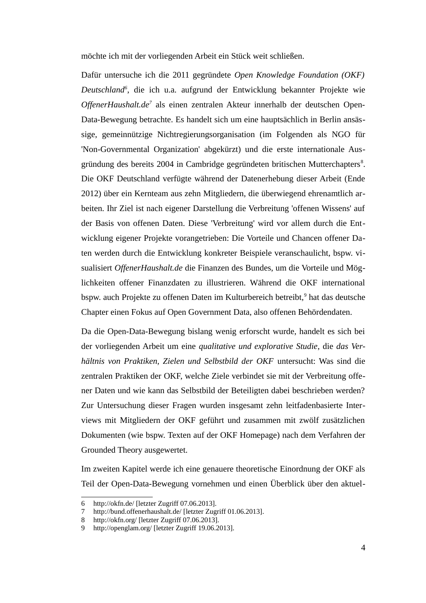möchte ich mit der vorliegenden Arbeit ein Stück weit schließen.

Dafür untersuche ich die 2011 gegründete *Open Knowledge Foundation (OKF) Deutschland[6](#page-6-0)* , die ich u.a. aufgrund der Entwicklung bekannter Projekte wie OffenerHaushalt.de<sup>[7](#page-6-1)</sup> als einen zentralen Akteur innerhalb der deutschen Open-Data-Bewegung betrachte. Es handelt sich um eine hauptsächlich in Berlin ansässige, gemeinnützige Nichtregierungsorganisation (im Folgenden als NGO für 'Non-Governmental Organization' abgekürzt) und die erste internationale Aus-gründung des bereits 2004 in Cambridge gegründeten britischen Mutterchapters<sup>[8](#page-6-2)</sup>. Die OKF Deutschland verfügte während der Datenerhebung dieser Arbeit (Ende 2012) über ein Kernteam aus zehn Mitgliedern, die überwiegend ehrenamtlich arbeiten. Ihr Ziel ist nach eigener Darstellung die Verbreitung 'offenen Wissens' auf der Basis von offenen Daten. Diese 'Verbreitung' wird vor allem durch die Entwicklung eigener Projekte vorangetrieben: Die Vorteile und Chancen offener Daten werden durch die Entwicklung konkreter Beispiele veranschaulicht, bspw. visualisiert *OffenerHaushalt.de* die Finanzen des Bundes, um die Vorteile und Möglichkeiten offener Finanzdaten zu illustrieren. Während die OKF international bspw. auch Projekte zu offenen Daten im Kulturbereich betreibt,<sup>[9](#page-6-3)</sup> hat das deutsche Chapter einen Fokus auf Open Government Data, also offenen Behördendaten.

Da die Open-Data-Bewegung bislang wenig erforscht wurde, handelt es sich bei der vorliegenden Arbeit um eine *qualitative und explorative Studie*, die *das Verhältnis von Praktiken, Zielen und Selbstbild der OKF* untersucht: Was sind die zentralen Praktiken der OKF, welche Ziele verbindet sie mit der Verbreitung offener Daten und wie kann das Selbstbild der Beteiligten dabei beschrieben werden? Zur Untersuchung dieser Fragen wurden insgesamt zehn leitfadenbasierte Interviews mit Mitgliedern der OKF geführt und zusammen mit zwölf zusätzlichen Dokumenten (wie bspw. Texten auf der OKF Homepage) nach dem Verfahren der Grounded Theory ausgewertet.

Im zweiten Kapitel werde ich eine genauere theoretische Einordnung der OKF als Teil der Open-Data-Bewegung vornehmen und einen Überblick über den aktuel-

<span id="page-6-0"></span><sup>6</sup> <http://okfn.de/>[letzter Zugriff 07.06.2013].

<span id="page-6-1"></span><sup>7</sup> <http://bund.offenerhaushalt.de/>[letzter Zugriff 01.06.2013].

<span id="page-6-2"></span><sup>8</sup> <http://okfn.org/>[letzter Zugriff 07.06.2013].

<span id="page-6-3"></span><sup>9</sup> <http://openglam.org/>[letzter Zugriff 19.06.2013].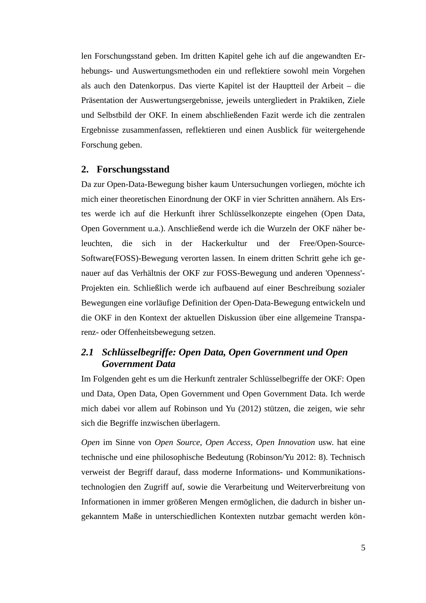len Forschungsstand geben. Im dritten Kapitel gehe ich auf die angewandten Erhebungs- und Auswertungsmethoden ein und reflektiere sowohl mein Vorgehen als auch den Datenkorpus. Das vierte Kapitel ist der Hauptteil der Arbeit – die Präsentation der Auswertungsergebnisse, jeweils untergliedert in Praktiken, Ziele und Selbstbild der OKF. In einem abschließenden Fazit werde ich die zentralen Ergebnisse zusammenfassen, reflektieren und einen Ausblick für weitergehende Forschung geben.

#### <span id="page-7-1"></span>**2. Forschungsstand**

Da zur Open-Data-Bewegung bisher kaum Untersuchungen vorliegen, möchte ich mich einer theoretischen Einordnung der OKF in vier Schritten annähern. Als Erstes werde ich auf die Herkunft ihrer Schlüsselkonzepte eingehen (Open Data, Open Government u.a.). Anschließend werde ich die Wurzeln der OKF näher beleuchten, die sich in der Hackerkultur und der Free/Open-Source-Software(FOSS)-Bewegung verorten lassen. In einem dritten Schritt gehe ich genauer auf das Verhältnis der OKF zur FOSS-Bewegung und anderen 'Openness'- Projekten ein. Schließlich werde ich aufbauend auf einer Beschreibung sozialer Bewegungen eine vorläufige Definition der Open-Data-Bewegung entwickeln und die OKF in den Kontext der aktuellen Diskussion über eine allgemeine Transparenz- oder Offenheitsbewegung setzen.

## <span id="page-7-0"></span>*2.1 Schlüsselbegriffe: Open Data, Open Government und Open Government Data*

Im Folgenden geht es um die Herkunft zentraler Schlüsselbegriffe der OKF: Open und Data, Open Data, Open Government und Open Government Data. Ich werde mich dabei vor allem auf Robinson und Yu (2012) stützen, die zeigen, wie sehr sich die Begriffe inzwischen überlagern.

*Open* im Sinne von *Open Source*, *Open Access*, *Open Innovation* usw. hat eine technische und eine philosophische Bedeutung (Robinson/Yu 2012: 8). Technisch verweist der Begriff darauf, dass moderne Informations- und Kommunikationstechnologien den Zugriff auf, sowie die Verarbeitung und Weiterverbreitung von Informationen in immer größeren Mengen ermöglichen, die dadurch in bisher ungekanntem Maße in unterschiedlichen Kontexten nutzbar gemacht werden kön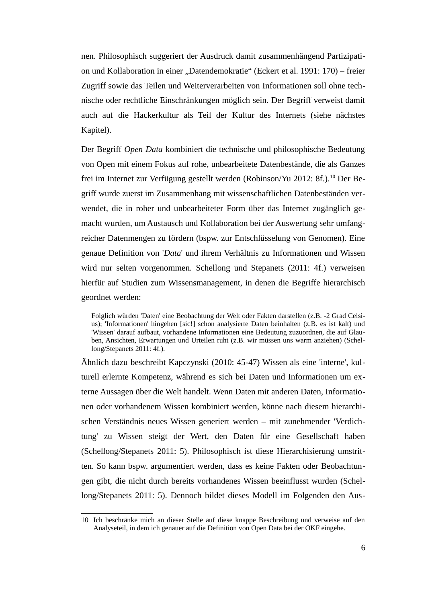nen. Philosophisch suggeriert der Ausdruck damit zusammenhängend Partizipation und Kollaboration in einer "Datendemokratie" (Eckert et al. 1991: 170) – freier Zugriff sowie das Teilen und Weiterverarbeiten von Informationen soll ohne technische oder rechtliche Einschränkungen möglich sein. Der Begriff verweist damit auch auf die Hackerkultur als Teil der Kultur des Internets (siehe nächstes Kapitel).

Der Begriff *Open Data* kombiniert die technische und philosophische Bedeutung von Open mit einem Fokus auf rohe, unbearbeitete Datenbestände, die als Ganzes frei im Internet zur Verfügung gestellt werden (Robinson/Yu 2012: 8f.).<sup>[10](#page-8-0)</sup> Der Begriff wurde zuerst im Zusammenhang mit wissenschaftlichen Datenbeständen verwendet, die in roher und unbearbeiteter Form über das Internet zugänglich gemacht wurden, um Austausch und Kollaboration bei der Auswertung sehr umfangreicher Datenmengen zu fördern (bspw. zur Entschlüsselung von Genomen). Eine genaue Definition von '*Data*' und ihrem Verhältnis zu Informationen und Wissen wird nur selten vorgenommen. Schellong und Stepanets (2011: 4f.) verweisen hierfür auf Studien zum Wissensmanagement, in denen die Begriffe hierarchisch geordnet werden:

Folglich würden 'Daten' eine Beobachtung der Welt oder Fakten darstellen (z.B. -2 Grad Celsius); 'Informationen' hingehen [sic!] schon analysierte Daten beinhalten (z.B. es ist kalt) und 'Wissen' darauf aufbaut, vorhandene Informationen eine Bedeutung zuzuordnen, die auf Glauben, Ansichten, Erwartungen und Urteilen ruht (z.B. wir müssen uns warm anziehen) (Schellong/Stepanets 2011: 4f.).

Ähnlich dazu beschreibt Kapczynski (2010: 45-47) Wissen als eine 'interne', kulturell erlernte Kompetenz, während es sich bei Daten und Informationen um externe Aussagen über die Welt handelt. Wenn Daten mit anderen Daten, Informationen oder vorhandenem Wissen kombiniert werden, könne nach diesem hierarchischen Verständnis neues Wissen generiert werden – mit zunehmender 'Verdichtung' zu Wissen steigt der Wert, den Daten für eine Gesellschaft haben (Schellong/Stepanets 2011: 5). Philosophisch ist diese Hierarchisierung umstritten. So kann bspw. argumentiert werden, dass es keine Fakten oder Beobachtungen gibt, die nicht durch bereits vorhandenes Wissen beeinflusst wurden (Schellong/Stepanets 2011: 5). Dennoch bildet dieses Modell im Folgenden den Aus-

<span id="page-8-0"></span><sup>10</sup> Ich beschränke mich an dieser Stelle auf diese knappe Beschreibung und verweise auf den Analyseteil, in dem ich genauer auf die Definition von Open Data bei der OKF eingehe.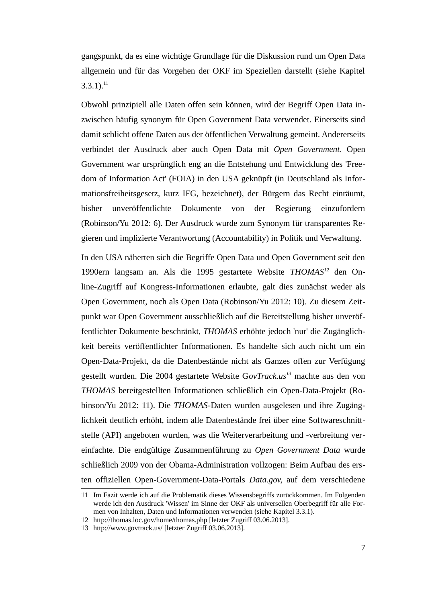gangspunkt, da es eine wichtige Grundlage für die Diskussion rund um Open Data allgemein und für das Vorgehen der OKF im Speziellen darstellt (siehe Kapitel  $3.3.1$ ). $^{11}$  $^{11}$  $^{11}$ 

Obwohl prinzipiell alle Daten offen sein können, wird der Begriff Open Data inzwischen häufig synonym für Open Government Data verwendet. Einerseits sind damit schlicht offene Daten aus der öffentlichen Verwaltung gemeint. Andererseits verbindet der Ausdruck aber auch Open Data mit *Open Government*. Open Government war ursprünglich eng an die Entstehung und Entwicklung des 'Freedom of Information Act' (FOIA) in den USA geknüpft (in Deutschland als Informationsfreiheitsgesetz, kurz IFG, bezeichnet), der Bürgern das Recht einräumt, bisher unveröffentlichte Dokumente von der Regierung einzufordern (Robinson/Yu 2012: 6). Der Ausdruck wurde zum Synonym für transparentes Regieren und implizierte Verantwortung (Accountability) in Politik und Verwaltung.

In den USA näherten sich die Begriffe Open Data und Open Government seit den 1990ern langsam an. Als die 1995 gestartete Website *THOMAS[12](#page-9-1)* den Online-Zugriff auf Kongress-Informationen erlaubte, galt dies zunächst weder als Open Government, noch als Open Data (Robinson/Yu 2012: 10). Zu diesem Zeitpunkt war Open Government ausschließlich auf die Bereitstellung bisher unveröffentlichter Dokumente beschränkt, *THOMAS* erhöhte jedoch 'nur' die Zugänglichkeit bereits veröffentlichter Informationen. Es handelte sich auch nicht um ein Open-Data-Projekt, da die Datenbestände nicht als Ganzes offen zur Verfügung gestellt wurden. Die 2004 gestartete Website G*ovTrack.us[13](#page-9-2)* machte aus den von *THOMAS* bereitgestellten Informationen schließlich ein Open-Data-Projekt (Robinson/Yu 2012: 11). Die *THOMAS*-Daten wurden ausgelesen und ihre Zugänglichkeit deutlich erhöht, indem alle Datenbestände frei über eine Softwareschnittstelle (API) angeboten wurden, was die Weiterverarbeitung und -verbreitung vereinfachte. Die endgültige Zusammenführung zu *Open Government Data* wurde schließlich 2009 von der Obama-Administration vollzogen: Beim Aufbau des ersten offiziellen Open-Government-Data-Portals *Data.gov*, auf dem verschiedene

<span id="page-9-0"></span><sup>11</sup> Im Fazit werde ich auf die Problematik dieses Wissensbegriffs zurückkommen. Im Folgenden werde ich den Ausdruck 'Wissen' im Sinne der OKF als universellen Oberbegriff für alle Formen von Inhalten, Daten und Informationen verwenden (siehe Kapitel 3.3.1).

<span id="page-9-1"></span><sup>12</sup> <http://thomas.loc.gov/home/thomas.php>[letzter Zugriff 03.06.2013].

<span id="page-9-2"></span><sup>13</sup> <http://www.govtrack.us/>[letzter Zugriff 03.06.2013].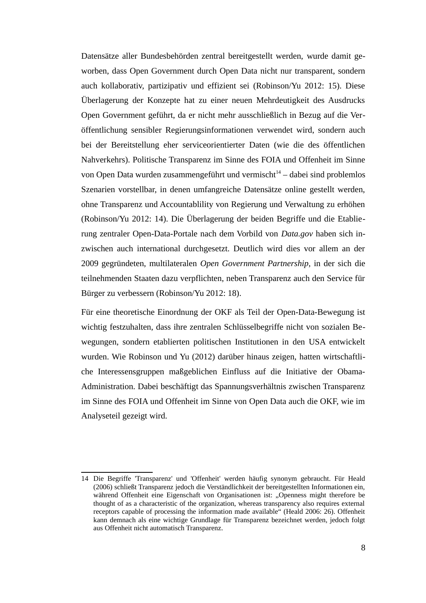Datensätze aller Bundesbehörden zentral bereitgestellt werden, wurde damit geworben, dass Open Government durch Open Data nicht nur transparent, sondern auch kollaborativ, partizipativ und effizient sei (Robinson/Yu 2012: 15). Diese Überlagerung der Konzepte hat zu einer neuen Mehrdeutigkeit des Ausdrucks Open Government geführt, da er nicht mehr ausschließlich in Bezug auf die Veröffentlichung sensibler Regierungsinformationen verwendet wird, sondern auch bei der Bereitstellung eher serviceorientierter Daten (wie die des öffentlichen Nahverkehrs). Politische Transparenz im Sinne des FOIA und Offenheit im Sinne von Open Data wurden zusammengeführt und vermischt $14 14 -$ dabei sind problemlos Szenarien vorstellbar, in denen umfangreiche Datensätze online gestellt werden, ohne Transparenz und Accountablility von Regierung und Verwaltung zu erhöhen (Robinson/Yu 2012: 14). Die Überlagerung der beiden Begriffe und die Etablierung zentraler Open-Data-Portale nach dem Vorbild von *Data.gov* haben sich inzwischen auch international durchgesetzt. Deutlich wird dies vor allem an der 2009 gegründeten, multilateralen *Open Government Partnership*, in der sich die teilnehmenden Staaten dazu verpflichten, neben Transparenz auch den Service für Bürger zu verbessern (Robinson/Yu 2012: 18).

Für eine theoretische Einordnung der OKF als Teil der Open-Data-Bewegung ist wichtig festzuhalten, dass ihre zentralen Schlüsselbegriffe nicht von sozialen Bewegungen, sondern etablierten politischen Institutionen in den USA entwickelt wurden. Wie Robinson und Yu (2012) darüber hinaus zeigen, hatten wirtschaftliche Interessensgruppen maßgeblichen Einfluss auf die Initiative der Obama-Administration. Dabei beschäftigt das Spannungsverhältnis zwischen Transparenz im Sinne des FOIA und Offenheit im Sinne von Open Data auch die OKF, wie im Analyseteil gezeigt wird.

<span id="page-10-0"></span><sup>14</sup> Die Begriffe 'Transparenz' und 'Offenheit' werden häufig synonym gebraucht. Für Heald (2006) schließt Transparenz jedoch die Verständlichkeit der bereitgestellten Informationen ein, während Offenheit eine Eigenschaft von Organisationen ist: "Openness might therefore be thought of as a characteristic of the organization, whereas transparency also requires external receptors capable of processing the information made available" (Heald 2006: 26). Offenheit kann demnach als eine wichtige Grundlage für Transparenz bezeichnet werden, jedoch folgt aus Offenheit nicht automatisch Transparenz.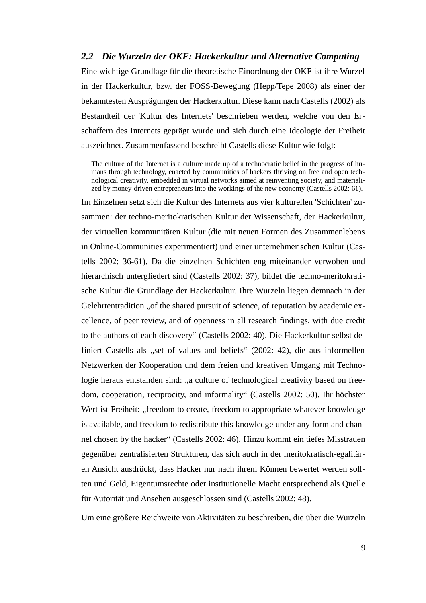#### <span id="page-11-0"></span>*2.2 Die Wurzeln der OKF: Hackerkultur und Alternative Computing*

Eine wichtige Grundlage für die theoretische Einordnung der OKF ist ihre Wurzel in der Hackerkultur, bzw. der FOSS-Bewegung (Hepp/Tepe 2008) als einer der bekanntesten Ausprägungen der Hackerkultur. Diese kann nach Castells (2002) als Bestandteil der 'Kultur des Internets' beschrieben werden, welche von den Erschaffern des Internets geprägt wurde und sich durch eine Ideologie der Freiheit auszeichnet. Zusammenfassend beschreibt Castells diese Kultur wie folgt:

The culture of the Internet is a culture made up of a technocratic belief in the progress of humans through technology, enacted by communities of hackers thriving on free and open technological creativity, embedded in virtual networks aimed at reinventing society, and materialized by money-driven entrepreneurs into the workings of the new economy (Castells 2002: 61).

Im Einzelnen setzt sich die Kultur des Internets aus vier kulturellen 'Schichten' zusammen: der techno-meritokratischen Kultur der Wissenschaft, der Hackerkultur, der virtuellen kommunitären Kultur (die mit neuen Formen des Zusammenlebens in Online-Communities experimentiert) und einer unternehmerischen Kultur (Castells 2002: 36-61). Da die einzelnen Schichten eng miteinander verwoben und hierarchisch untergliedert sind (Castells 2002: 37), bildet die techno-meritokratische Kultur die Grundlage der Hackerkultur. Ihre Wurzeln liegen demnach in der Gelehrtentradition "of the shared pursuit of science, of reputation by academic excellence, of peer review, and of openness in all research findings, with due credit to the authors of each discovery" (Castells 2002: 40). Die Hackerkultur selbst definiert Castells als "set of values and beliefs" (2002: 42), die aus informellen Netzwerken der Kooperation und dem freien und kreativen Umgang mit Technologie heraus entstanden sind: "a culture of technological creativity based on freedom, cooperation, reciprocity, and informality" (Castells 2002: 50). Ihr höchster Wert ist Freiheit: "freedom to create, freedom to appropriate whatever knowledge is available, and freedom to redistribute this knowledge under any form and channel chosen by the hacker" (Castells 2002: 46). Hinzu kommt ein tiefes Misstrauen gegenüber zentralisierten Strukturen, das sich auch in der meritokratisch-egalitären Ansicht ausdrückt, dass Hacker nur nach ihrem Können bewertet werden sollten und Geld, Eigentumsrechte oder institutionelle Macht entsprechend als Quelle für Autorität und Ansehen ausgeschlossen sind (Castells 2002: 48).

Um eine größere Reichweite von Aktivitäten zu beschreiben, die über die Wurzeln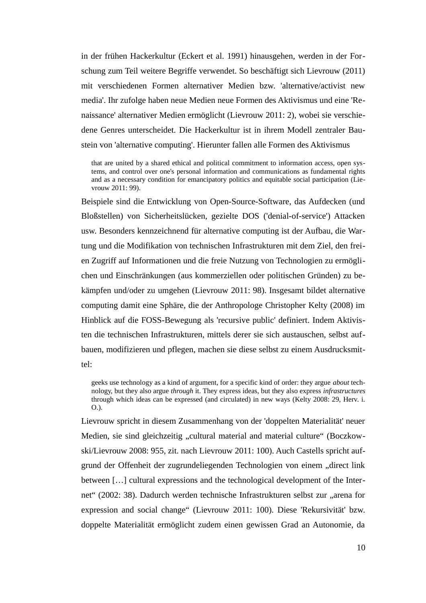in der frühen Hackerkultur (Eckert et al. 1991) hinausgehen, werden in der Forschung zum Teil weitere Begriffe verwendet. So beschäftigt sich Lievrouw (2011) mit verschiedenen Formen alternativer Medien bzw. 'alternative/activist new media'. Ihr zufolge haben neue Medien neue Formen des Aktivismus und eine 'Renaissance' alternativer Medien ermöglicht (Lievrouw 2011: 2), wobei sie verschiedene Genres unterscheidet. Die Hackerkultur ist in ihrem Modell zentraler Baustein von 'alternative computing'. Hierunter fallen alle Formen des Aktivismus

that are united by a shared ethical and political commitment to information access, open systems, and control over one's personal information and communications as fundamental rights and as a necessary condition for emancipatory politics and equitable social participation (Lievrouw 2011: 99).

Beispiele sind die Entwicklung von Open-Source-Software, das Aufdecken (und Bloßstellen) von Sicherheitslücken, gezielte DOS ('denial-of-service') Attacken usw. Besonders kennzeichnend für alternative computing ist der Aufbau, die Wartung und die Modifikation von technischen Infrastrukturen mit dem Ziel, den freien Zugriff auf Informationen und die freie Nutzung von Technologien zu ermöglichen und Einschränkungen (aus kommerziellen oder politischen Gründen) zu bekämpfen und/oder zu umgehen (Lievrouw 2011: 98). Insgesamt bildet alternative computing damit eine Sphäre, die der Anthropologe Christopher Kelty (2008) im Hinblick auf die FOSS-Bewegung als 'recursive public' definiert. Indem Aktivisten die technischen Infrastrukturen, mittels derer sie sich austauschen, selbst aufbauen, modifizieren und pflegen, machen sie diese selbst zu einem Ausdrucksmittel:

geeks use technology as a kind of argument, for a specific kind of order: they argue *about* technology, but they also argue *through* it. They express ideas, but they also express *infrastructures* through which ideas can be expressed (and circulated) in new ways (Kelty 2008: 29, Herv. i. O.).

Lievrouw spricht in diesem Zusammenhang von der 'doppelten Materialität' neuer Medien, sie sind gleichzeitig "cultural material and material culture" (Boczkowski/Lievrouw 2008: 955, zit. nach Lievrouw 2011: 100). Auch Castells spricht aufgrund der Offenheit der zugrundeliegenden Technologien von einem "direct link between […] cultural expressions and the technological development of the Internet" (2002: 38). Dadurch werden technische Infrastrukturen selbst zur "arena for expression and social change" (Lievrouw 2011: 100). Diese 'Rekursivität' bzw. doppelte Materialität ermöglicht zudem einen gewissen Grad an Autonomie, da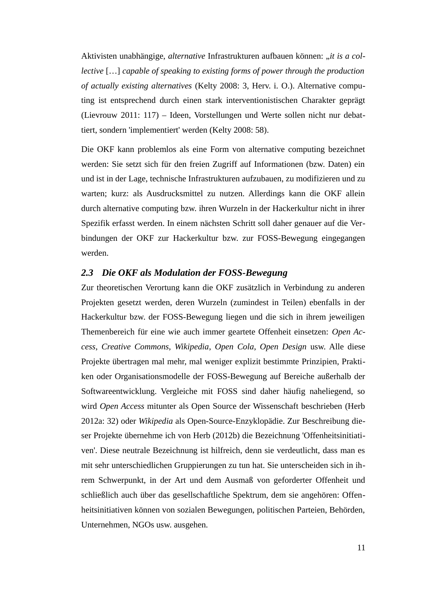Aktivisten unabhängige, *alternative* Infrastrukturen aufbauen können: "*it is a collective* […] *capable of speaking to existing forms of power through the production of actually existing alternatives* (Kelty 2008: 3, Herv. i. O.). Alternative computing ist entsprechend durch einen stark interventionistischen Charakter geprägt (Lievrouw 2011: 117) – Ideen, Vorstellungen und Werte sollen nicht nur debattiert, sondern 'implementiert' werden (Kelty 2008: 58).

Die OKF kann problemlos als eine Form von alternative computing bezeichnet werden: Sie setzt sich für den freien Zugriff auf Informationen (bzw. Daten) ein und ist in der Lage, technische Infrastrukturen aufzubauen, zu modifizieren und zu warten; kurz: als Ausdrucksmittel zu nutzen. Allerdings kann die OKF allein durch alternative computing bzw. ihren Wurzeln in der Hackerkultur nicht in ihrer Spezifik erfasst werden. In einem nächsten Schritt soll daher genauer auf die Verbindungen der OKF zur Hackerkultur bzw. zur FOSS-Bewegung eingegangen werden.

### <span id="page-13-0"></span>*2.3 Die OKF als Modulation der FOSS-Bewegung*

Zur theoretischen Verortung kann die OKF zusätzlich in Verbindung zu anderen Projekten gesetzt werden, deren Wurzeln (zumindest in Teilen) ebenfalls in der Hackerkultur bzw. der FOSS-Bewegung liegen und die sich in ihrem jeweiligen Themenbereich für eine wie auch immer geartete Offenheit einsetzen: *Open Access*, *Creative Commons*, *Wikipedia*, *Open Cola*, *Open Design* usw. Alle diese Projekte übertragen mal mehr, mal weniger explizit bestimmte Prinzipien, Praktiken oder Organisationsmodelle der FOSS-Bewegung auf Bereiche außerhalb der Softwareentwicklung. Vergleiche mit FOSS sind daher häufig naheliegend, so wird *Open Access* mitunter als Open Source der Wissenschaft beschrieben (Herb 2012a: 32) oder *Wikipedia* als Open-Source-Enzyklopädie. Zur Beschreibung dieser Projekte übernehme ich von Herb (2012b) die Bezeichnung 'Offenheitsinitiativen'. Diese neutrale Bezeichnung ist hilfreich, denn sie verdeutlicht, dass man es mit sehr unterschiedlichen Gruppierungen zu tun hat. Sie unterscheiden sich in ihrem Schwerpunkt, in der Art und dem Ausmaß von geforderter Offenheit und schließlich auch über das gesellschaftliche Spektrum, dem sie angehören: Offenheitsinitiativen können von sozialen Bewegungen, politischen Parteien, Behörden, Unternehmen, NGOs usw. ausgehen.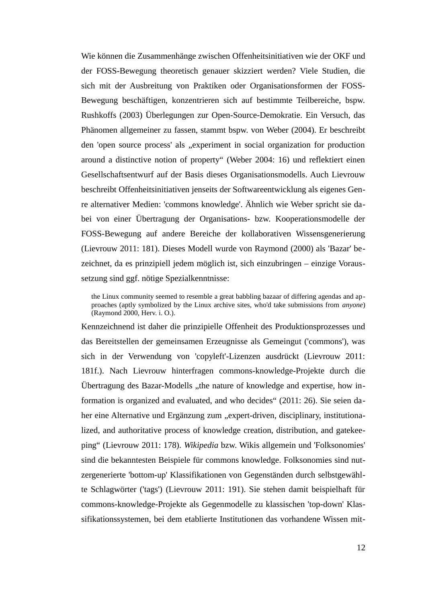Wie können die Zusammenhänge zwischen Offenheitsinitiativen wie der OKF und der FOSS-Bewegung theoretisch genauer skizziert werden? Viele Studien, die sich mit der Ausbreitung von Praktiken oder Organisationsformen der FOSS-Bewegung beschäftigen, konzentrieren sich auf bestimmte Teilbereiche, bspw. Rushkoffs (2003) Überlegungen zur Open-Source-Demokratie. Ein Versuch, das Phänomen allgemeiner zu fassen, stammt bspw. von Weber (2004). Er beschreibt den 'open source process' als "experiment in social organization for production around a distinctive notion of property" (Weber 2004: 16) und reflektiert einen Gesellschaftsentwurf auf der Basis dieses Organisationsmodells. Auch Lievrouw beschreibt Offenheitsinitiativen jenseits der Softwareentwicklung als eigenes Genre alternativer Medien: 'commons knowledge'. Ähnlich wie Weber spricht sie dabei von einer Übertragung der Organisations- bzw. Kooperationsmodelle der FOSS-Bewegung auf andere Bereiche der kollaborativen Wissensgenerierung (Lievrouw 2011: 181). Dieses Modell wurde von Raymond (2000) als 'Bazar' bezeichnet, da es prinzipiell jedem möglich ist, sich einzubringen – einzige Voraussetzung sind ggf. nötige Spezialkenntnisse:

the Linux community seemed to resemble a great babbling bazaar of differing agendas and approaches (aptly symbolized by the Linux archive sites, who'd take submissions from *anyone*) (Raymond 2000, Herv. i. O.).

Kennzeichnend ist daher die prinzipielle Offenheit des Produktionsprozesses und das Bereitstellen der gemeinsamen Erzeugnisse als Gemeingut ('commons'), was sich in der Verwendung von 'copyleft'-Lizenzen ausdrückt (Lievrouw 2011: 181f.). Nach Lievrouw hinterfragen commons-knowledge-Projekte durch die Übertragung des Bazar-Modells "the nature of knowledge and expertise, how information is organized and evaluated, and who decides" (2011: 26). Sie seien daher eine Alternative und Ergänzung zum "expert-driven, disciplinary, institutionalized, and authoritative process of knowledge creation, distribution, and gatekeeping" (Lievrouw 2011: 178). *Wikipedia* bzw. Wikis allgemein und 'Folksonomies' sind die bekanntesten Beispiele für commons knowledge. Folksonomies sind nutzergenerierte 'bottom-up' Klassifikationen von Gegenständen durch selbstgewählte Schlagwörter ('tags') (Lievrouw 2011: 191). Sie stehen damit beispielhaft für commons-knowledge-Projekte als Gegenmodelle zu klassischen 'top-down' Klassifikationssystemen, bei dem etablierte Institutionen das vorhandene Wissen mit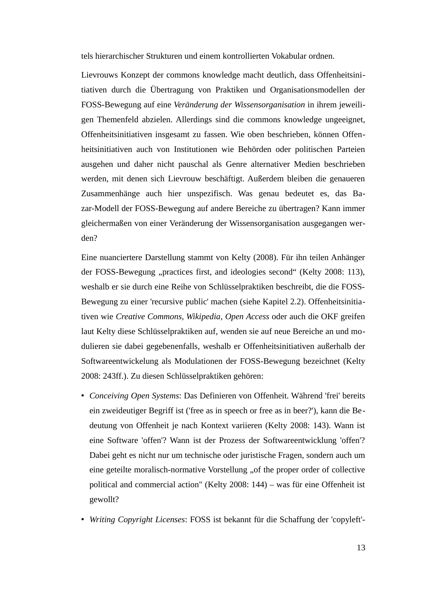tels hierarchischer Strukturen und einem kontrollierten Vokabular ordnen.

Lievrouws Konzept der commons knowledge macht deutlich, dass Offenheitsinitiativen durch die Übertragung von Praktiken und Organisationsmodellen der FOSS-Bewegung auf eine *Veränderung der Wissensorganisation* in ihrem jeweiligen Themenfeld abzielen. Allerdings sind die commons knowledge ungeeignet, Offenheitsinitiativen insgesamt zu fassen. Wie oben beschrieben, können Offenheitsinitiativen auch von Institutionen wie Behörden oder politischen Parteien ausgehen und daher nicht pauschal als Genre alternativer Medien beschrieben werden, mit denen sich Lievrouw beschäftigt. Außerdem bleiben die genaueren Zusammenhänge auch hier unspezifisch. Was genau bedeutet es, das Bazar-Modell der FOSS-Bewegung auf andere Bereiche zu übertragen? Kann immer gleichermaßen von einer Veränderung der Wissensorganisation ausgegangen werden?

Eine nuanciertere Darstellung stammt von Kelty (2008). Für ihn teilen Anhänger der FOSS-Bewegung "practices first, and ideologies second" (Kelty 2008: 113), weshalb er sie durch eine Reihe von Schlüsselpraktiken beschreibt, die die FOSS-Bewegung zu einer 'recursive public' machen (siehe Kapitel 2.2). Offenheitsinitiativen wie *Creative Commons*, *Wikipedia*, *Open Access* oder auch die OKF greifen laut Kelty diese Schlüsselpraktiken auf, wenden sie auf neue Bereiche an und modulieren sie dabei gegebenenfalls, weshalb er Offenheitsinitiativen außerhalb der Softwareentwickelung als Modulationen der FOSS-Bewegung bezeichnet (Kelty 2008: 243ff.). Zu diesen Schlüsselpraktiken gehören:

- *Conceiving Open Systems*: Das Definieren von Offenheit. Während 'frei' bereits ein zweideutiger Begriff ist ('free as in speech or free as in beer?'), kann die Bedeutung von Offenheit je nach Kontext variieren (Kelty 2008: 143). Wann ist eine Software 'offen'? Wann ist der Prozess der Softwareentwicklung 'offen'? Dabei geht es nicht nur um technische oder juristische Fragen, sondern auch um eine geteilte moralisch-normative Vorstellung "of the proper order of collective political and commercial action" (Kelty 2008: 144) – was für eine Offenheit ist gewollt?
- *Writing Copyright Licenses*: FOSS ist bekannt für die Schaffung der 'copyleft'-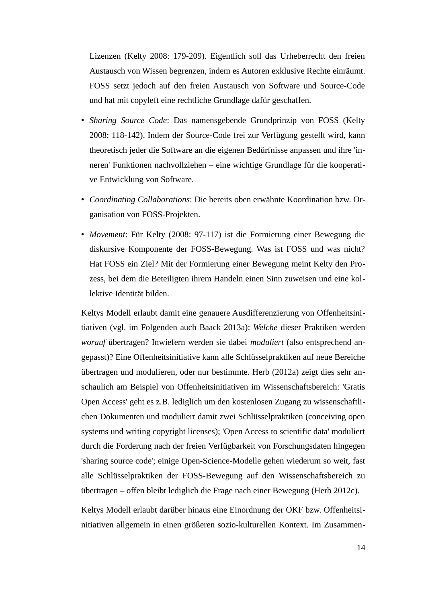Lizenzen (Kelty 2008: 179-209). Eigentlich soll das Urheberrecht den freien Austausch von Wissen begrenzen, indem es Autoren exklusive Rechte einräumt. FOSS setzt jedoch auf den freien Austausch von Software und Source-Code und hat mit copyleft eine rechtliche Grundlage dafür geschaffen.

- *Sharing Source Code*: Das namensgebende Grundprinzip von FOSS (Kelty 2008: 118-142). Indem der Source-Code frei zur Verfügung gestellt wird, kann theoretisch jeder die Software an die eigenen Bedürfnisse anpassen und ihre 'inneren' Funktionen nachvollziehen – eine wichtige Grundlage für die kooperative Entwicklung von Software.
- *Coordinating Collaborations*: Die bereits oben erwähnte Koordination bzw. Organisation von FOSS-Projekten.
- *Movement*: Für Kelty (2008: 97-117) ist die Formierung einer Bewegung die diskursive Komponente der FOSS-Bewegung. Was ist FOSS und was nicht? Hat FOSS ein Ziel? Mit der Formierung einer Bewegung meint Kelty den Prozess, bei dem die Beteiligten ihrem Handeln einen Sinn zuweisen und eine kollektive Identität bilden.

Keltys Modell erlaubt damit eine genauere Ausdifferenzierung von Offenheitsinitiativen (vgl. im Folgenden auch Baack 2013a): *Welche* dieser Praktiken werden *worauf* übertragen? Inwiefern werden sie dabei *moduliert* (also entsprechend angepasst)? Eine Offenheitsinitiative kann alle Schlüsselpraktiken auf neue Bereiche übertragen und modulieren, oder nur bestimmte. Herb (2012a) zeigt dies sehr anschaulich am Beispiel von Offenheitsinitiativen im Wissenschaftsbereich: 'Gratis Open Access' geht es z.B. lediglich um den kostenlosen Zugang zu wissenschaftlichen Dokumenten und moduliert damit zwei Schlüsselpraktiken (conceiving open systems und writing copyright licenses); 'Open Access to scientific data' moduliert durch die Forderung nach der freien Verfügbarkeit von Forschungsdaten hingegen 'sharing source code'; einige Open-Science-Modelle gehen wiederum so weit, fast alle Schlüsselpraktiken der FOSS-Bewegung auf den Wissenschaftsbereich zu übertragen – offen bleibt lediglich die Frage nach einer Bewegung (Herb 2012c).

Keltys Modell erlaubt darüber hinaus eine Einordnung der OKF bzw. Offenheitsinitiativen allgemein in einen größeren sozio-kulturellen Kontext. Im Zusammen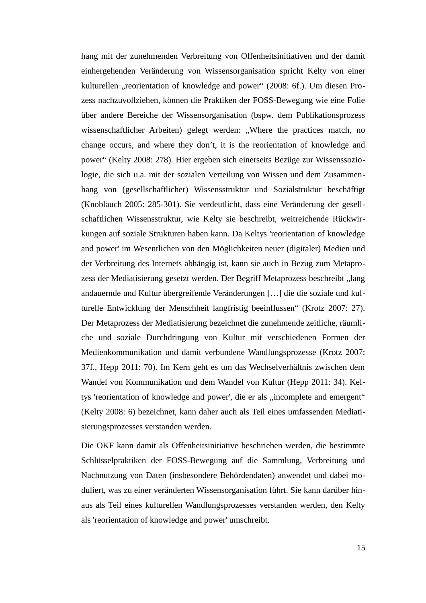hang mit der zunehmenden Verbreitung von Offenheitsinitiativen und der damit einhergehenden Veränderung von Wissensorganisation spricht Kelty von einer kulturellen "reorientation of knowledge and power" (2008: 6f.). Um diesen Prozess nachzuvollziehen, können die Praktiken der FOSS-Bewegung wie eine Folie über andere Bereiche der Wissensorganisation (bspw. dem Publikationsprozess wissenschaftlicher Arbeiten) gelegt werden: "Where the practices match, no change occurs, and where they don't, it is the reorientation of knowledge and power" (Kelty 2008: 278). Hier ergeben sich einerseits Bezüge zur Wissenssoziologie, die sich u.a. mit der sozialen Verteilung von Wissen und dem Zusammenhang von (gesellschaftlicher) Wissensstruktur und Sozialstruktur beschäftigt (Knoblauch 2005: 285-301). Sie verdeutlicht, dass eine Veränderung der gesellschaftlichen Wissensstruktur, wie Kelty sie beschreibt, weitreichende Rückwirkungen auf soziale Strukturen haben kann. Da Keltys 'reorientation of knowledge and power' im Wesentlichen von den Möglichkeiten neuer (digitaler) Medien und der Verbreitung des Internets abhängig ist, kann sie auch in Bezug zum Metaprozess der Mediatisierung gesetzt werden. Der Begriff Metaprozess beschreibt "lang andauernde und Kultur übergreifende Veränderungen […] die die soziale und kulturelle Entwicklung der Menschheit langfristig beeinflussen" (Krotz 2007: 27). Der Metaprozess der Mediatisierung bezeichnet die zunehmende zeitliche, räumliche und soziale Durchdringung von Kultur mit verschiedenen Formen der Medienkommunikation und damit verbundene Wandlungsprozesse (Krotz 2007: 37f., Hepp 2011: 70). Im Kern geht es um das Wechselverhältnis zwischen dem Wandel von Kommunikation und dem Wandel von Kultur (Hepp 2011: 34). Keltys 'reorientation of knowledge and power', die er als "incomplete and emergent" (Kelty 2008: 6) bezeichnet, kann daher auch als Teil eines umfassenden Mediatisierungsprozesses verstanden werden.

Die OKF kann damit als Offenheitsinitiative beschrieben werden, die bestimmte Schlüsselpraktiken der FOSS-Bewegung auf die Sammlung, Verbreitung und Nachnutzung von Daten (insbesondere Behördendaten) anwendet und dabei moduliert, was zu einer veränderten Wissensorganisation führt. Sie kann darüber hinaus als Teil eines kulturellen Wandlungsprozesses verstanden werden, den Kelty als 'reorientation of knowledge and power' umschreibt.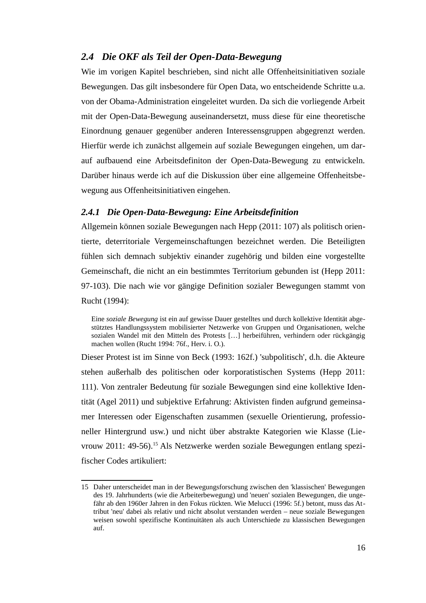### <span id="page-18-1"></span>*2.4 Die OKF als Teil der Open-Data-Bewegung*

Wie im vorigen Kapitel beschrieben, sind nicht alle Offenheitsinitiativen soziale Bewegungen. Das gilt insbesondere für Open Data, wo entscheidende Schritte u.a. von der Obama-Administration eingeleitet wurden. Da sich die vorliegende Arbeit mit der Open-Data-Bewegung auseinandersetzt, muss diese für eine theoretische Einordnung genauer gegenüber anderen Interessensgruppen abgegrenzt werden. Hierfür werde ich zunächst allgemein auf soziale Bewegungen eingehen, um darauf aufbauend eine Arbeitsdefiniton der Open-Data-Bewegung zu entwickeln. Darüber hinaus werde ich auf die Diskussion über eine allgemeine Offenheitsbewegung aus Offenheitsinitiativen eingehen.

#### <span id="page-18-0"></span>*2.4.1 Die Open-Data-Bewegung: Eine Arbeitsdefinition*

Allgemein können soziale Bewegungen nach Hepp (2011: 107) als politisch orientierte, deterritoriale Vergemeinschaftungen bezeichnet werden. Die Beteiligten fühlen sich demnach subjektiv einander zugehörig und bilden eine vorgestellte Gemeinschaft, die nicht an ein bestimmtes Territorium gebunden ist (Hepp 2011: 97-103). Die nach wie vor gängige Definition sozialer Bewegungen stammt von Rucht (1994):

Eine *soziale Bewegung* ist ein auf gewisse Dauer gestelltes und durch kollektive Identität abgestütztes Handlungssystem mobilisierter Netzwerke von Gruppen und Organisationen, welche sozialen Wandel mit den Mitteln des Protests […] herbeiführen, verhindern oder rückgängig machen wollen (Rucht 1994: 76f., Herv. i. O.).

Dieser Protest ist im Sinne von Beck (1993: 162f.) 'subpolitisch', d.h. die Akteure stehen außerhalb des politischen oder korporatistischen Systems (Hepp 2011: 111). Von zentraler Bedeutung für soziale Bewegungen sind eine kollektive Identität (Agel 2011) und subjektive Erfahrung: Aktivisten finden aufgrund gemeinsamer Interessen oder Eigenschaften zusammen (sexuelle Orientierung, professioneller Hintergrund usw.) und nicht über abstrakte Kategorien wie Klasse (Lie-vrouw 2011: 49-56).<sup>[15](#page-18-2)</sup> Als Netzwerke werden soziale Bewegungen entlang spezifischer Codes artikuliert:

<span id="page-18-2"></span><sup>15</sup> Daher unterscheidet man in der Bewegungsforschung zwischen den 'klassischen' Bewegungen des 19. Jahrhunderts (wie die Arbeiterbewegung) und 'neuen' sozialen Bewegungen, die ungefähr ab den 1960er Jahren in den Fokus rückten. Wie Melucci (1996: 5f.) betont, muss das Attribut 'neu' dabei als relativ und nicht absolut verstanden werden – neue soziale Bewegungen weisen sowohl spezifische Kontinuitäten als auch Unterschiede zu klassischen Bewegungen auf.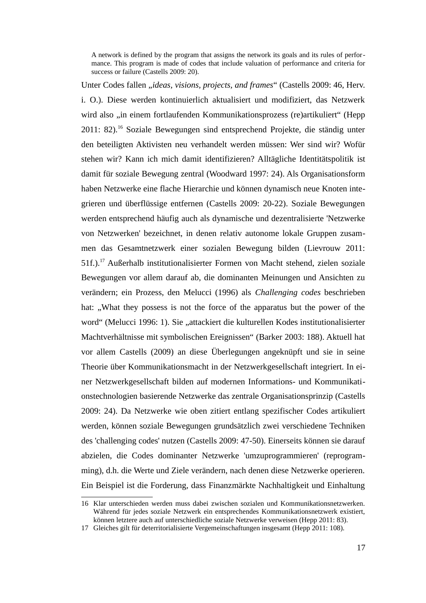A network is defined by the program that assigns the network its goals and its rules of performance. This program is made of codes that include valuation of performance and criteria for success or failure (Castells 2009: 20).

Unter Codes fallen "*ideas, visions, projects, and frames*" (Castells 2009: 46, Herv. i. O.). Diese werden kontinuierlich aktualisiert und modifiziert, das Netzwerk wird also "in einem fortlaufenden Kommunikationsprozess (re)artikuliert" (Hepp 2011: 82).<sup>[16](#page-19-0)</sup> Soziale Bewegungen sind entsprechend Projekte, die ständig unter den beteiligten Aktivisten neu verhandelt werden müssen: Wer sind wir? Wofür stehen wir? Kann ich mich damit identifizieren? Alltägliche Identitätspolitik ist damit für soziale Bewegung zentral (Woodward 1997: 24). Als Organisationsform haben Netzwerke eine flache Hierarchie und können dynamisch neue Knoten integrieren und überflüssige entfernen (Castells 2009: 20-22). Soziale Bewegungen werden entsprechend häufig auch als dynamische und dezentralisierte 'Netzwerke von Netzwerken' bezeichnet, in denen relativ autonome lokale Gruppen zusammen das Gesamtnetzwerk einer sozialen Bewegung bilden (Lievrouw 2011: 51f.).[17](#page-19-1) Außerhalb institutionalisierter Formen von Macht stehend, zielen soziale Bewegungen vor allem darauf ab, die dominanten Meinungen und Ansichten zu verändern; ein Prozess, den Melucci (1996) als *Challenging codes* beschrieben hat: "What they possess is not the force of the apparatus but the power of the word" (Melucci 1996: 1). Sie "attackiert die kulturellen Kodes institutionalisierter Machtverhältnisse mit symbolischen Ereignissen" (Barker 2003: 188). Aktuell hat vor allem Castells (2009) an diese Überlegungen angeknüpft und sie in seine Theorie über Kommunikationsmacht in der Netzwerkgesellschaft integriert. In einer Netzwerkgesellschaft bilden auf modernen Informations- und Kommunikationstechnologien basierende Netzwerke das zentrale Organisationsprinzip (Castells 2009: 24). Da Netzwerke wie oben zitiert entlang spezifischer Codes artikuliert werden, können soziale Bewegungen grundsätzlich zwei verschiedene Techniken des 'challenging codes' nutzen (Castells 2009: 47-50). Einerseits können sie darauf abzielen, die Codes dominanter Netzwerke 'umzuprogrammieren' (reprogramming), d.h. die Werte und Ziele verändern, nach denen diese Netzwerke operieren. Ein Beispiel ist die Forderung, dass Finanzmärkte Nachhaltigkeit und Einhaltung

<span id="page-19-0"></span><sup>16</sup> Klar unterschieden werden muss dabei zwischen sozialen und Kommunikationsnetzwerken. Während für jedes soziale Netzwerk ein entsprechendes Kommunikationsnetzwerk existiert, können letztere auch auf unterschiedliche soziale Netzwerke verweisen (Hepp 2011: 83).

<span id="page-19-1"></span><sup>17</sup> Gleiches gilt für deterritorialisierte Vergemeinschaftungen insgesamt (Hepp 2011: 108).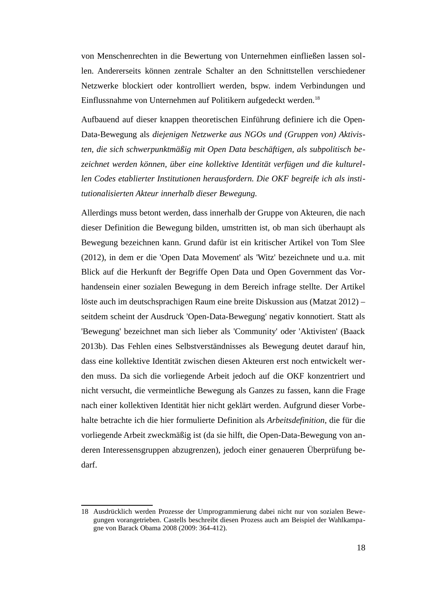von Menschenrechten in die Bewertung von Unternehmen einfließen lassen sollen. Andererseits können zentrale Schalter an den Schnittstellen verschiedener Netzwerke blockiert oder kontrolliert werden, bspw. indem Verbindungen und Einflussnahme von Unternehmen auf Politikern aufgedeckt werden.<sup>[18](#page-20-0)</sup>

Aufbauend auf dieser knappen theoretischen Einführung definiere ich die Open-Data-Bewegung als *diejenigen Netzwerke aus NGOs und (Gruppen von) Aktivisten, die sich schwerpunktmäßig mit Open Data beschäftigen, als subpolitisch bezeichnet werden können, über eine kollektive Identität verfügen und die kulturellen Codes etablierter Institutionen herausfordern. Die OKF begreife ich als institutionalisierten Akteur innerhalb dieser Bewegung.*

Allerdings muss betont werden, dass innerhalb der Gruppe von Akteuren, die nach dieser Definition die Bewegung bilden, umstritten ist, ob man sich überhaupt als Bewegung bezeichnen kann. Grund dafür ist ein kritischer Artikel von Tom Slee (2012), in dem er die 'Open Data Movement' als 'Witz' bezeichnete und u.a. mit Blick auf die Herkunft der Begriffe Open Data und Open Government das Vorhandensein einer sozialen Bewegung in dem Bereich infrage stellte. Der Artikel löste auch im deutschsprachigen Raum eine breite Diskussion aus (Matzat 2012) – seitdem scheint der Ausdruck 'Open-Data-Bewegung' negativ konnotiert. Statt als 'Bewegung' bezeichnet man sich lieber als 'Community' oder 'Aktivisten' (Baack 2013b). Das Fehlen eines Selbstverständnisses als Bewegung deutet darauf hin, dass eine kollektive Identität zwischen diesen Akteuren erst noch entwickelt werden muss. Da sich die vorliegende Arbeit jedoch auf die OKF konzentriert und nicht versucht, die vermeintliche Bewegung als Ganzes zu fassen, kann die Frage nach einer kollektiven Identität hier nicht geklärt werden. Aufgrund dieser Vorbehalte betrachte ich die hier formulierte Definition als *Arbeitsdefinition*, die für die vorliegende Arbeit zweckmäßig ist (da sie hilft, die Open-Data-Bewegung von anderen Interessensgruppen abzugrenzen), jedoch einer genaueren Überprüfung bedarf.

<span id="page-20-0"></span><sup>18</sup> Ausdrücklich werden Prozesse der Umprogrammierung dabei nicht nur von sozialen Bewegungen vorangetrieben. Castells beschreibt diesen Prozess auch am Beispiel der Wahlkampagne von Barack Obama 2008 (2009: 364-412).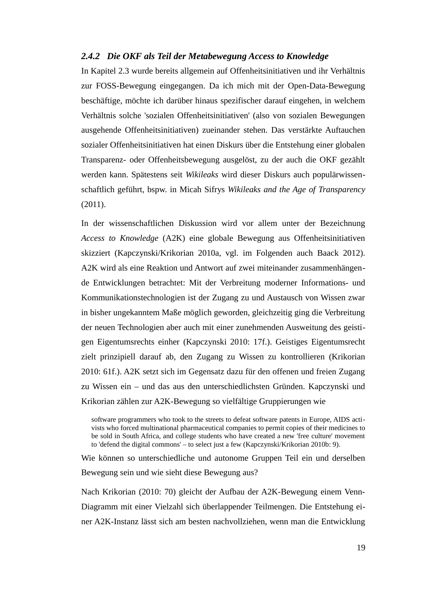#### <span id="page-21-0"></span>*2.4.2 Die OKF als Teil der Metabewegung Access to Knowledge*

In Kapitel 2.3 wurde bereits allgemein auf Offenheitsinitiativen und ihr Verhältnis zur FOSS-Bewegung eingegangen. Da ich mich mit der Open-Data-Bewegung beschäftige, möchte ich darüber hinaus spezifischer darauf eingehen, in welchem Verhältnis solche 'sozialen Offenheitsinitiativen' (also von sozialen Bewegungen ausgehende Offenheitsinitiativen) zueinander stehen. Das verstärkte Auftauchen sozialer Offenheitsinitiativen hat einen Diskurs über die Entstehung einer globalen Transparenz- oder Offenheitsbewegung ausgelöst, zu der auch die OKF gezählt werden kann. Spätestens seit *Wikileaks* wird dieser Diskurs auch populärwissenschaftlich geführt, bspw. in Micah Sifrys *Wikileaks and the Age of Transparency* (2011).

In der wissenschaftlichen Diskussion wird vor allem unter der Bezeichnung *Access to Knowledge* (A2K) eine globale Bewegung aus Offenheitsinitiativen skizziert (Kapczynski/Krikorian 2010a, vgl. im Folgenden auch Baack 2012). A2K wird als eine Reaktion und Antwort auf zwei miteinander zusammenhängende Entwicklungen betrachtet: Mit der Verbreitung moderner Informations- und Kommunikationstechnologien ist der Zugang zu und Austausch von Wissen zwar in bisher ungekanntem Maße möglich geworden, gleichzeitig ging die Verbreitung der neuen Technologien aber auch mit einer zunehmenden Ausweitung des geistigen Eigentumsrechts einher (Kapczynski 2010: 17f.). Geistiges Eigentumsrecht zielt prinzipiell darauf ab, den Zugang zu Wissen zu kontrollieren (Krikorian 2010: 61f.). A2K setzt sich im Gegensatz dazu für den offenen und freien Zugang zu Wissen ein – und das aus den unterschiedlichsten Gründen. Kapczynski und Krikorian zählen zur A2K-Bewegung so vielfältige Gruppierungen wie

software programmers who took to the streets to defeat software patents in Europe, AIDS activists who forced multinational pharmaceutical companies to permit copies of their medicines to be sold in South Africa, and college students who have created a new 'free culture' movement to 'defend the digital commons' – to select just a few (Kapczynski/Krikorian 2010b: 9).

Wie können so unterschiedliche und autonome Gruppen Teil ein und derselben Bewegung sein und wie sieht diese Bewegung aus?

Nach Krikorian (2010: 70) gleicht der Aufbau der A2K-Bewegung einem Venn-Diagramm mit einer Vielzahl sich überlappender Teilmengen. Die Entstehung einer A2K-Instanz lässt sich am besten nachvollziehen, wenn man die Entwicklung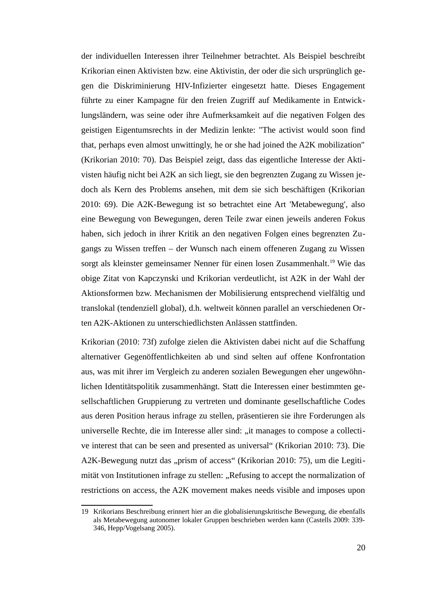der individuellen Interessen ihrer Teilnehmer betrachtet. Als Beispiel beschreibt Krikorian einen Aktivisten bzw. eine Aktivistin, der oder die sich ursprünglich gegen die Diskriminierung HIV-Infizierter eingesetzt hatte. Dieses Engagement führte zu einer Kampagne für den freien Zugriff auf Medikamente in Entwicklungsländern, was seine oder ihre Aufmerksamkeit auf die negativen Folgen des geistigen Eigentumsrechts in der Medizin lenkte: "The activist would soon find that, perhaps even almost unwittingly, he or she had joined the A2K mobilization" (Krikorian 2010: 70). Das Beispiel zeigt, dass das eigentliche Interesse der Aktivisten häufig nicht bei A2K an sich liegt, sie den begrenzten Zugang zu Wissen jedoch als Kern des Problems ansehen, mit dem sie sich beschäftigen (Krikorian 2010: 69). Die A2K-Bewegung ist so betrachtet eine Art 'Metabewegung', also eine Bewegung von Bewegungen, deren Teile zwar einen jeweils anderen Fokus haben, sich jedoch in ihrer Kritik an den negativen Folgen eines begrenzten Zugangs zu Wissen treffen – der Wunsch nach einem offeneren Zugang zu Wissen sorgt als kleinster gemeinsamer Nenner für einen losen Zusammenhalt.<sup>[19](#page-22-0)</sup> Wie das obige Zitat von Kapczynski und Krikorian verdeutlicht, ist A2K in der Wahl der Aktionsformen bzw. Mechanismen der Mobilisierung entsprechend vielfältig und translokal (tendenziell global), d.h. weltweit können parallel an verschiedenen Orten A2K-Aktionen zu unterschiedlichsten Anlässen stattfinden.

Krikorian (2010: 73f) zufolge zielen die Aktivisten dabei nicht auf die Schaffung alternativer Gegenöffentlichkeiten ab und sind selten auf offene Konfrontation aus, was mit ihrer im Vergleich zu anderen sozialen Bewegungen eher ungewöhnlichen Identitätspolitik zusammenhängt. Statt die Interessen einer bestimmten gesellschaftlichen Gruppierung zu vertreten und dominante gesellschaftliche Codes aus deren Position heraus infrage zu stellen, präsentieren sie ihre Forderungen als universelle Rechte, die im Interesse aller sind: "it manages to compose a collective interest that can be seen and presented as universal" (Krikorian 2010: 73). Die A2K-Bewegung nutzt das "prism of access" (Krikorian 2010: 75), um die Legitimität von Institutionen infrage zu stellen: "Refusing to accept the normalization of restrictions on access, the A2K movement makes needs visible and imposes upon

<span id="page-22-0"></span><sup>19</sup> Krikorians Beschreibung erinnert hier an die globalisierungskritische Bewegung, die ebenfalls als Metabewegung autonomer lokaler Gruppen beschrieben werden kann (Castells 2009: 339- 346, Hepp/Vogelsang 2005).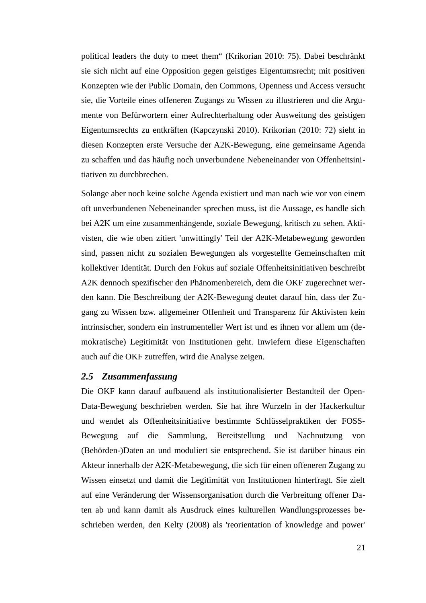political leaders the duty to meet them" (Krikorian 2010: 75). Dabei beschränkt sie sich nicht auf eine Opposition gegen geistiges Eigentumsrecht; mit positiven Konzepten wie der Public Domain, den Commons, Openness und Access versucht sie, die Vorteile eines offeneren Zugangs zu Wissen zu illustrieren und die Argumente von Befürwortern einer Aufrechterhaltung oder Ausweitung des geistigen Eigentumsrechts zu entkräften (Kapczynski 2010). Krikorian (2010: 72) sieht in diesen Konzepten erste Versuche der A2K-Bewegung, eine gemeinsame Agenda zu schaffen und das häufig noch unverbundene Nebeneinander von Offenheitsinitiativen zu durchbrechen.

Solange aber noch keine solche Agenda existiert und man nach wie vor von einem oft unverbundenen Nebeneinander sprechen muss, ist die Aussage, es handle sich bei A2K um eine zusammenhängende, soziale Bewegung, kritisch zu sehen. Aktivisten, die wie oben zitiert 'unwittingly' Teil der A2K-Metabewegung geworden sind, passen nicht zu sozialen Bewegungen als vorgestellte Gemeinschaften mit kollektiver Identität. Durch den Fokus auf soziale Offenheitsinitiativen beschreibt A2K dennoch spezifischer den Phänomenbereich, dem die OKF zugerechnet werden kann. Die Beschreibung der A2K-Bewegung deutet darauf hin, dass der Zugang zu Wissen bzw. allgemeiner Offenheit und Transparenz für Aktivisten kein intrinsischer, sondern ein instrumenteller Wert ist und es ihnen vor allem um (demokratische) Legitimität von Institutionen geht. Inwiefern diese Eigenschaften auch auf die OKF zutreffen, wird die Analyse zeigen.

#### <span id="page-23-0"></span>*2.5 Zusammenfassung*

Die OKF kann darauf aufbauend als institutionalisierter Bestandteil der Open-Data-Bewegung beschrieben werden. Sie hat ihre Wurzeln in der Hackerkultur und wendet als Offenheitsinitiative bestimmte Schlüsselpraktiken der FOSS-Bewegung auf die Sammlung, Bereitstellung und Nachnutzung von (Behörden-)Daten an und moduliert sie entsprechend. Sie ist darüber hinaus ein Akteur innerhalb der A2K-Metabewegung, die sich für einen offeneren Zugang zu Wissen einsetzt und damit die Legitimität von Institutionen hinterfragt. Sie zielt auf eine Veränderung der Wissensorganisation durch die Verbreitung offener Daten ab und kann damit als Ausdruck eines kulturellen Wandlungsprozesses beschrieben werden, den Kelty (2008) als 'reorientation of knowledge and power'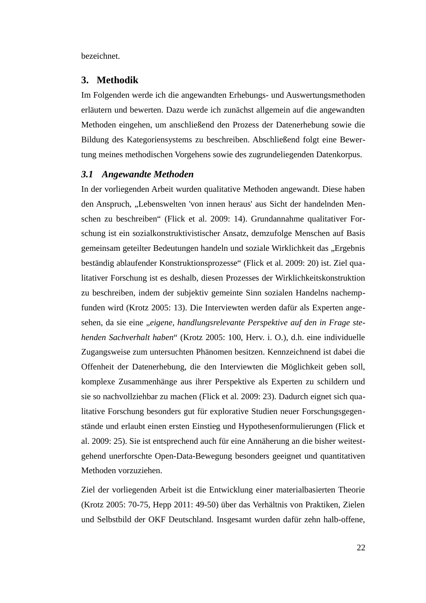bezeichnet.

#### <span id="page-24-1"></span>**3. Methodik**

Im Folgenden werde ich die angewandten Erhebungs- und Auswertungsmethoden erläutern und bewerten. Dazu werde ich zunächst allgemein auf die angewandten Methoden eingehen, um anschließend den Prozess der Datenerhebung sowie die Bildung des Kategoriensystems zu beschreiben. Abschließend folgt eine Bewertung meines methodischen Vorgehens sowie des zugrundeliegenden Datenkorpus.

#### <span id="page-24-0"></span>*3.1 Angewandte Methoden*

In der vorliegenden Arbeit wurden qualitative Methoden angewandt. Diese haben den Anspruch, "Lebenswelten 'von innen heraus' aus Sicht der handelnden Menschen zu beschreiben" (Flick et al. 2009: 14). Grundannahme qualitativer Forschung ist ein sozialkonstruktivistischer Ansatz, demzufolge Menschen auf Basis gemeinsam geteilter Bedeutungen handeln und soziale Wirklichkeit das "Ergebnis beständig ablaufender Konstruktionsprozesse" (Flick et al. 2009: 20) ist. Ziel qualitativer Forschung ist es deshalb, diesen Prozesses der Wirklichkeitskonstruktion zu beschreiben, indem der subjektiv gemeinte Sinn sozialen Handelns nachempfunden wird (Krotz 2005: 13). Die Interviewten werden dafür als Experten angesehen, da sie eine "*eigene, handlungsrelevante Perspektive auf den in Frage stehenden Sachverhalt haben*" (Krotz 2005: 100, Herv. i. O.), d.h. eine individuelle Zugangsweise zum untersuchten Phänomen besitzen. Kennzeichnend ist dabei die Offenheit der Datenerhebung, die den Interviewten die Möglichkeit geben soll, komplexe Zusammenhänge aus ihrer Perspektive als Experten zu schildern und sie so nachvollziehbar zu machen (Flick et al. 2009: 23). Dadurch eignet sich qualitative Forschung besonders gut für explorative Studien neuer Forschungsgegenstände und erlaubt einen ersten Einstieg und Hypothesenformulierungen (Flick et al. 2009: 25). Sie ist entsprechend auch für eine Annäherung an die bisher weitestgehend unerforschte Open-Data-Bewegung besonders geeignet und quantitativen Methoden vorzuziehen.

Ziel der vorliegenden Arbeit ist die Entwicklung einer materialbasierten Theorie (Krotz 2005: 70-75, Hepp 2011: 49-50) über das Verhältnis von Praktiken, Zielen und Selbstbild der OKF Deutschland. Insgesamt wurden dafür zehn halb-offene,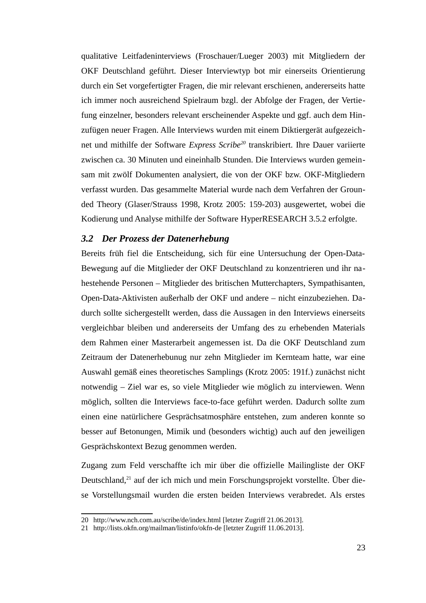qualitative Leitfadeninterviews (Froschauer/Lueger 2003) mit Mitgliedern der OKF Deutschland geführt. Dieser Interviewtyp bot mir einerseits Orientierung durch ein Set vorgefertigter Fragen, die mir relevant erschienen, andererseits hatte ich immer noch ausreichend Spielraum bzgl. der Abfolge der Fragen, der Vertiefung einzelner, besonders relevant erscheinender Aspekte und ggf. auch dem Hinzufügen neuer Fragen. Alle Interviews wurden mit einem Diktiergerät aufgezeichnet und mithilfe der Software *Express Scribe[20](#page-25-1)* transkribiert. Ihre Dauer variierte zwischen ca. 30 Minuten und eineinhalb Stunden. Die Interviews wurden gemeinsam mit zwölf Dokumenten analysiert, die von der OKF bzw. OKF-Mitgliedern verfasst wurden. Das gesammelte Material wurde nach dem Verfahren der Grounded Theory (Glaser/Strauss 1998, Krotz 2005: 159-203) ausgewertet, wobei die Kodierung und Analyse mithilfe der Software HyperRESEARCH 3.5.2 erfolgte.

#### <span id="page-25-0"></span>*3.2 Der Prozess der Datenerhebung*

Bereits früh fiel die Entscheidung, sich für eine Untersuchung der Open-Data-Bewegung auf die Mitglieder der OKF Deutschland zu konzentrieren und ihr nahestehende Personen – Mitglieder des britischen Mutterchapters, Sympathisanten, Open-Data-Aktivisten außerhalb der OKF und andere – nicht einzubeziehen. Dadurch sollte sichergestellt werden, dass die Aussagen in den Interviews einerseits vergleichbar bleiben und andererseits der Umfang des zu erhebenden Materials dem Rahmen einer Masterarbeit angemessen ist. Da die OKF Deutschland zum Zeitraum der Datenerhebunug nur zehn Mitglieder im Kernteam hatte, war eine Auswahl gemäß eines theoretisches Samplings (Krotz 2005: 191f.) zunächst nicht notwendig – Ziel war es, so viele Mitglieder wie möglich zu interviewen. Wenn möglich, sollten die Interviews face-to-face geführt werden. Dadurch sollte zum einen eine natürlichere Gesprächsatmosphäre entstehen, zum anderen konnte so besser auf Betonungen, Mimik und (besonders wichtig) auch auf den jeweiligen Gesprächskontext Bezug genommen werden.

Zugang zum Feld verschaffte ich mir über die offizielle Mailingliste der OKF Deutschland,<sup>[21](#page-25-2)</sup> auf der ich mich und mein Forschungsprojekt vorstellte. Über diese Vorstellungsmail wurden die ersten beiden Interviews verabredet. Als erstes

<span id="page-25-1"></span><sup>20</sup> <http://www.nch.com.au/scribe/de/index.html>[letzter Zugriff 21.06.2013].

<span id="page-25-2"></span><sup>21</sup> <http://lists.okfn.org/mailman/listinfo/okfn-de>[letzter Zugriff 11.06.2013].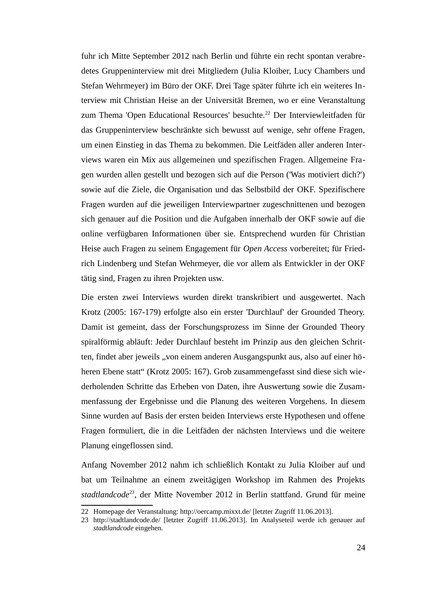fuhr ich Mitte September 2012 nach Berlin und führte ein recht spontan verabredetes Gruppeninterview mit drei Mitgliedern (Julia Kloiber, Lucy Chambers und Stefan Wehrmeyer) im Büro der OKF. Drei Tage später führte ich ein weiteres Interview mit Christian Heise an der Universität Bremen, wo er eine Veranstaltung zum Thema 'Open Educational Resources' besuchte.<sup>[22](#page-26-0)</sup> Der Interviewleitfaden für das Gruppeninterview beschränkte sich bewusst auf wenige, sehr offene Fragen, um einen Einstieg in das Thema zu bekommen. Die Leitfäden aller anderen Interviews waren ein Mix aus allgemeinen und spezifischen Fragen. Allgemeine Fragen wurden allen gestellt und bezogen sich auf die Person ('Was motiviert dich?') sowie auf die Ziele, die Organisation und das Selbstbild der OKF. Spezifischere Fragen wurden auf die jeweiligen Interviewpartner zugeschnittenen und bezogen sich genauer auf die Position und die Aufgaben innerhalb der OKF sowie auf die online verfügbaren Informationen über sie. Entsprechend wurden für Christian Heise auch Fragen zu seinem Engagement für *Open Access* vorbereitet; für Friedrich Lindenberg und Stefan Wehrmeyer, die vor allem als Entwickler in der OKF tätig sind, Fragen zu ihren Projekten usw.

Die ersten zwei Interviews wurden direkt transkribiert und ausgewertet. Nach Krotz (2005: 167-179) erfolgte also ein erster 'Durchlauf' der Grounded Theory. Damit ist gemeint, dass der Forschungsprozess im Sinne der Grounded Theory spiralförmig abläuft: Jeder Durchlauf besteht im Prinzip aus den gleichen Schritten, findet aber jeweils "von einem anderen Ausgangspunkt aus, also auf einer höheren Ebene statt" (Krotz 2005: 167). Grob zusammengefasst sind diese sich wiederholenden Schritte das Erheben von Daten, ihre Auswertung sowie die Zusammenfassung der Ergebnisse und die Planung des weiteren Vorgehens. In diesem Sinne wurden auf Basis der ersten beiden Interviews erste Hypothesen und offene Fragen formuliert, die in die Leitfäden der nächsten Interviews und die weitere Planung eingeflossen sind.

Anfang November 2012 nahm ich schließlich Kontakt zu Julia Kloiber auf und bat um Teilnahme an einem zweitägigen Workshop im Rahmen des Projekts *stadtlandcode*[23](#page-26-1), der Mitte November 2012 in Berlin stattfand. Grund für meine

<span id="page-26-0"></span><sup>22</sup> Homepage der Veranstaltung:<http://oercamp.mixxt.de/>[letzter Zugriff 11.06.2013].

<span id="page-26-1"></span><sup>23</sup> <http://stadtlandcode.de/>[letzter Zugriff 11.06.2013]. Im Analyseteil werde ich genauer auf *stadtlandcode* eingehen.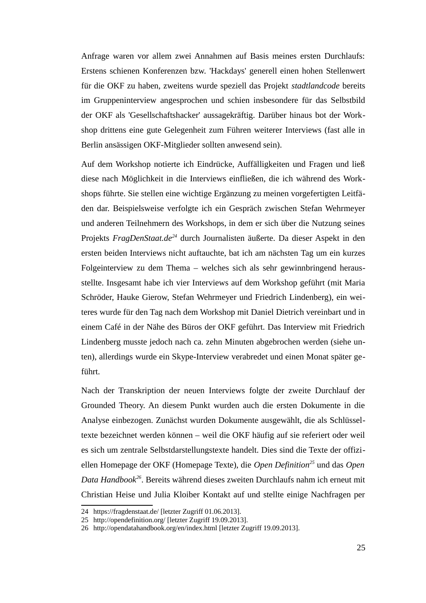Anfrage waren vor allem zwei Annahmen auf Basis meines ersten Durchlaufs: Erstens schienen Konferenzen bzw. 'Hackdays' generell einen hohen Stellenwert für die OKF zu haben, zweitens wurde speziell das Projekt *stadtlandcode* bereits im Gruppeninterview angesprochen und schien insbesondere für das Selbstbild der OKF als 'Gesellschaftshacker' aussagekräftig. Darüber hinaus bot der Workshop drittens eine gute Gelegenheit zum Führen weiterer Interviews (fast alle in Berlin ansässigen OKF-Mitglieder sollten anwesend sein).

Auf dem Workshop notierte ich Eindrücke, Auffälligkeiten und Fragen und ließ diese nach Möglichkeit in die Interviews einfließen, die ich während des Workshops führte. Sie stellen eine wichtige Ergänzung zu meinen vorgefertigten Leitfäden dar. Beispielsweise verfolgte ich ein Gespräch zwischen Stefan Wehrmeyer und anderen Teilnehmern des Workshops, in dem er sich über die Nutzung seines Projekts *FragDenStaat.de[24](#page-27-0)* durch Journalisten äußerte. Da dieser Aspekt in den ersten beiden Interviews nicht auftauchte, bat ich am nächsten Tag um ein kurzes Folgeinterview zu dem Thema – welches sich als sehr gewinnbringend herausstellte. Insgesamt habe ich vier Interviews auf dem Workshop geführt (mit Maria Schröder, Hauke Gierow, Stefan Wehrmeyer und Friedrich Lindenberg), ein weiteres wurde für den Tag nach dem Workshop mit Daniel Dietrich vereinbart und in einem Café in der Nähe des Büros der OKF geführt. Das Interview mit Friedrich Lindenberg musste jedoch nach ca. zehn Minuten abgebrochen werden (siehe unten), allerdings wurde ein Skype-Interview verabredet und einen Monat später geführt.

Nach der Transkription der neuen Interviews folgte der zweite Durchlauf der Grounded Theory. An diesem Punkt wurden auch die ersten Dokumente in die Analyse einbezogen. Zunächst wurden Dokumente ausgewählt, die als Schlüsseltexte bezeichnet werden können – weil die OKF häufig auf sie referiert oder weil es sich um zentrale Selbstdarstellungstexte handelt. Dies sind die Texte der offiziellen Homepage der OKF (Homepage Texte), die *Open Definition[25](#page-27-1)* und das *Open Data Handbook[26](#page-27-2)*. Bereits während dieses zweiten Durchlaufs nahm ich erneut mit Christian Heise und Julia Kloiber Kontakt auf und stellte einige Nachfragen per

<span id="page-27-0"></span><sup>24</sup> <https://fragdenstaat.de/>[letzter Zugriff 01.06.2013].

<span id="page-27-1"></span><sup>25</sup> <http://opendefinition.org/>[letzter Zugriff 19.09.2013].

<span id="page-27-2"></span><sup>26</sup> http://opendatahandbook.org/en/index.html [letzter Zugriff 19.09.2013].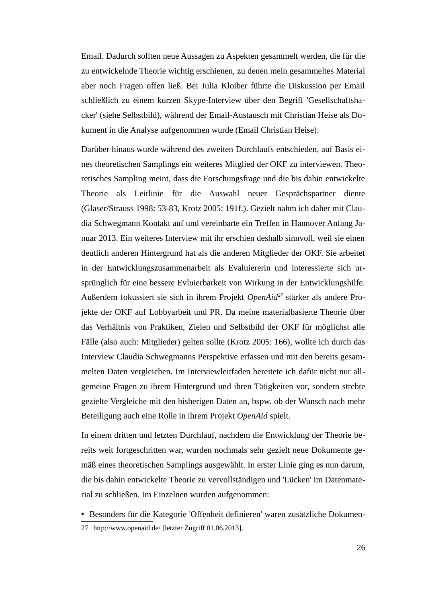Email. Dadurch sollten neue Aussagen zu Aspekten gesammelt werden, die für die zu entwickelnde Theorie wichtig erschienen, zu denen mein gesammeltes Material aber noch Fragen offen ließ. Bei Julia Kloiber führte die Diskussion per Email schließlich zu einem kurzen Skype-Interview über den Begriff 'Gesellschaftshacker' (siehe Selbstbild), während der Email-Austausch mit Christian Heise als Dokument in die Analyse aufgenommen wurde (Email Christian Heise).

Darüber hinaus wurde während des zweiten Durchlaufs entschieden, auf Basis eines theoretischen Samplings ein weiteres Mitglied der OKF zu interviewen. Theoretisches Sampling meint, dass die Forschungsfrage und die bis dahin entwickelte Theorie als Leitlinie für die Auswahl neuer Gesprächspartner diente (Glaser/Strauss 1998: 53-83, Krotz 2005: 191f.). Gezielt nahm ich daher mit Claudia Schwegmann Kontakt auf und vereinbarte ein Treffen in Hannover Anfang Januar 2013. Ein weiteres Interview mit ihr erschien deshalb sinnvoll, weil sie einen deutlich anderen Hintergrund hat als die anderen Mitglieder der OKF. Sie arbeitet in der Entwicklungszusammenarbeit als Evaluiererin und interessierte sich ursprünglich für eine bessere Evluierbarkeit von Wirkung in der Entwicklungshilfe. Außerdem fokussiert sie sich in ihrem Projekt *OpenAid[27](#page-28-0)* stärker als andere Projekte der OKF auf Lobbyarbeit und PR. Da meine materialbasierte Theorie über das Verhältnis von Praktiken, Zielen und Selbstbild der OKF für möglichst alle Fälle (also auch: Mitglieder) gelten sollte (Krotz 2005: 166), wollte ich durch das Interview Claudia Schwegmanns Perspektive erfassen und mit den bereits gesammelten Daten vergleichen. Im Interviewleitfaden bereitete ich dafür nicht nur allgemeine Fragen zu ihrem Hintergrund und ihren Tätigkeiten vor, sondern strebte gezielte Vergleiche mit den bisherigen Daten an, bspw. ob der Wunsch nach mehr Beteiligung auch eine Rolle in ihrem Projekt *OpenAid* spielt.

In einem dritten und letzten Durchlauf, nachdem die Entwicklung der Theorie bereits weit fortgeschritten war, wurden nochmals sehr gezielt neue Dokumente gemäß eines theoretischen Samplings ausgewählt. In erster Linie ging es nun darum, die bis dahin entwickelte Theorie zu vervollständigen und 'Lücken' im Datenmaterial zu schließen. Im Einzelnen wurden aufgenommen:

- Besonders für die Kategorie 'Offenheit definieren' waren zusätzliche Dokumen-
- <span id="page-28-0"></span>27 <http://www.openaid.de/>[letzter Zugriff 01.06.2013].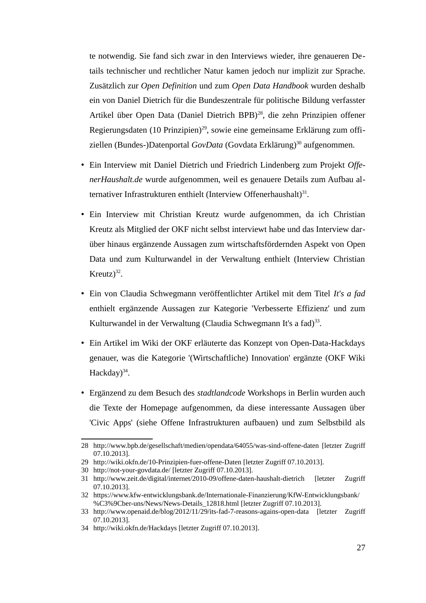te notwendig. Sie fand sich zwar in den Interviews wieder, ihre genaueren Details technischer und rechtlicher Natur kamen jedoch nur implizit zur Sprache. Zusätzlich zur *Open Definition* und zum *Open Data Handbook* wurden deshalb ein von Daniel Dietrich für die Bundeszentrale für politische Bildung verfasster Artikel über Open Data (Daniel Dietrich BPB)<sup>[28](#page-29-0)</sup>, die zehn Prinzipien offener Regierungsdaten (10 Prinzipien)<sup>[29](#page-29-1)</sup>, sowie eine gemeinsame Erklärung zum offiziellen (Bundes-)Datenportal *GovData* (Govdata Erklärung)<sup>[30](#page-29-2)</sup> aufgenommen.

- Ein Interview mit Daniel Dietrich und Friedrich Lindenberg zum Projekt *OffenerHaushalt.de* wurde aufgenommen, weil es genauere Details zum Aufbau al-ternativer Infrastrukturen enthielt (Interview Offenerhaushalt)<sup>[31](#page-29-3)</sup>.
- Ein Interview mit Christian Kreutz wurde aufgenommen, da ich Christian Kreutz als Mitglied der OKF nicht selbst interviewt habe und das Interview darüber hinaus ergänzende Aussagen zum wirtschaftsfördernden Aspekt von Open Data und zum Kulturwandel in der Verwaltung enthielt (Interview Christian Kreutz $)^{32}$  $)^{32}$  $)^{32}$ .
- Ein von Claudia Schwegmann veröffentlichter Artikel mit dem Titel *It's a fad* enthielt ergänzende Aussagen zur Kategorie 'Verbesserte Effizienz' und zum Kulturwandel in der Verwaltung (Claudia Schwegmann It's a fad)<sup>[33](#page-29-5)</sup>.
- Ein Artikel im Wiki der OKF erläuterte das Konzept von Open-Data-Hackdays genauer, was die Kategorie '(Wirtschaftliche) Innovation' ergänzte (OKF Wiki Hackday)<sup>[34](#page-29-6)</sup>.
- Ergänzend zu dem Besuch des *stadtlandcode* Workshops in Berlin wurden auch die Texte der Homepage aufgenommen, da diese interessante Aussagen über 'Civic Apps' (siehe Offene Infrastrukturen aufbauen) und zum Selbstbild als

<span id="page-29-0"></span><sup>28</sup> <http://www.bpb.de/gesellschaft/medien/opendata/64055/was-sind-offene-daten>[letzter Zugriff 07.10.2013].

<span id="page-29-1"></span><sup>29</sup> <http://wiki.okfn.de/10-Prinzipien-fuer-offene-Daten> [letzter Zugriff 07.10.2013].

<span id="page-29-2"></span><sup>30</sup> <http://not-your-govdata.de/> [letzter Zugriff 07.10.2013].

<span id="page-29-3"></span><sup>31</sup> <http://www.zeit.de/digital/internet/2010-09/offene-daten-haushalt-dietrich> [letzter Zugriff 07.10.2013].

<span id="page-29-4"></span><sup>32</sup> [https://www.kfw-entwicklungsbank.de/Internationale-Finanzierung/KfW-Entwicklungsbank/](https://www.kfw-entwicklungsbank.de/Internationale-Finanzierung/KfW-Entwicklungsbank/%C3%9Cber-uns/News/News-Details_12818.html) [%C3%9Cber-uns/News/News-Details\\_12818.html](https://www.kfw-entwicklungsbank.de/Internationale-Finanzierung/KfW-Entwicklungsbank/%C3%9Cber-uns/News/News-Details_12818.html) [letzter Zugriff 07.10.2013].

<span id="page-29-5"></span><sup>33</sup> <http://www.openaid.de/blog/2012/11/29/its-fad-7-reasons-agains-open-data> [letzter Zugriff 07.10.2013].

<span id="page-29-6"></span><sup>34</sup> <http://wiki.okfn.de/Hackdays> [letzter Zugriff 07.10.2013].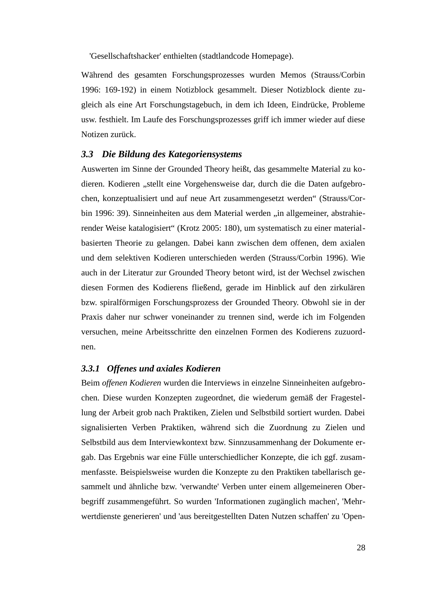'Gesellschaftshacker' enthielten (stadtlandcode Homepage).

Während des gesamten Forschungsprozesses wurden Memos (Strauss/Corbin 1996: 169-192) in einem Notizblock gesammelt. Dieser Notizblock diente zugleich als eine Art Forschungstagebuch, in dem ich Ideen, Eindrücke, Probleme usw. festhielt. Im Laufe des Forschungsprozesses griff ich immer wieder auf diese Notizen zurück.

### <span id="page-30-1"></span>*3.3 Die Bildung des Kategoriensystems*

Auswerten im Sinne der Grounded Theory heißt, das gesammelte Material zu kodieren. Kodieren "stellt eine Vorgehensweise dar, durch die die Daten aufgebrochen, konzeptualisiert und auf neue Art zusammengesetzt werden" (Strauss/Corbin 1996: 39). Sinneinheiten aus dem Material werden "in allgemeiner, abstrahierender Weise katalogisiert" (Krotz 2005: 180), um systematisch zu einer materialbasierten Theorie zu gelangen. Dabei kann zwischen dem offenen, dem axialen und dem selektiven Kodieren unterschieden werden (Strauss/Corbin 1996). Wie auch in der Literatur zur Grounded Theory betont wird, ist der Wechsel zwischen diesen Formen des Kodierens fließend, gerade im Hinblick auf den zirkulären bzw. spiralförmigen Forschungsprozess der Grounded Theory. Obwohl sie in der Praxis daher nur schwer voneinander zu trennen sind, werde ich im Folgenden versuchen, meine Arbeitsschritte den einzelnen Formen des Kodierens zuzuordnen.

#### <span id="page-30-0"></span>*3.3.1 Offenes und axiales Kodieren*

Beim *offenen Kodieren* wurden die Interviews in einzelne Sinneinheiten aufgebrochen. Diese wurden Konzepten zugeordnet, die wiederum gemäß der Fragestellung der Arbeit grob nach Praktiken, Zielen und Selbstbild sortiert wurden. Dabei signalisierten Verben Praktiken, während sich die Zuordnung zu Zielen und Selbstbild aus dem Interviewkontext bzw. Sinnzusammenhang der Dokumente ergab. Das Ergebnis war eine Fülle unterschiedlicher Konzepte, die ich ggf. zusammenfasste. Beispielsweise wurden die Konzepte zu den Praktiken tabellarisch gesammelt und ähnliche bzw. 'verwandte' Verben unter einem allgemeineren Oberbegriff zusammengeführt. So wurden 'Informationen zugänglich machen', 'Mehrwertdienste generieren' und 'aus bereitgestellten Daten Nutzen schaffen' zu 'Open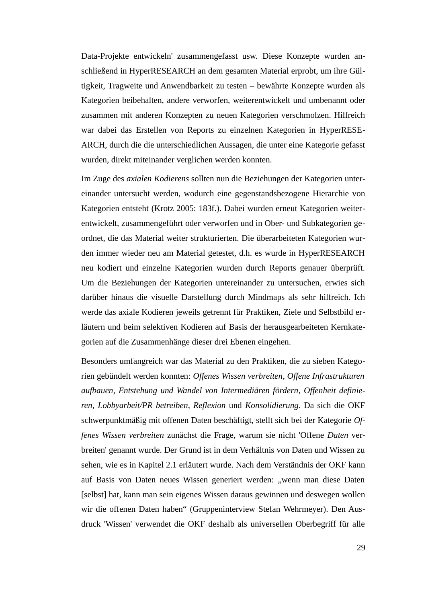Data-Projekte entwickeln' zusammengefasst usw. Diese Konzepte wurden anschließend in HyperRESEARCH an dem gesamten Material erprobt, um ihre Gültigkeit, Tragweite und Anwendbarkeit zu testen – bewährte Konzepte wurden als Kategorien beibehalten, andere verworfen, weiterentwickelt und umbenannt oder zusammen mit anderen Konzepten zu neuen Kategorien verschmolzen. Hilfreich war dabei das Erstellen von Reports zu einzelnen Kategorien in HyperRESE-ARCH, durch die die unterschiedlichen Aussagen, die unter eine Kategorie gefasst wurden, direkt miteinander verglichen werden konnten.

Im Zuge des *axialen Kodierens* sollten nun die Beziehungen der Kategorien untereinander untersucht werden, wodurch eine gegenstandsbezogene Hierarchie von Kategorien entsteht (Krotz 2005: 183f.). Dabei wurden erneut Kategorien weiterentwickelt, zusammengeführt oder verworfen und in Ober- und Subkategorien geordnet, die das Material weiter strukturierten. Die überarbeiteten Kategorien wurden immer wieder neu am Material getestet, d.h. es wurde in HyperRESEARCH neu kodiert und einzelne Kategorien wurden durch Reports genauer überprüft. Um die Beziehungen der Kategorien untereinander zu untersuchen, erwies sich darüber hinaus die visuelle Darstellung durch Mindmaps als sehr hilfreich. Ich werde das axiale Kodieren jeweils getrennt für Praktiken, Ziele und Selbstbild erläutern und beim selektiven Kodieren auf Basis der herausgearbeiteten Kernkategorien auf die Zusammenhänge dieser drei Ebenen eingehen.

Besonders umfangreich war das Material zu den Praktiken, die zu sieben Kategorien gebündelt werden konnten: *Offenes Wissen verbreiten*, *Offene Infrastrukturen aufbauen*, *Entstehung und Wandel von Intermediären fördern*, *Offenheit definieren*, *Lobbyarbeit/PR betreiben*, *Reflexion* und *Konsolidierung*. Da sich die OKF schwerpunktmäßig mit offenen Daten beschäftigt, stellt sich bei der Kategorie *Offenes Wissen verbreiten* zunächst die Frage, warum sie nicht 'Offene *Daten* verbreiten' genannt wurde. Der Grund ist in dem Verhältnis von Daten und Wissen zu sehen, wie es in Kapitel 2.1 erläutert wurde. Nach dem Verständnis der OKF kann auf Basis von Daten neues Wissen generiert werden: "wenn man diese Daten [selbst] hat, kann man sein eigenes Wissen daraus gewinnen und deswegen wollen wir die offenen Daten haben" (Gruppeninterview Stefan Wehrmeyer). Den Ausdruck 'Wissen' verwendet die OKF deshalb als universellen Oberbegriff für alle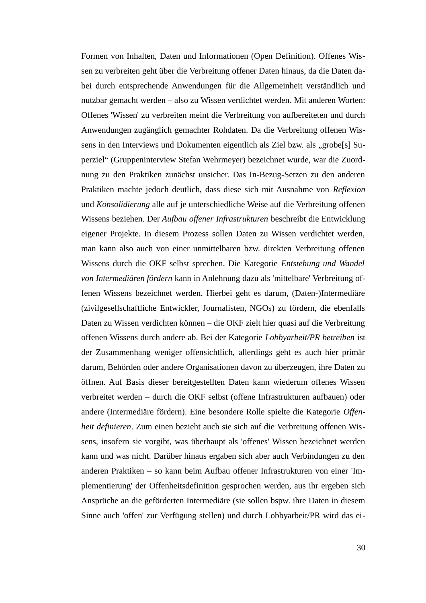Formen von Inhalten, Daten und Informationen (Open Definition). Offenes Wissen zu verbreiten geht über die Verbreitung offener Daten hinaus, da die Daten dabei durch entsprechende Anwendungen für die Allgemeinheit verständlich und nutzbar gemacht werden – also zu Wissen verdichtet werden. Mit anderen Worten: Offenes 'Wissen' zu verbreiten meint die Verbreitung von aufbereiteten und durch Anwendungen zugänglich gemachter Rohdaten. Da die Verbreitung offenen Wissens in den Interviews und Dokumenten eigentlich als Ziel bzw. als "grobe[s] Superziel" (Gruppeninterview Stefan Wehrmeyer) bezeichnet wurde, war die Zuordnung zu den Praktiken zunächst unsicher. Das In-Bezug-Setzen zu den anderen Praktiken machte jedoch deutlich, dass diese sich mit Ausnahme von *Reflexion* und *Konsolidierung* alle auf je unterschiedliche Weise auf die Verbreitung offenen Wissens beziehen. Der *Aufbau offener Infrastrukturen* beschreibt die Entwicklung eigener Projekte. In diesem Prozess sollen Daten zu Wissen verdichtet werden, man kann also auch von einer unmittelbaren bzw. direkten Verbreitung offenen Wissens durch die OKF selbst sprechen. Die Kategorie *Entstehung und Wandel von Intermediären fördern* kann in Anlehnung dazu als 'mittelbare' Verbreitung offenen Wissens bezeichnet werden. Hierbei geht es darum, (Daten-)Intermediäre (zivilgesellschaftliche Entwickler, Journalisten, NGOs) zu fördern, die ebenfalls Daten zu Wissen verdichten können – die OKF zielt hier quasi auf die Verbreitung offenen Wissens durch andere ab. Bei der Kategorie *Lobbyarbeit/PR betreiben* ist der Zusammenhang weniger offensichtlich, allerdings geht es auch hier primär darum, Behörden oder andere Organisationen davon zu überzeugen, ihre Daten zu öffnen. Auf Basis dieser bereitgestellten Daten kann wiederum offenes Wissen verbreitet werden – durch die OKF selbst (offene Infrastrukturen aufbauen) oder andere (Intermediäre fördern). Eine besondere Rolle spielte die Kategorie *Offenheit definieren*. Zum einen bezieht auch sie sich auf die Verbreitung offenen Wissens, insofern sie vorgibt, was überhaupt als 'offenes' Wissen bezeichnet werden kann und was nicht. Darüber hinaus ergaben sich aber auch Verbindungen zu den anderen Praktiken – so kann beim Aufbau offener Infrastrukturen von einer 'Implementierung' der Offenheitsdefinition gesprochen werden, aus ihr ergeben sich Ansprüche an die geförderten Intermediäre (sie sollen bspw. ihre Daten in diesem Sinne auch 'offen' zur Verfügung stellen) und durch Lobbyarbeit/PR wird das ei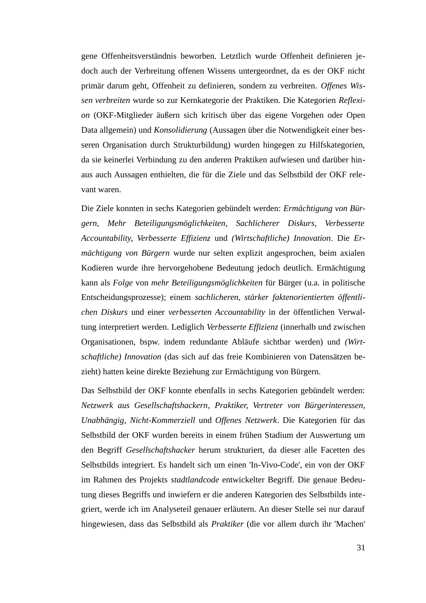gene Offenheitsverständnis beworben. Letztlich wurde Offenheit definieren jedoch auch der Verbreitung offenen Wissens untergeordnet, da es der OKF nicht primär darum geht, Offenheit zu definieren, sondern zu verbreiten. *Offenes Wissen verbreiten* wurde so zur Kernkategorie der Praktiken. Die Kategorien *Reflexion* (OKF-Mitglieder äußern sich kritisch über das eigene Vorgehen oder Open Data allgemein) und *Konsolidierung* (Aussagen über die Notwendigkeit einer besseren Organisation durch Strukturbildung) wurden hingegen zu Hilfskategorien, da sie keinerlei Verbindung zu den anderen Praktiken aufwiesen und darüber hinaus auch Aussagen enthielten, die für die Ziele und das Selbstbild der OKF relevant waren.

Die Ziele konnten in sechs Kategorien gebündelt werden: *Ermächtigung von Bürgern*, *Mehr Beteiligungsmöglichkeiten*, *Sachlicherer Diskurs*, *Verbesserte Accountability*, *Verbesserte Effizienz* und *(Wirtschaftliche) Innovation*. Die *Ermächtigung von Bürgern* wurde nur selten explizit angesprochen, beim axialen Kodieren wurde ihre hervorgehobene Bedeutung jedoch deutlich. Ermächtigung kann als *Folge* von *mehr Beteiligungsmöglichkeiten* für Bürger (u.a. in politische Entscheidungsprozesse); einem *sachlicheren, stärker faktenorientierten öffentlichen Diskurs* und einer *verbesserten Accountability* in der öffentlichen Verwaltung interpretiert werden. Lediglich *Verbesserte Effizienz* (innerhalb und zwischen Organisationen, bspw. indem redundante Abläufe sichtbar werden) und *(Wirtschaftliche) Innovation* (das sich auf das freie Kombinieren von Datensätzen bezieht) hatten keine direkte Beziehung zur Ermächtigung von Bürgern.

Das Selbstbild der OKF konnte ebenfalls in sechs Kategorien gebündelt werden: *Netzwerk aus Gesellschaftshackern*, *Praktiker*, *Vertreter von Bürgerinteressen*, *Unabhängig*, *Nicht-Kommerziell* und *Offenes Netzwerk*. Die Kategorien für das Selbstbild der OKF wurden bereits in einem frühen Stadium der Auswertung um den Begriff *Gesellschaftshacker* herum strukturiert, da dieser alle Facetten des Selbstbilds integriert. Es handelt sich um einen 'In-Vivo-Code', ein von der OKF im Rahmen des Projekts *stadtlandcode* entwickelter Begriff. Die genaue Bedeutung dieses Begriffs und inwiefern er die anderen Kategorien des Selbstbilds integriert, werde ich im Analyseteil genauer erläutern. An dieser Stelle sei nur darauf hingewiesen, dass das Selbstbild als *Praktiker* (die vor allem durch ihr 'Machen'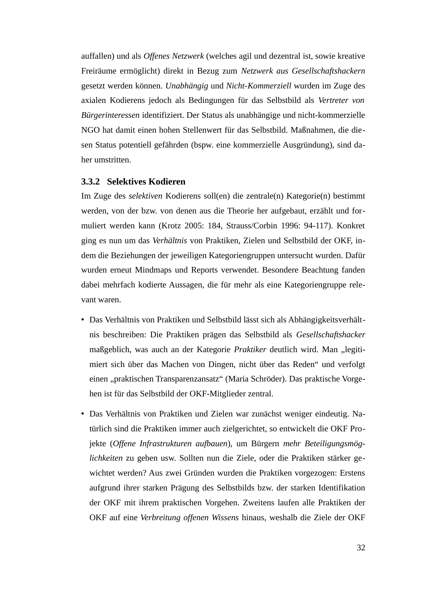auffallen) und als *Offenes Netzwerk* (welches agil und dezentral ist, sowie kreative Freiräume ermöglicht) direkt in Bezug zum *Netzwerk aus Gesellschaftshackern* gesetzt werden können. *Unabhängig* und *Nicht-Kommerziell* wurden im Zuge des axialen Kodierens jedoch als Bedingungen für das Selbstbild als *Vertreter von Bürgerinteressen* identifiziert. Der Status als unabhängige und nicht-kommerzielle NGO hat damit einen hohen Stellenwert für das Selbstbild. Maßnahmen, die diesen Status potentiell gefährden (bspw. eine kommerzielle Ausgründung), sind daher umstritten.

#### <span id="page-34-0"></span>**3.3.2 Selektives Kodieren**

Im Zuge des *selektiven* Kodierens soll(en) die zentrale(n) Kategorie(n) bestimmt werden, von der bzw. von denen aus die Theorie her aufgebaut, erzählt und formuliert werden kann (Krotz 2005: 184, Strauss/Corbin 1996: 94-117). Konkret ging es nun um das *Verhältnis* von Praktiken, Zielen und Selbstbild der OKF, indem die Beziehungen der jeweiligen Kategoriengruppen untersucht wurden. Dafür wurden erneut Mindmaps und Reports verwendet. Besondere Beachtung fanden dabei mehrfach kodierte Aussagen, die für mehr als eine Kategoriengruppe relevant waren.

- Das Verhältnis von Praktiken und Selbstbild lässt sich als Abhängigkeitsverhältnis beschreiben: Die Praktiken prägen das Selbstbild als *Gesellschaftshacker* maßgeblich, was auch an der Kategorie *Praktiker* deutlich wird. Man "legitimiert sich über das Machen von Dingen, nicht über das Reden" und verfolgt einen "praktischen Transparenzansatz" (Maria Schröder). Das praktische Vorgehen ist für das Selbstbild der OKF-Mitglieder zentral.
- Das Verhältnis von Praktiken und Zielen war zunächst weniger eindeutig. Natürlich sind die Praktiken immer auch zielgerichtet, so entwickelt die OKF Projekte (*Offene Infrastrukturen aufbauen*), um Bürgern *mehr Beteiligungsmöglichkeiten* zu geben usw. Sollten nun die Ziele, oder die Praktiken stärker gewichtet werden? Aus zwei Gründen wurden die Praktiken vorgezogen: Erstens aufgrund ihrer starken Prägung des Selbstbilds bzw. der starken Identifikation der OKF mit ihrem praktischen Vorgehen. Zweitens laufen alle Praktiken der OKF auf eine *Verbreitung offenen Wissens* hinaus, weshalb die Ziele der OKF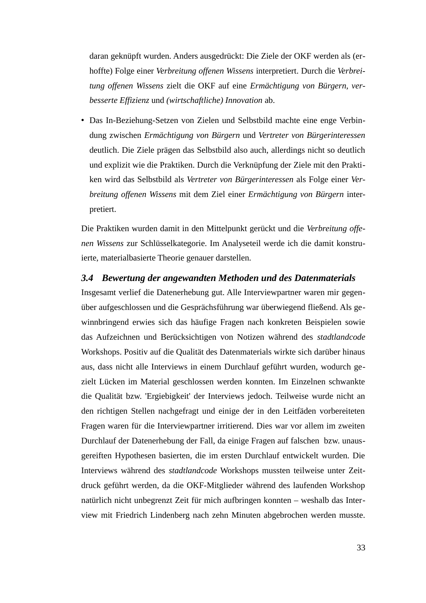daran geknüpft wurden. Anders ausgedrückt: Die Ziele der OKF werden als (erhoffte) Folge einer *Verbreitung offenen Wissens* interpretiert. Durch die *Verbreitung offenen Wissens* zielt die OKF auf eine *Ermächtigung von Bürgern*, *verbesserte Effizienz* und *(wirtschaftliche) Innovation* ab.

• Das In-Beziehung-Setzen von Zielen und Selbstbild machte eine enge Verbindung zwischen *Ermächtigung von Bürgern* und *Vertreter von Bürgerinteressen* deutlich. Die Ziele prägen das Selbstbild also auch, allerdings nicht so deutlich und explizit wie die Praktiken. Durch die Verknüpfung der Ziele mit den Praktiken wird das Selbstbild als *Vertreter von Bürgerinteressen* als Folge einer *Verbreitung offenen Wissens* mit dem Ziel einer *Ermächtigung von Bürgern* interpretiert.

Die Praktiken wurden damit in den Mittelpunkt gerückt und die *Verbreitung offenen Wissens* zur Schlüsselkategorie. Im Analyseteil werde ich die damit konstruierte, materialbasierte Theorie genauer darstellen.

#### <span id="page-35-0"></span>*3.4 Bewertung der angewandten Methoden und des Datenmaterials*

Insgesamt verlief die Datenerhebung gut. Alle Interviewpartner waren mir gegenüber aufgeschlossen und die Gesprächsführung war überwiegend fließend. Als gewinnbringend erwies sich das häufige Fragen nach konkreten Beispielen sowie das Aufzeichnen und Berücksichtigen von Notizen während des *stadtlandcode* Workshops. Positiv auf die Qualität des Datenmaterials wirkte sich darüber hinaus aus, dass nicht alle Interviews in einem Durchlauf geführt wurden, wodurch gezielt Lücken im Material geschlossen werden konnten. Im Einzelnen schwankte die Qualität bzw. 'Ergiebigkeit' der Interviews jedoch. Teilweise wurde nicht an den richtigen Stellen nachgefragt und einige der in den Leitfäden vorbereiteten Fragen waren für die Interviewpartner irritierend. Dies war vor allem im zweiten Durchlauf der Datenerhebung der Fall, da einige Fragen auf falschen bzw. unausgereiften Hypothesen basierten, die im ersten Durchlauf entwickelt wurden. Die Interviews während des *stadtlandcode* Workshops mussten teilweise unter Zeitdruck geführt werden, da die OKF-Mitglieder während des laufenden Workshop natürlich nicht unbegrenzt Zeit für mich aufbringen konnten – weshalb das Interview mit Friedrich Lindenberg nach zehn Minuten abgebrochen werden musste.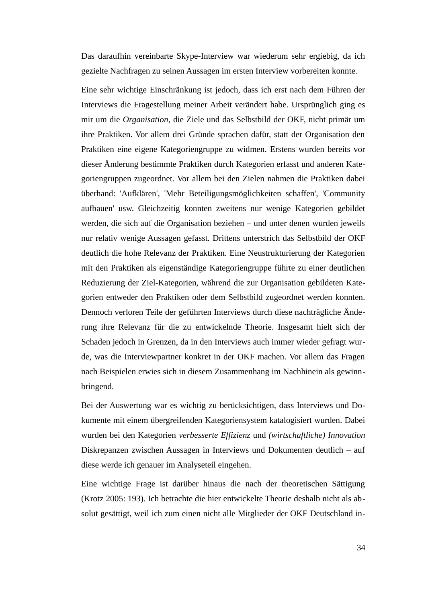Das daraufhin vereinbarte Skype-Interview war wiederum sehr ergiebig, da ich gezielte Nachfragen zu seinen Aussagen im ersten Interview vorbereiten konnte.

Eine sehr wichtige Einschränkung ist jedoch, dass ich erst nach dem Führen der Interviews die Fragestellung meiner Arbeit verändert habe. Ursprünglich ging es mir um die *Organisation*, die Ziele und das Selbstbild der OKF, nicht primär um ihre Praktiken. Vor allem drei Gründe sprachen dafür, statt der Organisation den Praktiken eine eigene Kategoriengruppe zu widmen. Erstens wurden bereits vor dieser Änderung bestimmte Praktiken durch Kategorien erfasst und anderen Kategoriengruppen zugeordnet. Vor allem bei den Zielen nahmen die Praktiken dabei überhand: 'Aufklären', 'Mehr Beteiligungsmöglichkeiten schaffen', 'Community aufbauen' usw. Gleichzeitig konnten zweitens nur wenige Kategorien gebildet werden, die sich auf die Organisation beziehen – und unter denen wurden jeweils nur relativ wenige Aussagen gefasst. Drittens unterstrich das Selbstbild der OKF deutlich die hohe Relevanz der Praktiken. Eine Neustrukturierung der Kategorien mit den Praktiken als eigenständige Kategoriengruppe führte zu einer deutlichen Reduzierung der Ziel-Kategorien, während die zur Organisation gebildeten Kategorien entweder den Praktiken oder dem Selbstbild zugeordnet werden konnten. Dennoch verloren Teile der geführten Interviews durch diese nachträgliche Änderung ihre Relevanz für die zu entwickelnde Theorie. Insgesamt hielt sich der Schaden jedoch in Grenzen, da in den Interviews auch immer wieder gefragt wurde, was die Interviewpartner konkret in der OKF machen. Vor allem das Fragen nach Beispielen erwies sich in diesem Zusammenhang im Nachhinein als gewinnbringend.

Bei der Auswertung war es wichtig zu berücksichtigen, dass Interviews und Dokumente mit einem übergreifenden Kategoriensystem katalogisiert wurden. Dabei wurden bei den Kategorien *verbesserte Effizienz* und *(wirtschaftliche) Innovation* Diskrepanzen zwischen Aussagen in Interviews und Dokumenten deutlich – auf diese werde ich genauer im Analyseteil eingehen.

Eine wichtige Frage ist darüber hinaus die nach der theoretischen Sättigung (Krotz 2005: 193). Ich betrachte die hier entwickelte Theorie deshalb nicht als absolut gesättigt, weil ich zum einen nicht alle Mitglieder der OKF Deutschland in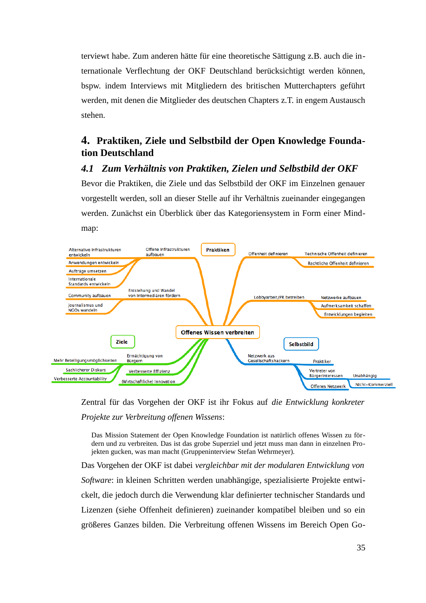terviewt habe. Zum anderen hätte für eine theoretische Sättigung z.B. auch die internationale Verflechtung der OKF Deutschland berücksichtigt werden können, bspw. indem Interviews mit Mitgliedern des britischen Mutterchapters geführt werden, mit denen die Mitglieder des deutschen Chapters z.T. in engem Austausch stehen.

# **4. Praktiken, Ziele und Selbstbild der Open Knowledge Foundation Deutschland**

## *4.1 Zum Verhältnis von Praktiken, Zielen und Selbstbild der OKF*

Bevor die Praktiken, die Ziele und das Selbstbild der OKF im Einzelnen genauer vorgestellt werden, soll an dieser Stelle auf ihr Verhältnis zueinander eingegangen werden. Zunächst ein Überblick über das Kategoriensystem in Form einer Mindmap:



Zentral für das Vorgehen der OKF ist ihr Fokus auf *die Entwicklung konkreter Projekte zur Verbreitung offenen Wissens*:

Das Mission Statement der Open Knowledge Foundation ist natürlich offenes Wissen zu fördern und zu verbreiten. Das ist das grobe Superziel und jetzt muss man dann in einzelnen Projekten gucken, was man macht (Gruppeninterview Stefan Wehrmeyer).

Das Vorgehen der OKF ist dabei *vergleichbar mit der modularen Entwicklung von Software*: in kleinen Schritten werden unabhängige, spezialisierte Projekte entwickelt, die jedoch durch die Verwendung klar definierter technischer Standards und Lizenzen (siehe Offenheit definieren) zueinander kompatibel bleiben und so ein größeres Ganzes bilden. Die Verbreitung offenen Wissens im Bereich Open Go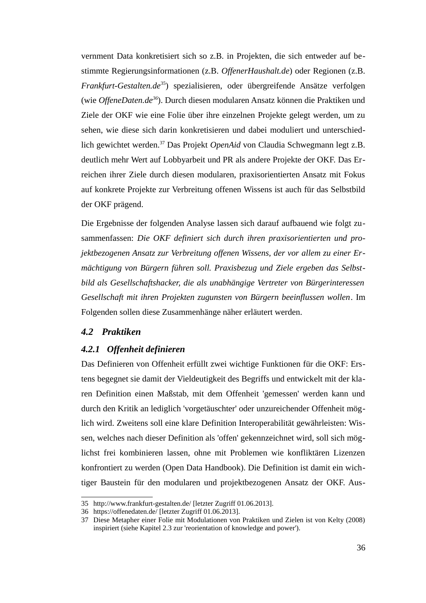vernment Data konkretisiert sich so z.B. in Projekten, die sich entweder auf bestimmte Regierungsinformationen (z.B. *OffenerHaushalt.de*) oder Regionen (z.B. *Frankfurt-Gestalten.de*[35](#page-38-0)) spezialisieren, oder übergreifende Ansätze verfolgen (wie *OffeneDaten.de[36](#page-38-1)*). Durch diesen modularen Ansatz können die Praktiken und Ziele der OKF wie eine Folie über ihre einzelnen Projekte gelegt werden, um zu sehen, wie diese sich darin konkretisieren und dabei moduliert und unterschiedlich gewichtet werden.[37](#page-38-2) Das Projekt *OpenAid* von Claudia Schwegmann legt z.B. deutlich mehr Wert auf Lobbyarbeit und PR als andere Projekte der OKF. Das Erreichen ihrer Ziele durch diesen modularen, praxisorientierten Ansatz mit Fokus auf konkrete Projekte zur Verbreitung offenen Wissens ist auch für das Selbstbild der OKF prägend.

Die Ergebnisse der folgenden Analyse lassen sich darauf aufbauend wie folgt zusammenfassen: *Die OKF definiert sich durch ihren praxisorientierten und projektbezogenen Ansatz zur Verbreitung offenen Wissens, der vor allem zu einer Ermächtigung von Bürgern führen soll. Praxisbezug und Ziele ergeben das Selbstbild als Gesellschaftshacker, die als unabhängige Vertreter von Bürgerinteressen Gesellschaft mit ihren Projekten zugunsten von Bürgern beeinflussen wollen*. Im Folgenden sollen diese Zusammenhänge näher erläutert werden.

## *4.2 Praktiken*

## *4.2.1 Offenheit definieren*

Das Definieren von Offenheit erfüllt zwei wichtige Funktionen für die OKF: Erstens begegnet sie damit der Vieldeutigkeit des Begriffs und entwickelt mit der klaren Definition einen Maßstab, mit dem Offenheit 'gemessen' werden kann und durch den Kritik an lediglich 'vorgetäuschter' oder unzureichender Offenheit möglich wird. Zweitens soll eine klare Definition Interoperabilität gewährleisten: Wissen, welches nach dieser Definition als 'offen' gekennzeichnet wird, soll sich möglichst frei kombinieren lassen, ohne mit Problemen wie konfliktären Lizenzen konfrontiert zu werden (Open Data Handbook). Die Definition ist damit ein wichtiger Baustein für den modularen und projektbezogenen Ansatz der OKF. Aus-

<span id="page-38-0"></span><sup>35</sup> <http://www.frankfurt-gestalten.de/>[letzter Zugriff 01.06.2013].

<span id="page-38-1"></span><sup>36</sup> <https://offenedaten.de/>[letzter Zugriff 01.06.2013].

<span id="page-38-2"></span><sup>37</sup> Diese Metapher einer Folie mit Modulationen von Praktiken und Zielen ist von Kelty (2008) inspiriert (siehe Kapitel 2.3 zur 'reorientation of knowledge and power').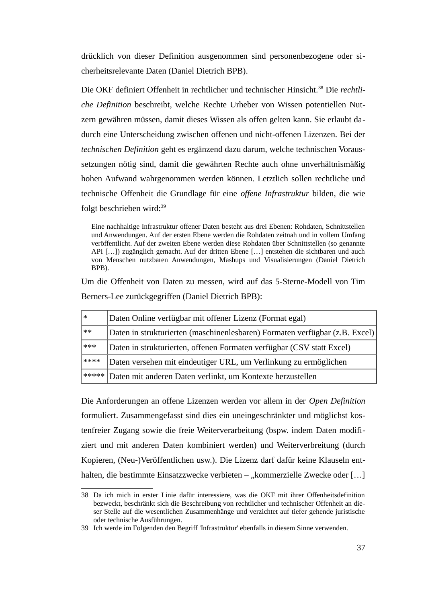drücklich von dieser Definition ausgenommen sind personenbezogene oder sicherheitsrelevante Daten (Daniel Dietrich BPB).

Die OKF definiert Offenheit in rechtlicher und technischer Hinsicht.[38](#page-39-0) Die *rechtliche Definition* beschreibt, welche Rechte Urheber von Wissen potentiellen Nutzern gewähren müssen, damit dieses Wissen als offen gelten kann. Sie erlaubt dadurch eine Unterscheidung zwischen offenen und nicht-offenen Lizenzen. Bei der *technischen Definition* geht es ergänzend dazu darum, welche technischen Voraussetzungen nötig sind, damit die gewährten Rechte auch ohne unverhältnismäßig hohen Aufwand wahrgenommen werden können. Letztlich sollen rechtliche und technische Offenheit die Grundlage für eine *offene Infrastruktur* bilden, die wie folgt beschrieben wird:<sup>[39](#page-39-1)</sup>

Eine nachhaltige Infrastruktur offener Daten besteht aus drei Ebenen: Rohdaten, Schnittstellen und Anwendungen. Auf der ersten Ebene werden die Rohdaten zeitnah und in vollem Umfang veröffentlicht. Auf der zweiten Ebene werden diese Rohdaten über Schnittstellen (so genannte API […]) zugänglich gemacht. Auf der dritten Ebene […] entstehen die sichtbaren und auch von Menschen nutzbaren Anwendungen, Mashups und Visualisierungen (Daniel Dietrich BPB).

Um die Offenheit von Daten zu messen, wird auf das 5-Sterne-Modell von Tim Berners-Lee zurückgegriffen (Daniel Dietrich BPB):

| $\ast$ | Daten Online verfügbar mit offener Lizenz (Format egal)                     |
|--------|-----------------------------------------------------------------------------|
| $***$  | Daten in strukturierten (maschinenlesbaren) Formaten verfügbar (z.B. Excel) |
| $***$  | Daten in strukturierten, offenen Formaten verfügbar (CSV statt Excel)       |
| ****   | Daten versehen mit eindeutiger URL, um Verlinkung zu ermöglichen            |
|        | ***** Daten mit anderen Daten verlinkt, um Kontexte herzustellen            |

Die Anforderungen an offene Lizenzen werden vor allem in der *Open Definition* formuliert. Zusammengefasst sind dies ein uneingeschränkter und möglichst kostenfreier Zugang sowie die freie Weiterverarbeitung (bspw. indem Daten modifiziert und mit anderen Daten kombiniert werden) und Weiterverbreitung (durch Kopieren, (Neu-)Veröffentlichen usw.). Die Lizenz darf dafür keine Klauseln enthalten, die bestimmte Einsatzzwecke verbieten – "kommerzielle Zwecke oder [...]

<span id="page-39-0"></span><sup>38</sup> Da ich mich in erster Linie dafür interessiere, was die OKF mit ihrer Offenheitsdefinition bezweckt, beschränkt sich die Beschreibung von rechtlicher und technischer Offenheit an dieser Stelle auf die wesentlichen Zusammenhänge und verzichtet auf tiefer gehende juristische oder technische Ausführungen.

<span id="page-39-1"></span><sup>39</sup> Ich werde im Folgenden den Begriff 'Infrastruktur' ebenfalls in diesem Sinne verwenden.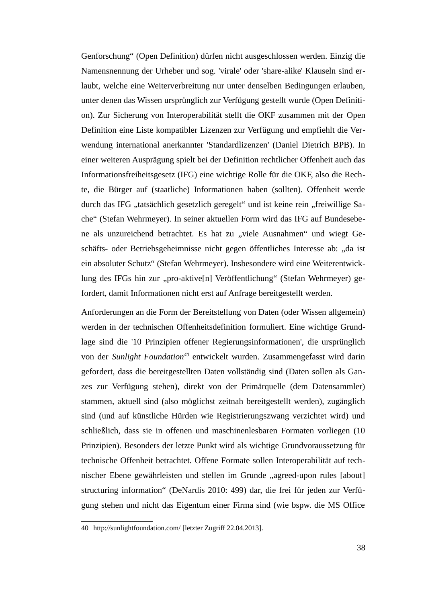Genforschung" (Open Definition) dürfen nicht ausgeschlossen werden. Einzig die Namensnennung der Urheber und sog. 'virale' oder 'share-alike' Klauseln sind erlaubt, welche eine Weiterverbreitung nur unter denselben Bedingungen erlauben, unter denen das Wissen ursprünglich zur Verfügung gestellt wurde (Open Definition). Zur Sicherung von Interoperabilität stellt die OKF zusammen mit der Open Definition eine Liste kompatibler Lizenzen zur Verfügung und empfiehlt die Verwendung international anerkannter 'Standardlizenzen' (Daniel Dietrich BPB). In einer weiteren Ausprägung spielt bei der Definition rechtlicher Offenheit auch das Informationsfreiheitsgesetz (IFG) eine wichtige Rolle für die OKF, also die Rechte, die Bürger auf (staatliche) Informationen haben (sollten). Offenheit werde durch das IFG "tatsächlich gesetzlich geregelt" und ist keine rein "freiwillige Sache" (Stefan Wehrmeyer). In seiner aktuellen Form wird das IFG auf Bundesebene als unzureichend betrachtet. Es hat zu "viele Ausnahmen" und wiegt Geschäfts- oder Betriebsgeheimnisse nicht gegen öffentliches Interesse ab: "da ist ein absoluter Schutz" (Stefan Wehrmeyer). Insbesondere wird eine Weiterentwicklung des IFGs hin zur "pro-aktive[n] Veröffentlichung" (Stefan Wehrmeyer) gefordert, damit Informationen nicht erst auf Anfrage bereitgestellt werden.

Anforderungen an die Form der Bereitstellung von Daten (oder Wissen allgemein) werden in der technischen Offenheitsdefinition formuliert. Eine wichtige Grundlage sind die '10 Prinzipien offener Regierungsinformationen', die ursprünglich von der *Sunlight Foundation[40](#page-40-0)* entwickelt wurden. Zusammengefasst wird darin gefordert, dass die bereitgestellten Daten vollständig sind (Daten sollen als Ganzes zur Verfügung stehen), direkt von der Primärquelle (dem Datensammler) stammen, aktuell sind (also möglichst zeitnah bereitgestellt werden), zugänglich sind (und auf künstliche Hürden wie Registrierungszwang verzichtet wird) und schließlich, dass sie in offenen und maschinenlesbaren Formaten vorliegen (10 Prinzipien). Besonders der letzte Punkt wird als wichtige Grundvoraussetzung für technische Offenheit betrachtet. Offene Formate sollen Interoperabilität auf technischer Ebene gewährleisten und stellen im Grunde "agreed-upon rules [about] structuring information" (DeNardis 2010: 499) dar, die frei für jeden zur Verfügung stehen und nicht das Eigentum einer Firma sind (wie bspw. die MS Office

<span id="page-40-0"></span><sup>40</sup> <http://sunlightfoundation.com/>[letzter Zugriff 22.04.2013].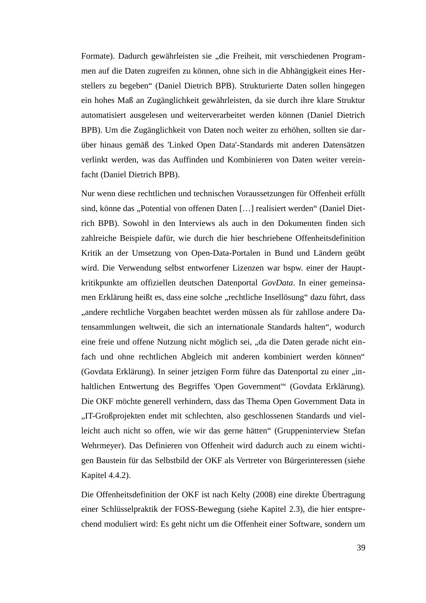Formate). Dadurch gewährleisten sie "die Freiheit, mit verschiedenen Programmen auf die Daten zugreifen zu können, ohne sich in die Abhängigkeit eines Herstellers zu begeben" (Daniel Dietrich BPB). Strukturierte Daten sollen hingegen ein hohes Maß an Zugänglichkeit gewährleisten, da sie durch ihre klare Struktur automatisiert ausgelesen und weiterverarbeitet werden können (Daniel Dietrich BPB). Um die Zugänglichkeit von Daten noch weiter zu erhöhen, sollten sie darüber hinaus gemäß des 'Linked Open Data'-Standards mit anderen Datensätzen verlinkt werden, was das Auffinden und Kombinieren von Daten weiter vereinfacht (Daniel Dietrich BPB).

Nur wenn diese rechtlichen und technischen Voraussetzungen für Offenheit erfüllt sind, könne das "Potential von offenen Daten [...] realisiert werden" (Daniel Dietrich BPB). Sowohl in den Interviews als auch in den Dokumenten finden sich zahlreiche Beispiele dafür, wie durch die hier beschriebene Offenheitsdefinition Kritik an der Umsetzung von Open-Data-Portalen in Bund und Ländern geübt wird. Die Verwendung selbst entworfener Lizenzen war bspw. einer der Hauptkritikpunkte am offiziellen deutschen Datenportal *GovData*. In einer gemeinsamen Erklärung heißt es, dass eine solche "rechtliche Insellösung" dazu führt, dass "andere rechtliche Vorgaben beachtet werden müssen als für zahllose andere Datensammlungen weltweit, die sich an internationale Standards halten", wodurch eine freie und offene Nutzung nicht möglich sei, "da die Daten gerade nicht einfach und ohne rechtlichen Abgleich mit anderen kombiniert werden können" (Govdata Erklärung). In seiner jetzigen Form führe das Datenportal zu einer "inhaltlichen Entwertung des Begriffes 'Open Government'" (Govdata Erklärung). Die OKF möchte generell verhindern, dass das Thema Open Government Data in "IT-Großprojekten endet mit schlechten, also geschlossenen Standards und vielleicht auch nicht so offen, wie wir das gerne hätten" (Gruppeninterview Stefan Wehrmeyer). Das Definieren von Offenheit wird dadurch auch zu einem wichtigen Baustein für das Selbstbild der OKF als Vertreter von Bürgerinteressen (siehe Kapitel 4.4.2).

Die Offenheitsdefinition der OKF ist nach Kelty (2008) eine direkte Übertragung einer Schlüsselpraktik der FOSS-Bewegung (siehe Kapitel 2.3), die hier entsprechend moduliert wird: Es geht nicht um die Offenheit einer Software, sondern um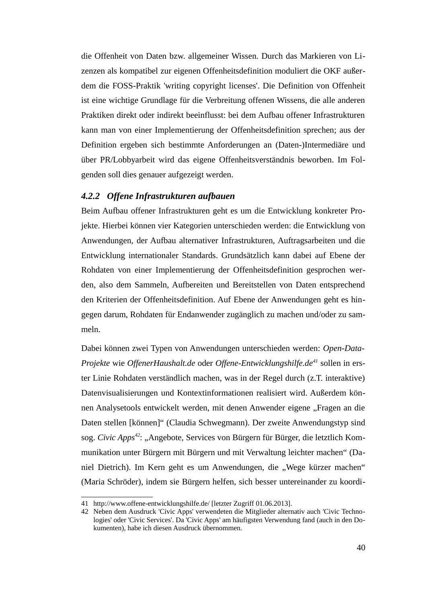die Offenheit von Daten bzw. allgemeiner Wissen. Durch das Markieren von Lizenzen als kompatibel zur eigenen Offenheitsdefinition moduliert die OKF außerdem die FOSS-Praktik 'writing copyright licenses'. Die Definition von Offenheit ist eine wichtige Grundlage für die Verbreitung offenen Wissens, die alle anderen Praktiken direkt oder indirekt beeinflusst: bei dem Aufbau offener Infrastrukturen kann man von einer Implementierung der Offenheitsdefinition sprechen; aus der Definition ergeben sich bestimmte Anforderungen an (Daten-)Intermediäre und über PR/Lobbyarbeit wird das eigene Offenheitsverständnis beworben. Im Folgenden soll dies genauer aufgezeigt werden.

## *4.2.2 Offene Infrastrukturen aufbauen*

Beim Aufbau offener Infrastrukturen geht es um die Entwicklung konkreter Projekte. Hierbei können vier Kategorien unterschieden werden: die Entwicklung von Anwendungen, der Aufbau alternativer Infrastrukturen, Auftragsarbeiten und die Entwicklung internationaler Standards. Grundsätzlich kann dabei auf Ebene der Rohdaten von einer Implementierung der Offenheitsdefinition gesprochen werden, also dem Sammeln, Aufbereiten und Bereitstellen von Daten entsprechend den Kriterien der Offenheitsdefinition. Auf Ebene der Anwendungen geht es hingegen darum, Rohdaten für Endanwender zugänglich zu machen und/oder zu sammeln.

Dabei können zwei Typen von Anwendungen unterschieden werden: *Open-Data-Projekte* wie *OffenerHaushalt.de* oder *Offene-Entwicklungshilfe.de[41](#page-42-0)* sollen in erster Linie Rohdaten verständlich machen, was in der Regel durch (z.T. interaktive) Datenvisualisierungen und Kontextinformationen realisiert wird. Außerdem können Analysetools entwickelt werden, mit denen Anwender eigene "Fragen an die Daten stellen [können]" (Claudia Schwegmann). Der zweite Anwendungstyp sind sog. *Civic Apps<sup>[42](#page-42-1)</sup>*: "Angebote, Services von Bürgern für Bürger, die letztlich Kommunikation unter Bürgern mit Bürgern und mit Verwaltung leichter machen" (Daniel Dietrich). Im Kern geht es um Anwendungen, die "Wege kürzer machen" (Maria Schröder), indem sie Bürgern helfen, sich besser untereinander zu koordi-

<span id="page-42-0"></span><sup>41</sup> <http://www.offene-entwicklungshilfe.de/>[letzter Zugriff 01.06.2013].

<span id="page-42-1"></span><sup>42</sup> Neben dem Ausdruck 'Civic Apps' verwendeten die Mitglieder alternativ auch 'Civic Technologies' oder 'Civic Services'. Da 'Civic Apps' am häufigsten Verwendung fand (auch in den Dokumenten), habe ich diesen Ausdruck übernommen.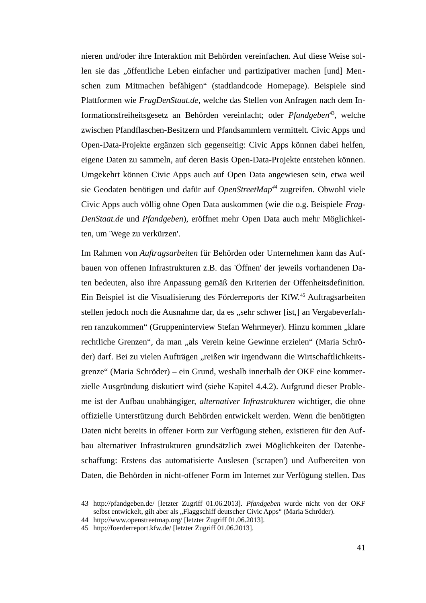nieren und/oder ihre Interaktion mit Behörden vereinfachen. Auf diese Weise sollen sie das "öffentliche Leben einfacher und partizipativer machen [und] Menschen zum Mitmachen befähigen" (stadtlandcode Homepage). Beispiele sind Plattformen wie *FragDenStaat.de*, welche das Stellen von Anfragen nach dem Informationsfreiheitsgesetz an Behörden vereinfacht; oder *Pfandgeben*<sup>[43](#page-43-0)</sup>, welche zwischen Pfandflaschen-Besitzern und Pfandsammlern vermittelt. Civic Apps und Open-Data-Projekte ergänzen sich gegenseitig: Civic Apps können dabei helfen, eigene Daten zu sammeln, auf deren Basis Open-Data-Projekte entstehen können. Umgekehrt können Civic Apps auch auf Open Data angewiesen sein, etwa weil sie Geodaten benötigen und dafür auf *OpenStreetMap[44](#page-43-1)* zugreifen. Obwohl viele Civic Apps auch völlig ohne Open Data auskommen (wie die o.g. Beispiele *Frag-DenStaat.de* und *Pfandgeben*), eröffnet mehr Open Data auch mehr Möglichkeiten, um 'Wege zu verkürzen'.

Im Rahmen von *Auftragsarbeiten* für Behörden oder Unternehmen kann das Aufbauen von offenen Infrastrukturen z.B. das 'Öffnen' der jeweils vorhandenen Daten bedeuten, also ihre Anpassung gemäß den Kriterien der Offenheitsdefinition. Ein Beispiel ist die Visualisierung des Förderreports der KfW.[45](#page-43-2) Auftragsarbeiten stellen jedoch noch die Ausnahme dar, da es "sehr schwer [ist,] an Vergabeverfahren ranzukommen" (Gruppeninterview Stefan Wehrmeyer). Hinzu kommen "klare rechtliche Grenzen", da man "als Verein keine Gewinne erzielen" (Maria Schröder) darf. Bei zu vielen Aufträgen "reißen wir irgendwann die Wirtschaftlichkeitsgrenze" (Maria Schröder) – ein Grund, weshalb innerhalb der OKF eine kommerzielle Ausgründung diskutiert wird (siehe Kapitel 4.4.2). Aufgrund dieser Probleme ist der Aufbau unabhängiger, *alternativer Infrastrukturen* wichtiger, die ohne offizielle Unterstützung durch Behörden entwickelt werden. Wenn die benötigten Daten nicht bereits in offener Form zur Verfügung stehen, existieren für den Aufbau alternativer Infrastrukturen grundsätzlich zwei Möglichkeiten der Datenbeschaffung: Erstens das automatisierte Auslesen ('scrapen') und Aufbereiten von Daten, die Behörden in nicht-offener Form im Internet zur Verfügung stellen. Das

<span id="page-43-0"></span><sup>43</sup> <http://pfandgeben.de/>[letzter Zugriff 01.06.2013]. *Pfandgeben* wurde nicht von der OKF selbst entwickelt, gilt aber als "Flaggschiff deutscher Civic Apps" (Maria Schröder).

<span id="page-43-1"></span><sup>44</sup> <http://www.openstreetmap.org/>[letzter Zugriff 01.06.2013].

<span id="page-43-2"></span><sup>45</sup> <http://foerderreport.kfw.de/>[letzter Zugriff 01.06.2013].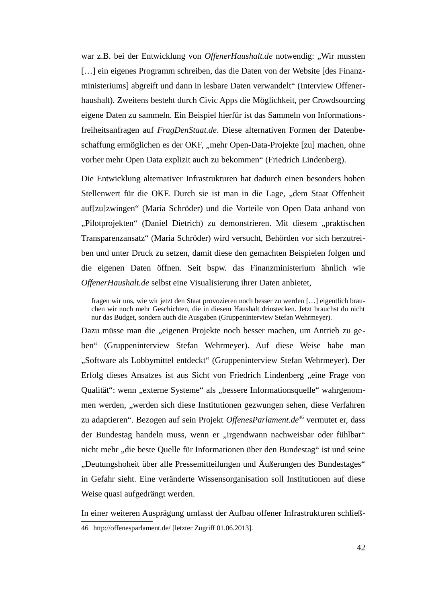war z.B. bei der Entwicklung von *OffenerHaushalt.de* notwendig: "Wir mussten [...] ein eigenes Programm schreiben, das die Daten von der Website [des Finanzministeriums] abgreift und dann in lesbare Daten verwandelt" (Interview Offenerhaushalt). Zweitens besteht durch Civic Apps die Möglichkeit, per Crowdsourcing eigene Daten zu sammeln. Ein Beispiel hierfür ist das Sammeln von Informationsfreiheitsanfragen auf *FragDenStaat.de*. Diese alternativen Formen der Datenbeschaffung ermöglichen es der OKF, "mehr Open-Data-Projekte [zu] machen, ohne vorher mehr Open Data explizit auch zu bekommen" (Friedrich Lindenberg).

Die Entwicklung alternativer Infrastrukturen hat dadurch einen besonders hohen Stellenwert für die OKF. Durch sie ist man in die Lage, "dem Staat Offenheit auf[zu]zwingen" (Maria Schröder) und die Vorteile von Open Data anhand von "Pilotprojekten" (Daniel Dietrich) zu demonstrieren. Mit diesem "praktischen Transparenzansatz" (Maria Schröder) wird versucht, Behörden vor sich herzutreiben und unter Druck zu setzen, damit diese den gemachten Beispielen folgen und die eigenen Daten öffnen. Seit bspw. das Finanzministerium ähnlich wie *OffenerHaushalt.de* selbst eine Visualisierung ihrer Daten anbietet,

fragen wir uns, wie wir jetzt den Staat provozieren noch besser zu werden […] eigentlich brauchen wir noch mehr Geschichten, die in diesem Haushalt drinstecken. Jetzt brauchst du nicht nur das Budget, sondern auch die Ausgaben (Gruppeninterview Stefan Wehrmeyer).

Dazu müsse man die "eigenen Projekte noch besser machen, um Antrieb zu geben" (Gruppeninterview Stefan Wehrmeyer). Auf diese Weise habe man "Software als Lobbymittel entdeckt" (Gruppeninterview Stefan Wehrmeyer). Der Erfolg dieses Ansatzes ist aus Sicht von Friedrich Lindenberg "eine Frage von Qualität": wenn "externe Systeme" als "bessere Informationsquelle" wahrgenommen werden, "werden sich diese Institutionen gezwungen sehen, diese Verfahren zu adaptieren". Bezogen auf sein Projekt *OffenesParlament.de<sup>[46](#page-44-0)</sup> vermutet er, dass* der Bundestag handeln muss, wenn er "irgendwann nachweisbar oder fühlbar" nicht mehr "die beste Quelle für Informationen über den Bundestag" ist und seine "Deutungshoheit über alle Pressemitteilungen und Äußerungen des Bundestages" in Gefahr sieht. Eine veränderte Wissensorganisation soll Institutionen auf diese Weise quasi aufgedrängt werden.

In einer weiteren Ausprägung umfasst der Aufbau offener Infrastrukturen schließ-

<span id="page-44-0"></span><sup>46</sup> <http://offenesparlament.de/>[letzter Zugriff 01.06.2013].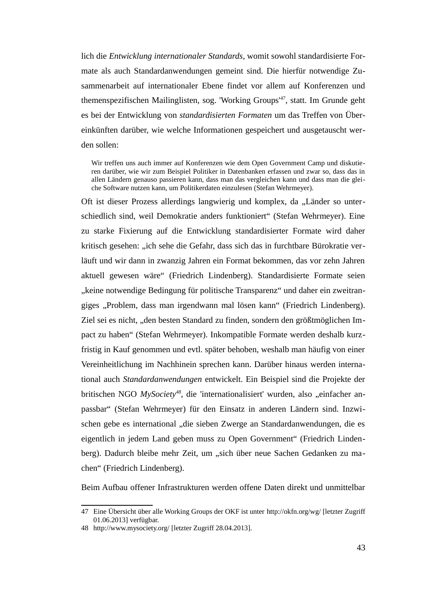lich die *Entwicklung internationaler Standards*, womit sowohl standardisierte Formate als auch Standardanwendungen gemeint sind. Die hierfür notwendige Zusammenarbeit auf internationaler Ebene findet vor allem auf Konferenzen und themenspezifischen Mailinglisten, sog. 'Working Groups'[47](#page-45-0), statt. Im Grunde geht es bei der Entwicklung von *standardisierten Formaten* um das Treffen von Übereinkünften darüber, wie welche Informationen gespeichert und ausgetauscht werden sollen:

Wir treffen uns auch immer auf Konferenzen wie dem Open Government Camp und diskutieren darüber, wie wir zum Beispiel Politiker in Datenbanken erfassen und zwar so, dass das in allen Ländern genauso passieren kann, dass man das vergleichen kann und dass man die gleiche Software nutzen kann, um Politikerdaten einzulesen (Stefan Wehrmeyer).

Oft ist dieser Prozess allerdings langwierig und komplex, da "Länder so unterschiedlich sind, weil Demokratie anders funktioniert" (Stefan Wehrmeyer). Eine zu starke Fixierung auf die Entwicklung standardisierter Formate wird daher kritisch gesehen: "ich sehe die Gefahr, dass sich das in furchtbare Bürokratie verläuft und wir dann in zwanzig Jahren ein Format bekommen, das vor zehn Jahren aktuell gewesen wäre" (Friedrich Lindenberg). Standardisierte Formate seien "keine notwendige Bedingung für politische Transparenz" und daher ein zweitrangiges "Problem, dass man irgendwann mal lösen kann" (Friedrich Lindenberg). Ziel sei es nicht, "den besten Standard zu finden, sondern den größtmöglichen Impact zu haben" (Stefan Wehrmeyer). Inkompatible Formate werden deshalb kurzfristig in Kauf genommen und evtl. später behoben, weshalb man häufig von einer Vereinheitlichung im Nachhinein sprechen kann. Darüber hinaus werden international auch *Standardanwendungen* entwickelt. Ein Beispiel sind die Projekte der britischen NGO *MySociety<sup>[48](#page-45-1)</sup>*, die 'internationalisiert' wurden, also "einfacher anpassbar" (Stefan Wehrmeyer) für den Einsatz in anderen Ländern sind. Inzwischen gebe es international "die sieben Zwerge an Standardanwendungen, die es eigentlich in jedem Land geben muss zu Open Government" (Friedrich Lindenberg). Dadurch bleibe mehr Zeit, um "sich über neue Sachen Gedanken zu machen" (Friedrich Lindenberg).

Beim Aufbau offener Infrastrukturen werden offene Daten direkt und unmittelbar

<span id="page-45-0"></span><sup>47</sup> Eine Übersicht über alle Working Groups der OKF ist unter <http://okfn.org/wg/>[letzter Zugriff 01.06.2013] verfügbar.

<span id="page-45-1"></span><sup>48</sup> <http://www.mysociety.org/>[letzter Zugriff 28.04.2013].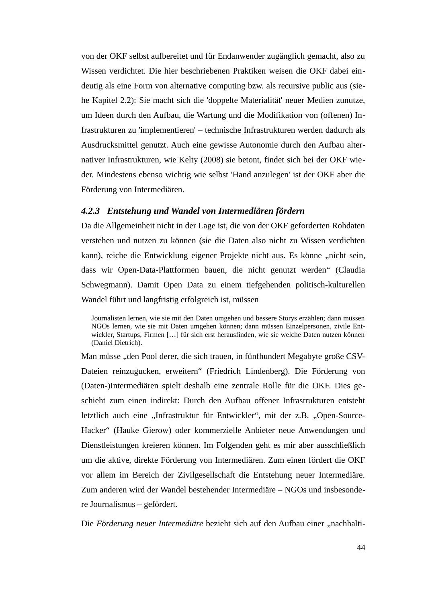von der OKF selbst aufbereitet und für Endanwender zugänglich gemacht, also zu Wissen verdichtet. Die hier beschriebenen Praktiken weisen die OKF dabei eindeutig als eine Form von alternative computing bzw. als recursive public aus (siehe Kapitel 2.2): Sie macht sich die 'doppelte Materialität' neuer Medien zunutze, um Ideen durch den Aufbau, die Wartung und die Modifikation von (offenen) Infrastrukturen zu 'implementieren' – technische Infrastrukturen werden dadurch als Ausdrucksmittel genutzt. Auch eine gewisse Autonomie durch den Aufbau alternativer Infrastrukturen, wie Kelty (2008) sie betont, findet sich bei der OKF wieder. Mindestens ebenso wichtig wie selbst 'Hand anzulegen' ist der OKF aber die Förderung von Intermediären.

## *4.2.3 Entstehung und Wandel von Intermediären fördern*

Da die Allgemeinheit nicht in der Lage ist, die von der OKF geforderten Rohdaten verstehen und nutzen zu können (sie die Daten also nicht zu Wissen verdichten kann), reiche die Entwicklung eigener Projekte nicht aus. Es könne "nicht sein, dass wir Open-Data-Plattformen bauen, die nicht genutzt werden" (Claudia Schwegmann). Damit Open Data zu einem tiefgehenden politisch-kulturellen Wandel führt und langfristig erfolgreich ist, müssen

Man müsse "den Pool derer, die sich trauen, in fünfhundert Megabyte große CSV-Dateien reinzugucken, erweitern" (Friedrich Lindenberg). Die Förderung von (Daten-)Intermediären spielt deshalb eine zentrale Rolle für die OKF. Dies geschieht zum einen indirekt: Durch den Aufbau offener Infrastrukturen entsteht letztlich auch eine "Infrastruktur für Entwickler", mit der z.B. "Open-Source-Hacker" (Hauke Gierow) oder kommerzielle Anbieter neue Anwendungen und Dienstleistungen kreieren können. Im Folgenden geht es mir aber ausschließlich um die aktive, direkte Förderung von Intermediären. Zum einen fördert die OKF vor allem im Bereich der Zivilgesellschaft die Entstehung neuer Intermediäre. Zum anderen wird der Wandel bestehender Intermediäre – NGOs und insbesondere Journalismus – gefördert.

Die *Förderung neuer Intermediäre* bezieht sich auf den Aufbau einer "nachhalti-

Journalisten lernen, wie sie mit den Daten umgehen und bessere Storys erzählen; dann müssen NGOs lernen, wie sie mit Daten umgehen können; dann müssen Einzelpersonen, zivile Entwickler, Startups, Firmen […] für sich erst herausfinden, wie sie welche Daten nutzen können (Daniel Dietrich).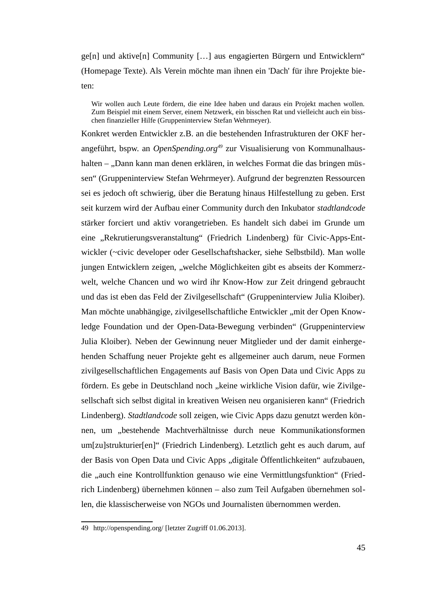ge[n] und aktive[n] Community […] aus engagierten Bürgern und Entwicklern" (Homepage Texte). Als Verein möchte man ihnen ein 'Dach' für ihre Projekte bieten:

Wir wollen auch Leute fördern, die eine Idee haben und daraus ein Projekt machen wollen. Zum Beispiel mit einem Server, einem Netzwerk, ein bisschen Rat und vielleicht auch ein bisschen finanzieller Hilfe (Gruppeninterview Stefan Wehrmeyer).

Konkret werden Entwickler z.B. an die bestehenden Infrastrukturen der OKF herangeführt, bspw. an *OpenSpending.org[49](#page-47-0)* zur Visualisierung von Kommunalhaushalten – "Dann kann man denen erklären, in welches Format die das bringen müssen" (Gruppeninterview Stefan Wehrmeyer). Aufgrund der begrenzten Ressourcen sei es jedoch oft schwierig, über die Beratung hinaus Hilfestellung zu geben. Erst seit kurzem wird der Aufbau einer Community durch den Inkubator *stadtlandcode* stärker forciert und aktiv vorangetrieben. Es handelt sich dabei im Grunde um eine "Rekrutierungsveranstaltung" (Friedrich Lindenberg) für Civic-Apps-Entwickler (~civic developer oder Gesellschaftshacker, siehe Selbstbild). Man wolle jungen Entwicklern zeigen, "welche Möglichkeiten gibt es abseits der Kommerzwelt, welche Chancen und wo wird ihr Know-How zur Zeit dringend gebraucht und das ist eben das Feld der Zivilgesellschaft" (Gruppeninterview Julia Kloiber). Man möchte unabhängige, zivilgesellschaftliche Entwickler "mit der Open Knowledge Foundation und der Open-Data-Bewegung verbinden" (Gruppeninterview Julia Kloiber). Neben der Gewinnung neuer Mitglieder und der damit einhergehenden Schaffung neuer Projekte geht es allgemeiner auch darum, neue Formen zivilgesellschaftlichen Engagements auf Basis von Open Data und Civic Apps zu fördern. Es gebe in Deutschland noch "keine wirkliche Vision dafür, wie Zivilgesellschaft sich selbst digital in kreativen Weisen neu organisieren kann" (Friedrich Lindenberg). *Stadtlandcode* soll zeigen, wie Civic Apps dazu genutzt werden können, um "bestehende Machtverhältnisse durch neue Kommunikationsformen um[zu]strukturier[en]" (Friedrich Lindenberg). Letztlich geht es auch darum, auf der Basis von Open Data und Civic Apps "digitale Öffentlichkeiten" aufzubauen, die "auch eine Kontrollfunktion genauso wie eine Vermittlungsfunktion" (Friedrich Lindenberg) übernehmen können – also zum Teil Aufgaben übernehmen sollen, die klassischerweise von NGOs und Journalisten übernommen werden.

<span id="page-47-0"></span><sup>49</sup> <http://openspending.org/>[letzter Zugriff 01.06.2013].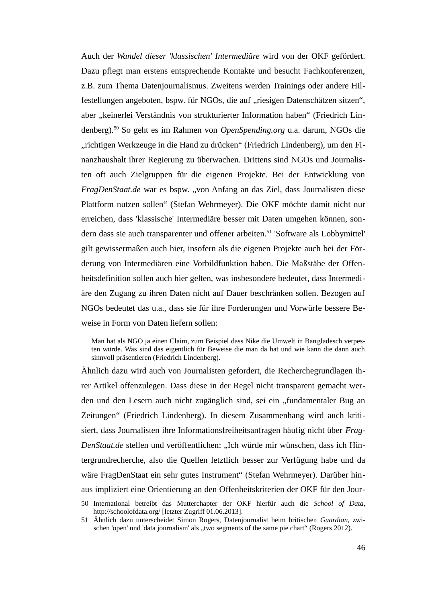Auch der *Wandel dieser 'klassischen' Intermediäre* wird von der OKF gefördert. Dazu pflegt man erstens entsprechende Kontakte und besucht Fachkonferenzen, z.B. zum Thema Datenjournalismus. Zweitens werden Trainings oder andere Hilfestellungen angeboten, bspw. für NGOs, die auf "riesigen Datenschätzen sitzen", aber "keinerlei Verständnis von strukturierter Information haben" (Friedrich Lindenberg).[50](#page-48-0) So geht es im Rahmen von *OpenSpending.org* u.a. darum, NGOs die "richtigen Werkzeuge in die Hand zu drücken" (Friedrich Lindenberg), um den Finanzhaushalt ihrer Regierung zu überwachen. Drittens sind NGOs und Journalisten oft auch Zielgruppen für die eigenen Projekte. Bei der Entwicklung von *FragDenStaat.de* war es bspw. "von Anfang an das Ziel, dass Journalisten diese Plattform nutzen sollen" (Stefan Wehrmeyer). Die OKF möchte damit nicht nur erreichen, dass 'klassische' Intermediäre besser mit Daten umgehen können, son-dern dass sie auch transparenter und offener arbeiten.<sup>[51](#page-48-1)</sup> 'Software als Lobbymittel' gilt gewissermaßen auch hier, insofern als die eigenen Projekte auch bei der Förderung von Intermediären eine Vorbildfunktion haben. Die Maßstäbe der Offenheitsdefinition sollen auch hier gelten, was insbesondere bedeutet, dass Intermediäre den Zugang zu ihren Daten nicht auf Dauer beschränken sollen. Bezogen auf NGOs bedeutet das u.a., dass sie für ihre Forderungen und Vorwürfe bessere Beweise in Form von Daten liefern sollen:

Man hat als NGO ja einen Claim, zum Beispiel dass Nike die Umwelt in Bangladesch verpesten würde. Was sind das eigentlich für Beweise die man da hat und wie kann die dann auch sinnvoll präsentieren (Friedrich Lindenberg).

Ähnlich dazu wird auch von Journalisten gefordert, die Recherchegrundlagen ihrer Artikel offenzulegen. Dass diese in der Regel nicht transparent gemacht werden und den Lesern auch nicht zugänglich sind, sei ein "fundamentaler Bug an Zeitungen" (Friedrich Lindenberg). In diesem Zusammenhang wird auch kritisiert, dass Journalisten ihre Informationsfreiheitsanfragen häufig nicht über *Frag-DenStaat.de* stellen und veröffentlichen: "Ich würde mir wünschen, dass ich Hintergrundrecherche, also die Quellen letztlich besser zur Verfügung habe und da wäre FragDenStaat ein sehr gutes Instrument" (Stefan Wehrmeyer). Darüber hinaus impliziert eine Orientierung an den Offenheitskriterien der OKF für den Jour-

<span id="page-48-0"></span><sup>50</sup> International betreibt das Mutterchapter der OKF hierfür auch die *School of Data*, <http://schoolofdata.org/>[letzter Zugriff 01.06.2013].

<span id="page-48-1"></span><sup>51</sup> Ähnlich dazu unterscheidet Simon Rogers, Datenjournalist beim britischen *Guardian*, zwischen 'open' und 'data journalism' als "two segments of the same pie chart" (Rogers 2012).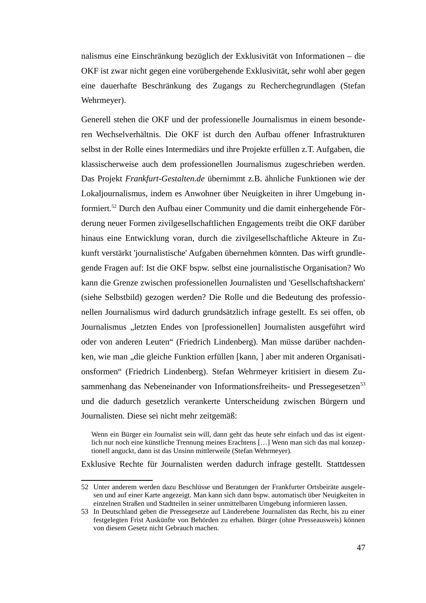nalismus eine Einschränkung bezüglich der Exklusivität von Informationen – die OKF ist zwar nicht gegen eine vorübergehende Exklusivität, sehr wohl aber gegen eine dauerhafte Beschränkung des Zugangs zu Recherchegrundlagen (Stefan Wehrmeyer).

Generell stehen die OKF und der professionelle Journalismus in einem besonderen Wechselverhältnis. Die OKF ist durch den Aufbau offener Infrastrukturen selbst in der Rolle eines Intermediärs und ihre Projekte erfüllen z.T. Aufgaben, die klassischerweise auch dem professionellen Journalismus zugeschrieben werden. Das Projekt *Frankfurt-Gestalten.de* übernimmt z.B. ähnliche Funktionen wie der Lokaljournalismus, indem es Anwohner über Neuigkeiten in ihrer Umgebung informiert.[52](#page-49-0) Durch den Aufbau einer Community und die damit einhergehende Förderung neuer Formen zivilgesellschaftlichen Engagements treibt die OKF darüber hinaus eine Entwicklung voran, durch die zivilgesellschaftliche Akteure in Zukunft verstärkt 'journalistische' Aufgaben übernehmen könnten. Das wirft grundlegende Fragen auf: Ist die OKF bspw. selbst eine journalistische Organisation? Wo kann die Grenze zwischen professionellen Journalisten und 'Gesellschaftshackern' (siehe Selbstbild) gezogen werden? Die Rolle und die Bedeutung des professionellen Journalismus wird dadurch grundsätzlich infrage gestellt. Es sei offen, ob Journalismus "letzten Endes von [professionellen] Journalisten ausgeführt wird oder von anderen Leuten" (Friedrich Lindenberg). Man müsse darüber nachdenken, wie man "die gleiche Funktion erfüllen [kann, ] aber mit anderen Organisationsformen" (Friedrich Lindenberg). Stefan Wehrmeyer kritisiert in diesem Zu-sammenhang das Nebeneinander von Informationsfreiheits- und Pressegesetzen<sup>[53](#page-49-1)</sup> und die dadurch gesetzlich verankerte Unterscheidung zwischen Bürgern und Journalisten. Diese sei nicht mehr zeitgemäß:

Wenn ein Bürger ein Journalist sein will, dann geht das heute sehr einfach und das ist eigentlich nur noch eine künstliche Trennung meines Erachtens […] Wenn man sich das mal konzeptionell anguckt, dann ist das Unsinn mittlerweile (Stefan Wehrmeyer).

Exklusive Rechte für Journalisten werden dadurch infrage gestellt. Stattdessen

<span id="page-49-0"></span><sup>52</sup> Unter anderem werden dazu Beschlüsse und Beratungen der Frankfurter Ortsbeiräte ausgelesen und auf einer Karte angezeigt. Man kann sich dann bspw. automatisch über Neuigkeiten in einzelnen Straßen und Stadtteilen in seiner unmittelbaren Umgebung informieren lassen.

<span id="page-49-1"></span><sup>53</sup> In Deutschland geben die Pressegesetze auf Länderebene Journalisten das Recht, bis zu einer festgelegten Frist Auskünfte von Behörden zu erhalten. Bürger (ohne Presseausweis) können von diesem Gesetz nicht Gebrauch machen.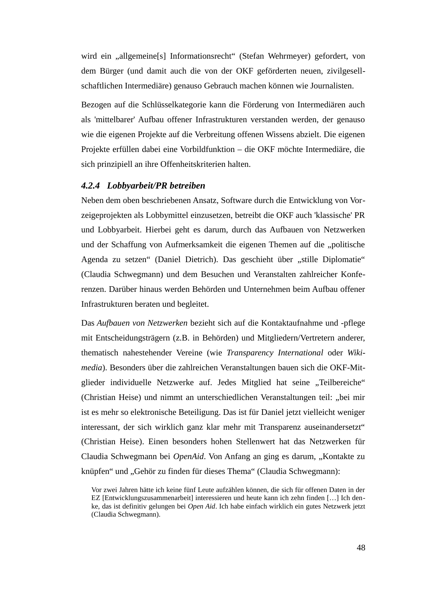wird ein "allgemeine[s] Informationsrecht" (Stefan Wehrmeyer) gefordert, von dem Bürger (und damit auch die von der OKF geförderten neuen, zivilgesellschaftlichen Intermediäre) genauso Gebrauch machen können wie Journalisten.

Bezogen auf die Schlüsselkategorie kann die Förderung von Intermediären auch als 'mittelbarer' Aufbau offener Infrastrukturen verstanden werden, der genauso wie die eigenen Projekte auf die Verbreitung offenen Wissens abzielt. Die eigenen Projekte erfüllen dabei eine Vorbildfunktion – die OKF möchte Intermediäre, die sich prinzipiell an ihre Offenheitskriterien halten.

## *4.2.4 Lobbyarbeit/PR betreiben*

Neben dem oben beschriebenen Ansatz, Software durch die Entwicklung von Vorzeigeprojekten als Lobbymittel einzusetzen, betreibt die OKF auch 'klassische' PR und Lobbyarbeit. Hierbei geht es darum, durch das Aufbauen von Netzwerken und der Schaffung von Aufmerksamkeit die eigenen Themen auf die "politische Agenda zu setzen" (Daniel Dietrich). Das geschieht über "stille Diplomatie" (Claudia Schwegmann) und dem Besuchen und Veranstalten zahlreicher Konferenzen. Darüber hinaus werden Behörden und Unternehmen beim Aufbau offener Infrastrukturen beraten und begleitet.

Das *Aufbauen von Netzwerken* bezieht sich auf die Kontaktaufnahme und -pflege mit Entscheidungsträgern (z.B. in Behörden) und Mitgliedern/Vertretern anderer, thematisch nahestehender Vereine (wie *Transparency International* oder *Wikimedia*). Besonders über die zahlreichen Veranstaltungen bauen sich die OKF-Mitglieder individuelle Netzwerke auf. Jedes Mitglied hat seine "Teilbereiche" (Christian Heise) und nimmt an unterschiedlichen Veranstaltungen teil: "bei mir ist es mehr so elektronische Beteiligung. Das ist für Daniel jetzt vielleicht weniger interessant, der sich wirklich ganz klar mehr mit Transparenz auseinandersetzt" (Christian Heise). Einen besonders hohen Stellenwert hat das Netzwerken für Claudia Schwegmann bei *OpenAid*. Von Anfang an ging es darum, "Kontakte zu knüpfen" und "Gehör zu finden für dieses Thema" (Claudia Schwegmann):

Vor zwei Jahren hätte ich keine fünf Leute aufzählen können, die sich für offenen Daten in der EZ [Entwicklungszusammenarbeit] interessieren und heute kann ich zehn finden […] Ich denke, das ist definitiv gelungen bei *Open Aid*. Ich habe einfach wirklich ein gutes Netzwerk jetzt (Claudia Schwegmann).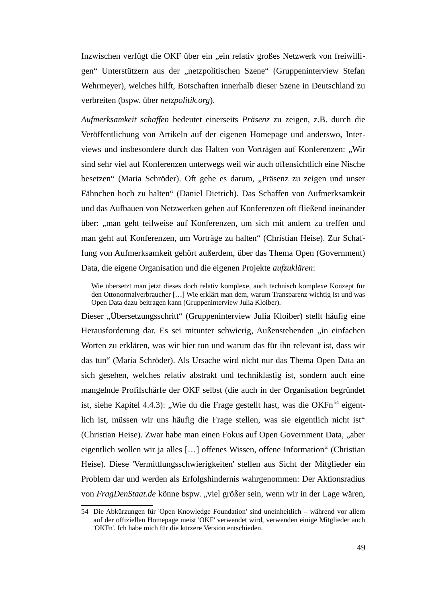Inzwischen verfügt die OKF über ein "ein relativ großes Netzwerk von freiwilligen" Unterstützern aus der "netzpolitischen Szene" (Gruppeninterview Stefan Wehrmeyer), welches hilft, Botschaften innerhalb dieser Szene in Deutschland zu verbreiten (bspw. über *netzpolitik.org*).

*Aufmerksamkeit schaffen* bedeutet einerseits *Präsenz* zu zeigen, z.B. durch die Veröffentlichung von Artikeln auf der eigenen Homepage und anderswo, Interviews und insbesondere durch das Halten von Vorträgen auf Konferenzen: "Wir sind sehr viel auf Konferenzen unterwegs weil wir auch offensichtlich eine Nische besetzen" (Maria Schröder). Oft gehe es darum, "Präsenz zu zeigen und unser Fähnchen hoch zu halten" (Daniel Dietrich). Das Schaffen von Aufmerksamkeit und das Aufbauen von Netzwerken gehen auf Konferenzen oft fließend ineinander über: "man geht teilweise auf Konferenzen, um sich mit andern zu treffen und man geht auf Konferenzen, um Vorträge zu halten" (Christian Heise). Zur Schaffung von Aufmerksamkeit gehört außerdem, über das Thema Open (Government) Data, die eigene Organisation und die eigenen Projekte *aufzuklären*:

Wie übersetzt man jetzt dieses doch relativ komplexe, auch technisch komplexe Konzept für den Ottonormalverbraucher […] Wie erklärt man dem, warum Transparenz wichtig ist und was Open Data dazu beitragen kann (Gruppeninterview Julia Kloiber).

Dieser "Übersetzungsschritt" (Gruppeninterview Julia Kloiber) stellt häufig eine Herausforderung dar. Es sei mitunter schwierig, Außenstehenden "in einfachen Worten zu erklären, was wir hier tun und warum das für ihn relevant ist, dass wir das tun" (Maria Schröder). Als Ursache wird nicht nur das Thema Open Data an sich gesehen, welches relativ abstrakt und techniklastig ist, sondern auch eine mangelnde Profilschärfe der OKF selbst (die auch in der Organisation begründet ist, siehe Kapitel 4.4.3): "Wie du die Frage gestellt hast, was die OKF $n^{54}$  $n^{54}$  $n^{54}$  eigentlich ist, müssen wir uns häufig die Frage stellen, was sie eigentlich nicht ist" (Christian Heise). Zwar habe man einen Fokus auf Open Government Data, "aber eigentlich wollen wir ja alles […] offenes Wissen, offene Information" (Christian Heise). Diese 'Vermittlungsschwierigkeiten' stellen aus Sicht der Mitglieder ein Problem dar und werden als Erfolgshindernis wahrgenommen: Der Aktionsradius von *FragDenStaat.de* könne bspw. "viel größer sein, wenn wir in der Lage wären,

<span id="page-51-0"></span><sup>54</sup> Die Abkürzungen für 'Open Knowledge Foundation' sind uneinheitlich – während vor allem auf der offiziellen Homepage meist 'OKF' verwendet wird, verwenden einige Mitglieder auch 'OKFn'. Ich habe mich für die kürzere Version entschieden.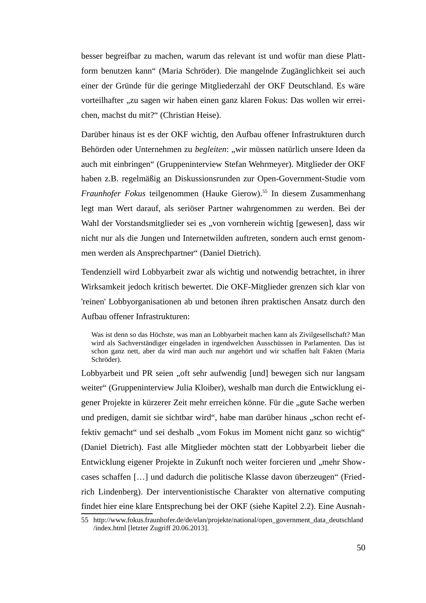besser begreifbar zu machen, warum das relevant ist und wofür man diese Plattform benutzen kann" (Maria Schröder). Die mangelnde Zugänglichkeit sei auch einer der Gründe für die geringe Mitgliederzahl der OKF Deutschland. Es wäre vorteilhafter "zu sagen wir haben einen ganz klaren Fokus: Das wollen wir erreichen, machst du mit?" (Christian Heise).

Darüber hinaus ist es der OKF wichtig, den Aufbau offener Infrastrukturen durch Behörden oder Unternehmen zu begleiten: "wir müssen natürlich unsere Ideen da auch mit einbringen" (Gruppeninterview Stefan Wehrmeyer). Mitglieder der OKF haben z.B. regelmäßig an Diskussionsrunden zur Open-Government-Studie vom *Fraunhofer Fokus* teilgenommen (Hauke Gierow).[55](#page-52-0) In diesem Zusammenhang legt man Wert darauf, als seriöser Partner wahrgenommen zu werden. Bei der Wahl der Vorstandsmitglieder sei es "von vornherein wichtig [gewesen], dass wir nicht nur als die Jungen und Internetwilden auftreten, sondern auch ernst genommen werden als Ansprechpartner" (Daniel Dietrich).

Tendenziell wird Lobbyarbeit zwar als wichtig und notwendig betrachtet, in ihrer Wirksamkeit jedoch kritisch bewertet. Die OKF-Mitglieder grenzen sich klar von 'reinen' Lobbyorganisationen ab und betonen ihren praktischen Ansatz durch den Aufbau offener Infrastrukturen:

Was ist denn so das Höchste, was man an Lobbyarbeit machen kann als Zivilgesellschaft? Man wird als Sachverständiger eingeladen in irgendwelchen Ausschüssen in Parlamenten. Das ist schon ganz nett, aber da wird man auch nur angehört und wir schaffen halt Fakten (Maria Schröder).

Lobbyarbeit und PR seien "oft sehr aufwendig [und] bewegen sich nur langsam weiter" (Gruppeninterview Julia Kloiber), weshalb man durch die Entwicklung eigener Projekte in kürzerer Zeit mehr erreichen könne. Für die "gute Sache werben und predigen, damit sie sichtbar wird", habe man darüber hinaus "schon recht effektiv gemacht" und sei deshalb "vom Fokus im Moment nicht ganz so wichtig" (Daniel Dietrich). Fast alle Mitglieder möchten statt der Lobbyarbeit lieber die Entwicklung eigener Projekte in Zukunft noch weiter forcieren und "mehr Showcases schaffen […] und dadurch die politische Klasse davon überzeugen" (Friedrich Lindenberg). Der interventionistische Charakter von alternative computing findet hier eine klare Entsprechung bei der OKF (siehe Kapitel 2.2). Eine Ausnah-

<span id="page-52-0"></span><sup>55</sup> [http://www.fokus.fraunhofer.de/de/elan/projekte/national/open\\_government\\_data\\_deutschland](http://www.fokus.fraunhofer.de/de/elan/projekte/national/open_government_data_deutschland/index.html) [/index.html](http://www.fokus.fraunhofer.de/de/elan/projekte/national/open_government_data_deutschland/index.html) [letzter Zugriff 20.06.2013].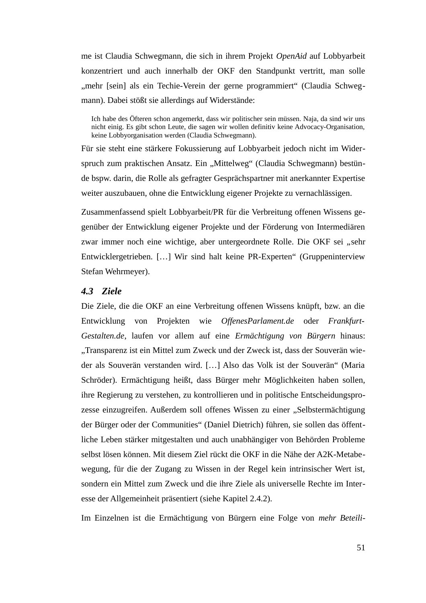me ist Claudia Schwegmann, die sich in ihrem Projekt *OpenAid* auf Lobbyarbeit konzentriert und auch innerhalb der OKF den Standpunkt vertritt, man solle "mehr [sein] als ein Techie-Verein der gerne programmiert" (Claudia Schwegmann). Dabei stößt sie allerdings auf Widerstände:

Ich habe des Öfteren schon angemerkt, dass wir politischer sein müssen. Naja, da sind wir uns nicht einig. Es gibt schon Leute, die sagen wir wollen definitiv keine Advocacy-Organisation, keine Lobbyorganisation werden (Claudia Schwegmann).

Für sie steht eine stärkere Fokussierung auf Lobbyarbeit jedoch nicht im Widerspruch zum praktischen Ansatz. Ein "Mittelweg" (Claudia Schwegmann) bestünde bspw. darin, die Rolle als gefragter Gesprächspartner mit anerkannter Expertise weiter auszubauen, ohne die Entwicklung eigener Projekte zu vernachlässigen.

Zusammenfassend spielt Lobbyarbeit/PR für die Verbreitung offenen Wissens gegenüber der Entwicklung eigener Projekte und der Förderung von Intermediären zwar immer noch eine wichtige, aber untergeordnete Rolle. Die OKF sei "sehr Entwicklergetrieben. […] Wir sind halt keine PR-Experten" (Gruppeninterview Stefan Wehrmeyer).

## *4.3 Ziele*

Die Ziele, die die OKF an eine Verbreitung offenen Wissens knüpft, bzw. an die Entwicklung von Projekten wie *OffenesParlament.de* oder *Frankfurt-Gestalten.de*, laufen vor allem auf eine *Ermächtigung von Bürgern* hinaus: "Transparenz ist ein Mittel zum Zweck und der Zweck ist, dass der Souverän wieder als Souverän verstanden wird. […] Also das Volk ist der Souverän" (Maria Schröder). Ermächtigung heißt, dass Bürger mehr Möglichkeiten haben sollen, ihre Regierung zu verstehen, zu kontrollieren und in politische Entscheidungsprozesse einzugreifen. Außerdem soll offenes Wissen zu einer "Selbstermächtigung der Bürger oder der Communities" (Daniel Dietrich) führen, sie sollen das öffentliche Leben stärker mitgestalten und auch unabhängiger von Behörden Probleme selbst lösen können. Mit diesem Ziel rückt die OKF in die Nähe der A2K-Metabewegung, für die der Zugang zu Wissen in der Regel kein intrinsischer Wert ist, sondern ein Mittel zum Zweck und die ihre Ziele als universelle Rechte im Interesse der Allgemeinheit präsentiert (siehe Kapitel 2.4.2).

Im Einzelnen ist die Ermächtigung von Bürgern eine Folge von *mehr Beteili-*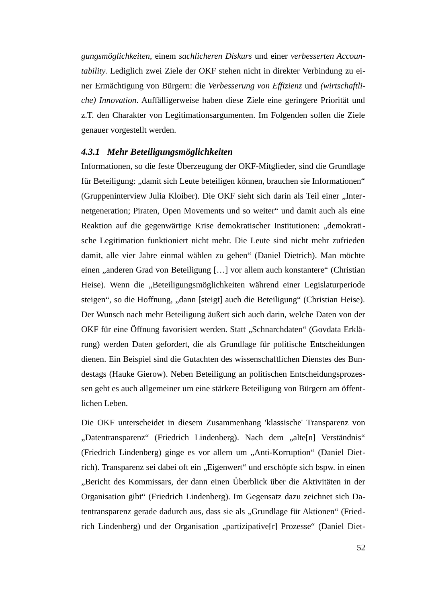*gungsmöglichkeiten*, einem *sachlicheren Diskurs* und einer *verbesserten Accountability*. Lediglich zwei Ziele der OKF stehen nicht in direkter Verbindung zu einer Ermächtigung von Bürgern: die *Verbesserung von Effizienz* und *(wirtschaftliche) Innovation*. Auffälligerweise haben diese Ziele eine geringere Priorität und z.T. den Charakter von Legitimationsargumenten. Im Folgenden sollen die Ziele genauer vorgestellt werden.

#### *4.3.1 Mehr Beteiligungsmöglichkeiten*

Informationen, so die feste Überzeugung der OKF-Mitglieder, sind die Grundlage für Beteiligung: "damit sich Leute beteiligen können, brauchen sie Informationen" (Gruppeninterview Julia Kloiber). Die OKF sieht sich darin als Teil einer "Internetgeneration; Piraten, Open Movements und so weiter" und damit auch als eine Reaktion auf die gegenwärtige Krise demokratischer Institutionen: "demokratische Legitimation funktioniert nicht mehr. Die Leute sind nicht mehr zufrieden damit, alle vier Jahre einmal wählen zu gehen" (Daniel Dietrich). Man möchte einen "anderen Grad von Beteiligung [...] vor allem auch konstantere" (Christian Heise). Wenn die "Beteiligungsmöglichkeiten während einer Legislaturperiode steigen", so die Hoffnung, "dann [steigt] auch die Beteiligung" (Christian Heise). Der Wunsch nach mehr Beteiligung äußert sich auch darin, welche Daten von der OKF für eine Öffnung favorisiert werden. Statt "Schnarchdaten" (Govdata Erklärung) werden Daten gefordert, die als Grundlage für politische Entscheidungen dienen. Ein Beispiel sind die Gutachten des wissenschaftlichen Dienstes des Bundestags (Hauke Gierow). Neben Beteiligung an politischen Entscheidungsprozessen geht es auch allgemeiner um eine stärkere Beteiligung von Bürgern am öffentlichen Leben.

Die OKF unterscheidet in diesem Zusammenhang 'klassische' Transparenz von "Datentransparenz" (Friedrich Lindenberg). Nach dem "alte[n] Verständnis" (Friedrich Lindenberg) ginge es vor allem um "Anti-Korruption" (Daniel Dietrich). Transparenz sei dabei oft ein "Eigenwert" und erschöpfe sich bspw. in einen "Bericht des Kommissars, der dann einen Überblick über die Aktivitäten in der Organisation gibt" (Friedrich Lindenberg). Im Gegensatz dazu zeichnet sich Datentransparenz gerade dadurch aus, dass sie als "Grundlage für Aktionen" (Friedrich Lindenberg) und der Organisation "partizipative[r] Prozesse" (Daniel Diet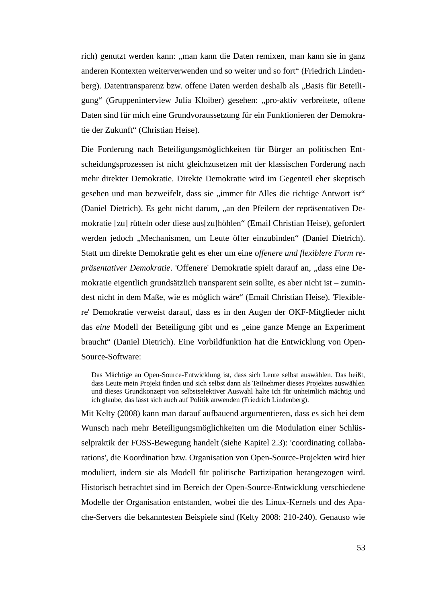rich) genutzt werden kann: "man kann die Daten remixen, man kann sie in ganz anderen Kontexten weiterverwenden und so weiter und so fort" (Friedrich Lindenberg). Datentransparenz bzw. offene Daten werden deshalb als "Basis für Beteiligung" (Gruppeninterview Julia Kloiber) gesehen: "pro-aktiv verbreitete, offene Daten sind für mich eine Grundvoraussetzung für ein Funktionieren der Demokratie der Zukunft" (Christian Heise).

Die Forderung nach Beteiligungsmöglichkeiten für Bürger an politischen Entscheidungsprozessen ist nicht gleichzusetzen mit der klassischen Forderung nach mehr direkter Demokratie. Direkte Demokratie wird im Gegenteil eher skeptisch gesehen und man bezweifelt, dass sie "immer für Alles die richtige Antwort ist" (Daniel Dietrich). Es geht nicht darum, "an den Pfeilern der repräsentativen Demokratie [zu] rütteln oder diese aus[zu]höhlen" (Email Christian Heise), gefordert werden jedoch "Mechanismen, um Leute öfter einzubinden" (Daniel Dietrich). Statt um direkte Demokratie geht es eher um eine *offenere und flexiblere Form repräsentativer Demokratie*. 'Offenere' Demokratie spielt darauf an, "dass eine Demokratie eigentlich grundsätzlich transparent sein sollte, es aber nicht ist – zumindest nicht in dem Maße, wie es möglich wäre" (Email Christian Heise). 'Flexiblere' Demokratie verweist darauf, dass es in den Augen der OKF-Mitglieder nicht das *eine* Modell der Beteiligung gibt und es "eine ganze Menge an Experiment braucht" (Daniel Dietrich). Eine Vorbildfunktion hat die Entwicklung von Open-Source-Software:

Das Mächtige an Open-Source-Entwicklung ist, dass sich Leute selbst auswählen. Das heißt, dass Leute mein Projekt finden und sich selbst dann als Teilnehmer dieses Projektes auswählen und dieses Grundkonzept von selbstselektiver Auswahl halte ich für unheimlich mächtig und ich glaube, das lässt sich auch auf Politik anwenden (Friedrich Lindenberg).

Mit Kelty (2008) kann man darauf aufbauend argumentieren, dass es sich bei dem Wunsch nach mehr Beteiligungsmöglichkeiten um die Modulation einer Schlüsselpraktik der FOSS-Bewegung handelt (siehe Kapitel 2.3): 'coordinating collabarations', die Koordination bzw. Organisation von Open-Source-Projekten wird hier moduliert, indem sie als Modell für politische Partizipation herangezogen wird. Historisch betrachtet sind im Bereich der Open-Source-Entwicklung verschiedene Modelle der Organisation entstanden, wobei die des Linux-Kernels und des Apache-Servers die bekanntesten Beispiele sind (Kelty 2008: 210-240). Genauso wie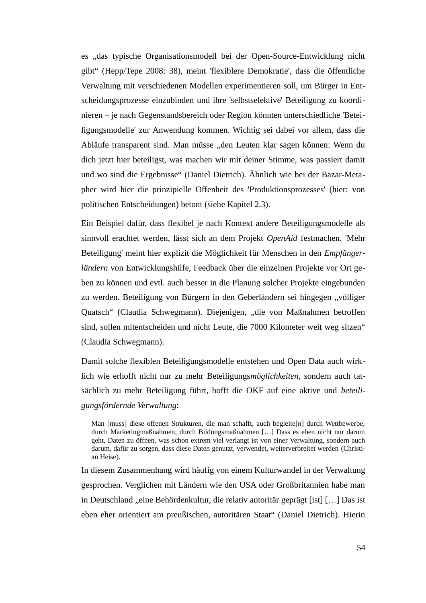es "das typische Organisationsmodell bei der Open-Source-Entwicklung nicht gibt" (Hepp/Tepe 2008: 38), meint 'flexiblere Demokratie', dass die öffentliche Verwaltung mit verschiedenen Modellen experimentieren soll, um Bürger in Entscheidungsprozesse einzubinden und ihre 'selbstselektive' Beteiligung zu koordinieren – je nach Gegenstandsbereich oder Region könnten unterschiedliche 'Beteiligungsmodelle' zur Anwendung kommen. Wichtig sei dabei vor allem, dass die Abläufe transparent sind. Man müsse "den Leuten klar sagen können: Wenn du dich jetzt hier beteiligst, was machen wir mit deiner Stimme, was passiert damit und wo sind die Ergebnisse" (Daniel Dietrich). Ähnlich wie bei der Bazar-Metapher wird hier die prinzipielle Offenheit des 'Produktionsprozesses' (hier: von politischen Entscheidungen) betont (siehe Kapitel 2.3).

Ein Beispiel dafür, dass flexibel je nach Kontext andere Beteiligungsmodelle als sinnvoll erachtet werden, lässt sich an dem Projekt *OpenAid* festmachen. 'Mehr Beteiligung' meint hier explizit die Möglichkeit für Menschen in den *Empfängerländern* von Entwicklungshilfe, Feedback über die einzelnen Projekte vor Ort geben zu können und evtl. auch besser in die Planung solcher Projekte eingebunden zu werden. Beteiligung von Bürgern in den Geberländern sei hingegen "völliger Quatsch" (Claudia Schwegmann). Diejenigen, "die von Maßnahmen betroffen sind, sollen mitentscheiden und nicht Leute, die 7000 Kilometer weit weg sitzen" (Claudia Schwegmann).

Damit solche flexiblen Beteiligungsmodelle entstehen und Open Data auch wirklich wie erhofft nicht nur zu mehr Beteiligungs*möglichkeiten*, sondern auch tatsächlich zu mehr Beteiligung führt, hofft die OKF auf eine aktive und *beteiligungsfördernde Verwaltung*:

Man [muss] diese offenen Strukturen, die man schafft, auch begleite[n] durch Wettbewerbe, durch Marketingmaßnahmen, durch Bildungsmaßnahmen […] Dass es eben nicht nur darum geht, Daten zu öffnen, was schon extrem viel verlangt ist von einer Verwaltung, sondern auch darum, dafür zu sorgen, dass diese Daten genutzt, verwendet, weiterverbreitet werden (Christian Heise).

In diesem Zusammenhang wird häufig von einem Kulturwandel in der Verwaltung gesprochen. Verglichen mit Ländern wie den USA oder Großbritannien habe man in Deutschland "eine Behördenkultur, die relativ autoritär geprägt [ist] [...] Das ist eben eher orientiert am preußischen, autoritären Staat" (Daniel Dietrich). Hierin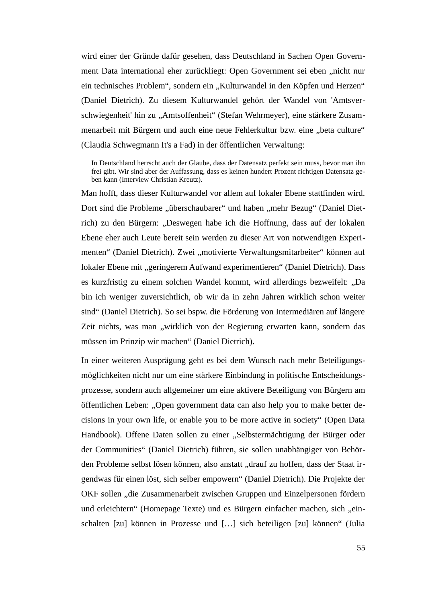wird einer der Gründe dafür gesehen, dass Deutschland in Sachen Open Government Data international eher zurückliegt: Open Government sei eben "nicht nur ein technisches Problem", sondern ein "Kulturwandel in den Köpfen und Herzen" (Daniel Dietrich). Zu diesem Kulturwandel gehört der Wandel von 'Amtsverschwiegenheit' hin zu "Amtsoffenheit" (Stefan Wehrmeyer), eine stärkere Zusammenarbeit mit Bürgern und auch eine neue Fehlerkultur bzw. eine "beta culture" (Claudia Schwegmann It's a Fad) in der öffentlichen Verwaltung:

In Deutschland herrscht auch der Glaube, dass der Datensatz perfekt sein muss, bevor man ihn frei gibt. Wir sind aber der Auffassung, dass es keinen hundert Prozent richtigen Datensatz geben kann (Interview Christian Kreutz).

Man hofft, dass dieser Kulturwandel vor allem auf lokaler Ebene stattfinden wird. Dort sind die Probleme "überschaubarer" und haben "mehr Bezug" (Daniel Dietrich) zu den Bürgern: "Deswegen habe ich die Hoffnung, dass auf der lokalen Ebene eher auch Leute bereit sein werden zu dieser Art von notwendigen Experimenten" (Daniel Dietrich). Zwei "motivierte Verwaltungsmitarbeiter" können auf lokaler Ebene mit "geringerem Aufwand experimentieren" (Daniel Dietrich). Dass es kurzfristig zu einem solchen Wandel kommt, wird allerdings bezweifelt: "Da bin ich weniger zuversichtlich, ob wir da in zehn Jahren wirklich schon weiter sind" (Daniel Dietrich). So sei bspw. die Förderung von Intermediären auf längere Zeit nichts, was man "wirklich von der Regierung erwarten kann, sondern das müssen im Prinzip wir machen" (Daniel Dietrich).

In einer weiteren Ausprägung geht es bei dem Wunsch nach mehr Beteiligungsmöglichkeiten nicht nur um eine stärkere Einbindung in politische Entscheidungsprozesse, sondern auch allgemeiner um eine aktivere Beteiligung von Bürgern am öffentlichen Leben: "Open government data can also help you to make better decisions in your own life, or enable you to be more active in society" (Open Data Handbook). Offene Daten sollen zu einer "Selbstermächtigung der Bürger oder der Communities" (Daniel Dietrich) führen, sie sollen unabhängiger von Behörden Probleme selbst lösen können, also anstatt "drauf zu hoffen, dass der Staat irgendwas für einen löst, sich selber empowern" (Daniel Dietrich). Die Projekte der OKF sollen "die Zusammenarbeit zwischen Gruppen und Einzelpersonen fördern und erleichtern" (Homepage Texte) und es Bürgern einfacher machen, sich "einschalten [zu] können in Prozesse und […] sich beteiligen [zu] können" (Julia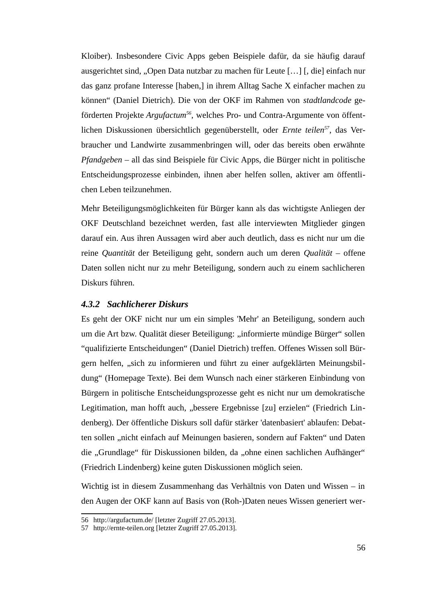Kloiber). Insbesondere Civic Apps geben Beispiele dafür, da sie häufig darauf ausgerichtet sind, "Open Data nutzbar zu machen für Leute [...] [, die] einfach nur das ganz profane Interesse [haben,] in ihrem Alltag Sache X einfacher machen zu können" (Daniel Dietrich). Die von der OKF im Rahmen von *stadtlandcode* geförderten Projekte *Argufactum[56](#page-58-0)*, welches Pro- und Contra-Argumente von öffentlichen Diskussionen übersichtlich gegenüberstellt, oder *Ernte teilen[57](#page-58-1)*, das Verbraucher und Landwirte zusammenbringen will, oder das bereits oben erwähnte *Pfandgeben* – all das sind Beispiele für Civic Apps, die Bürger nicht in politische Entscheidungsprozesse einbinden, ihnen aber helfen sollen, aktiver am öffentlichen Leben teilzunehmen.

Mehr Beteiligungsmöglichkeiten für Bürger kann als das wichtigste Anliegen der OKF Deutschland bezeichnet werden, fast alle interviewten Mitglieder gingen darauf ein. Aus ihren Aussagen wird aber auch deutlich, dass es nicht nur um die reine *Quantität* der Beteiligung geht, sondern auch um deren *Qualität* – offene Daten sollen nicht nur zu mehr Beteiligung, sondern auch zu einem sachlicheren Diskurs führen.

#### *4.3.2 Sachlicherer Diskurs*

Es geht der OKF nicht nur um ein simples 'Mehr' an Beteiligung, sondern auch um die Art bzw. Qualität dieser Beteiligung: "informierte mündige Bürger" sollen "qualifizierte Entscheidungen" (Daniel Dietrich) treffen. Offenes Wissen soll Bürgern helfen, "sich zu informieren und führt zu einer aufgeklärten Meinungsbildung" (Homepage Texte). Bei dem Wunsch nach einer stärkeren Einbindung von Bürgern in politische Entscheidungsprozesse geht es nicht nur um demokratische Legitimation, man hofft auch, "bessere Ergebnisse [zu] erzielen" (Friedrich Lindenberg). Der öffentliche Diskurs soll dafür stärker 'datenbasiert' ablaufen: Debatten sollen "nicht einfach auf Meinungen basieren, sondern auf Fakten" und Daten die "Grundlage" für Diskussionen bilden, da "ohne einen sachlichen Aufhänger" (Friedrich Lindenberg) keine guten Diskussionen möglich seien.

Wichtig ist in diesem Zusammenhang das Verhältnis von Daten und Wissen – in den Augen der OKF kann auf Basis von (Roh-)Daten neues Wissen generiert wer-

<span id="page-58-0"></span><sup>56</sup> <http://argufactum.de/>[letzter Zugriff 27.05.2013].

<span id="page-58-1"></span><sup>57</sup> http://ernte-teilen.org [letzter Zugriff 27.05.2013].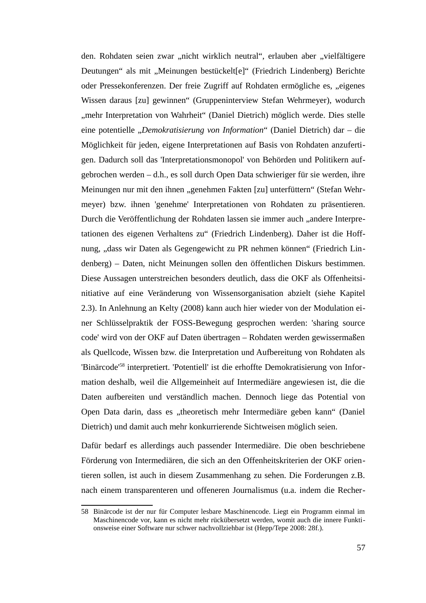den. Rohdaten seien zwar "nicht wirklich neutral", erlauben aber "vielfältigere Deutungen" als mit "Meinungen bestückelt[e]" (Friedrich Lindenberg) Berichte oder Pressekonferenzen. Der freie Zugriff auf Rohdaten ermögliche es, "eigenes Wissen daraus [zu] gewinnen" (Gruppeninterview Stefan Wehrmeyer), wodurch "mehr Interpretation von Wahrheit" (Daniel Dietrich) möglich werde. Dies stelle eine potentielle "*Demokratisierung von Information*" (Daniel Dietrich) dar – die Möglichkeit für jeden, eigene Interpretationen auf Basis von Rohdaten anzufertigen. Dadurch soll das 'Interpretationsmonopol' von Behörden und Politikern aufgebrochen werden – d.h., es soll durch Open Data schwieriger für sie werden, ihre Meinungen nur mit den ihnen "genehmen Fakten [zu] unterfüttern" (Stefan Wehrmeyer) bzw. ihnen 'genehme' Interpretationen von Rohdaten zu präsentieren. Durch die Veröffentlichung der Rohdaten lassen sie immer auch "andere Interpretationen des eigenen Verhaltens zu" (Friedrich Lindenberg). Daher ist die Hoffnung, "dass wir Daten als Gegengewicht zu PR nehmen können" (Friedrich Lindenberg) – Daten, nicht Meinungen sollen den öffentlichen Diskurs bestimmen. Diese Aussagen unterstreichen besonders deutlich, dass die OKF als Offenheitsinitiative auf eine Veränderung von Wissensorganisation abzielt (siehe Kapitel 2.3). In Anlehnung an Kelty (2008) kann auch hier wieder von der Modulation einer Schlüsselpraktik der FOSS-Bewegung gesprochen werden: 'sharing source code' wird von der OKF auf Daten übertragen – Rohdaten werden gewissermaßen als Quellcode, Wissen bzw. die Interpretation und Aufbereitung von Rohdaten als 'Binärcode'[58](#page-59-0) interpretiert. 'Potentiell' ist die erhoffte Demokratisierung von Information deshalb, weil die Allgemeinheit auf Intermediäre angewiesen ist, die die Daten aufbereiten und verständlich machen. Dennoch liege das Potential von Open Data darin, dass es "theoretisch mehr Intermediäre geben kann" (Daniel Dietrich) und damit auch mehr konkurrierende Sichtweisen möglich seien.

Dafür bedarf es allerdings auch passender Intermediäre. Die oben beschriebene Förderung von Intermediären, die sich an den Offenheitskriterien der OKF orientieren sollen, ist auch in diesem Zusammenhang zu sehen. Die Forderungen z.B. nach einem transparenteren und offeneren Journalismus (u.a. indem die Recher-

<span id="page-59-0"></span><sup>58</sup> Binärcode ist der nur für Computer lesbare Maschinencode. Liegt ein Programm einmal im Maschinencode vor, kann es nicht mehr rückübersetzt werden, womit auch die innere Funktionsweise einer Software nur schwer nachvollziehbar ist (Hepp/Tepe 2008: 28f.).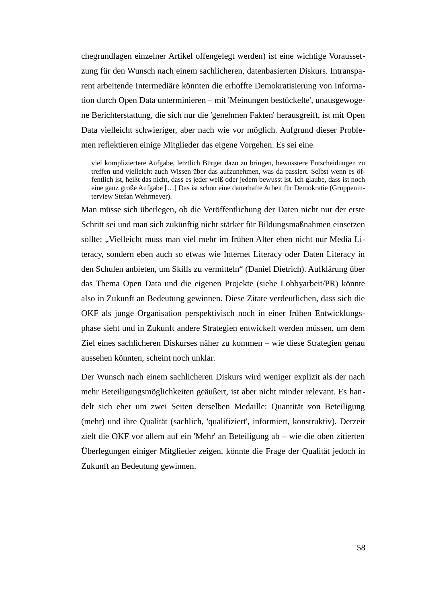chegrundlagen einzelner Artikel offengelegt werden) ist eine wichtige Voraussetzung für den Wunsch nach einem sachlicheren, datenbasierten Diskurs. Intransparent arbeitende Intermediäre könnten die erhoffte Demokratisierung von Information durch Open Data unterminieren – mit 'Meinungen bestückelte', unausgewogene Berichterstattung, die sich nur die 'genehmen Fakten' herausgreift, ist mit Open Data vielleicht schwieriger, aber nach wie vor möglich. Aufgrund dieser Problemen reflektieren einige Mitglieder das eigene Vorgehen. Es sei eine

viel kompliziertere Aufgabe, letztlich Bürger dazu zu bringen, bewusstere Entscheidungen zu treffen und vielleicht auch Wissen über das aufzunehmen, was da passiert. Selbst wenn es öffentlich ist, heißt das nicht, dass es jeder weiß oder jedem bewusst ist. Ich glaube, dass ist noch eine ganz große Aufgabe […] Das ist schon eine dauerhafte Arbeit für Demokratie (Gruppeninterview Stefan Wehrmeyer).

Man müsse sich überlegen, ob die Veröffentlichung der Daten nicht nur der erste Schritt sei und man sich zukünftig nicht stärker für Bildungsmaßnahmen einsetzen sollte: "Vielleicht muss man viel mehr im frühen Alter eben nicht nur Media Literacy, sondern eben auch so etwas wie Internet Literacy oder Daten Literacy in den Schulen anbieten, um Skills zu vermitteln" (Daniel Dietrich). Aufklärung über das Thema Open Data und die eigenen Projekte (siehe Lobbyarbeit/PR) könnte also in Zukunft an Bedeutung gewinnen. Diese Zitate verdeutlichen, dass sich die OKF als junge Organisation perspektivisch noch in einer frühen Entwicklungsphase sieht und in Zukunft andere Strategien entwickelt werden müssen, um dem Ziel eines sachlicheren Diskurses näher zu kommen – wie diese Strategien genau aussehen könnten, scheint noch unklar.

Der Wunsch nach einem sachlicheren Diskurs wird weniger explizit als der nach mehr Beteiligungsmöglichkeiten geäußert, ist aber nicht minder relevant. Es handelt sich eher um zwei Seiten derselben Medaille: Quantität von Beteiligung (mehr) und ihre Qualität (sachlich, 'qualifiziert', informiert, konstruktiv). Derzeit zielt die OKF vor allem auf ein 'Mehr' an Beteiligung ab – wie die oben zitierten Überlegungen einiger Mitglieder zeigen, könnte die Frage der Qualität jedoch in Zukunft an Bedeutung gewinnen.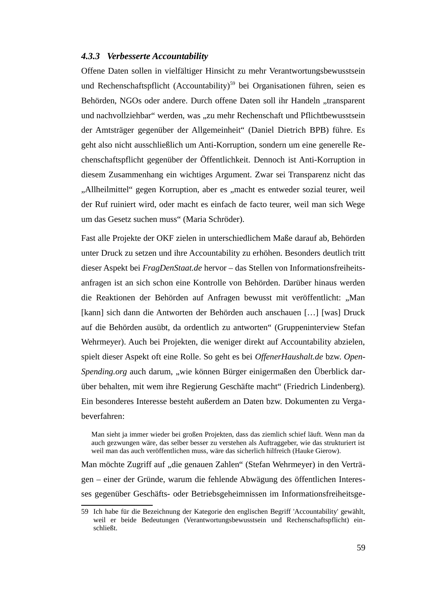#### *4.3.3 Verbesserte Accountability*

Offene Daten sollen in vielfältiger Hinsicht zu mehr Verantwortungsbewusstsein und Rechenschaftspflicht (Accountability)<sup>[59](#page-61-0)</sup> bei Organisationen führen, seien es Behörden, NGOs oder andere. Durch offene Daten soll ihr Handeln "transparent und nachvollziehbar" werden, was "zu mehr Rechenschaft und Pflichtbewusstsein der Amtsträger gegenüber der Allgemeinheit" (Daniel Dietrich BPB) führe. Es geht also nicht ausschließlich um Anti-Korruption, sondern um eine generelle Rechenschaftspflicht gegenüber der Öffentlichkeit. Dennoch ist Anti-Korruption in diesem Zusammenhang ein wichtiges Argument. Zwar sei Transparenz nicht das "Allheilmittel" gegen Korruption, aber es "macht es entweder sozial teurer, weil der Ruf ruiniert wird, oder macht es einfach de facto teurer, weil man sich Wege um das Gesetz suchen muss" (Maria Schröder).

Fast alle Projekte der OKF zielen in unterschiedlichem Maße darauf ab, Behörden unter Druck zu setzen und ihre Accountability zu erhöhen. Besonders deutlich tritt dieser Aspekt bei *FragDenStaat.de* hervor – das Stellen von Informationsfreiheitsanfragen ist an sich schon eine Kontrolle von Behörden. Darüber hinaus werden die Reaktionen der Behörden auf Anfragen bewusst mit veröffentlicht: "Man [kann] sich dann die Antworten der Behörden auch anschauen […] [was] Druck auf die Behörden ausübt, da ordentlich zu antworten" (Gruppeninterview Stefan Wehrmeyer). Auch bei Projekten, die weniger direkt auf Accountability abzielen, spielt dieser Aspekt oft eine Rolle. So geht es bei *OffenerHaushalt.de* bzw. *Open-Spending.org* auch darum, "wie können Bürger einigermaßen den Überblick darüber behalten, mit wem ihre Regierung Geschäfte macht" (Friedrich Lindenberg). Ein besonderes Interesse besteht außerdem an Daten bzw. Dokumenten zu Vergabeverfahren:

Man sieht ja immer wieder bei großen Projekten, dass das ziemlich schief läuft. Wenn man da auch gezwungen wäre, das selber besser zu verstehen als Auftraggeber, wie das strukturiert ist weil man das auch veröffentlichen muss, wäre das sicherlich hilfreich (Hauke Gierow).

Man möchte Zugriff auf "die genauen Zahlen" (Stefan Wehrmeyer) in den Verträgen – einer der Gründe, warum die fehlende Abwägung des öffentlichen Interesses gegenüber Geschäfts- oder Betriebsgeheimnissen im Informationsfreiheitsge-

<span id="page-61-0"></span><sup>59</sup> Ich habe für die Bezeichnung der Kategorie den englischen Begriff 'Accountability' gewählt, weil er beide Bedeutungen (Verantwortungsbewusstsein und Rechenschaftspflicht) einschließt.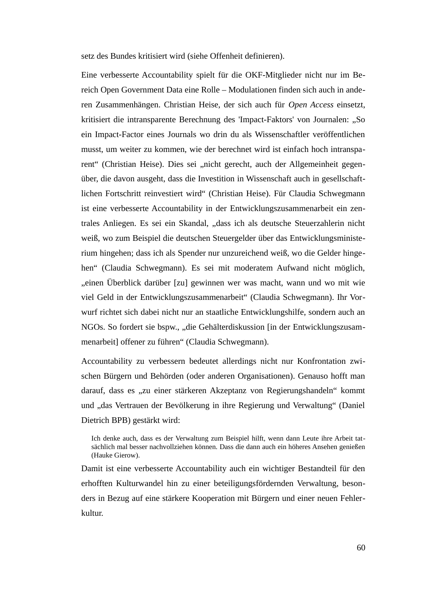setz des Bundes kritisiert wird (siehe Offenheit definieren).

Eine verbesserte Accountability spielt für die OKF-Mitglieder nicht nur im Bereich Open Government Data eine Rolle – Modulationen finden sich auch in anderen Zusammenhängen. Christian Heise, der sich auch für *Open Access* einsetzt, kritisiert die intransparente Berechnung des 'Impact-Faktors' von Journalen: "So ein Impact-Factor eines Journals wo drin du als Wissenschaftler veröffentlichen musst, um weiter zu kommen, wie der berechnet wird ist einfach hoch intransparent" (Christian Heise). Dies sei "nicht gerecht, auch der Allgemeinheit gegenüber, die davon ausgeht, dass die Investition in Wissenschaft auch in gesellschaftlichen Fortschritt reinvestiert wird" (Christian Heise). Für Claudia Schwegmann ist eine verbesserte Accountability in der Entwicklungszusammenarbeit ein zentrales Anliegen. Es sei ein Skandal, "dass ich als deutsche Steuerzahlerin nicht weiß, wo zum Beispiel die deutschen Steuergelder über das Entwicklungsministerium hingehen; dass ich als Spender nur unzureichend weiß, wo die Gelder hingehen" (Claudia Schwegmann). Es sei mit moderatem Aufwand nicht möglich, "einen Überblick darüber [zu] gewinnen wer was macht, wann und wo mit wie viel Geld in der Entwicklungszusammenarbeit" (Claudia Schwegmann). Ihr Vorwurf richtet sich dabei nicht nur an staatliche Entwicklungshilfe, sondern auch an NGOs. So fordert sie bspw., "die Gehälterdiskussion [in der Entwicklungszusammenarbeit] offener zu führen" (Claudia Schwegmann).

Accountability zu verbessern bedeutet allerdings nicht nur Konfrontation zwischen Bürgern und Behörden (oder anderen Organisationen). Genauso hofft man darauf, dass es "zu einer stärkeren Akzeptanz von Regierungshandeln" kommt und "das Vertrauen der Bevölkerung in ihre Regierung und Verwaltung" (Daniel Dietrich BPB) gestärkt wird:

Ich denke auch, dass es der Verwaltung zum Beispiel hilft, wenn dann Leute ihre Arbeit tatsächlich mal besser nachvollziehen können. Dass die dann auch ein höheres Ansehen genießen (Hauke Gierow).

Damit ist eine verbesserte Accountability auch ein wichtiger Bestandteil für den erhofften Kulturwandel hin zu einer beteiligungsfördernden Verwaltung, besonders in Bezug auf eine stärkere Kooperation mit Bürgern und einer neuen Fehlerkultur.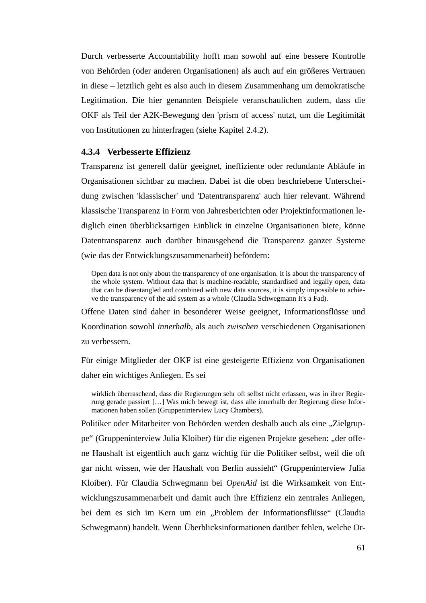Durch verbesserte Accountability hofft man sowohl auf eine bessere Kontrolle von Behörden (oder anderen Organisationen) als auch auf ein größeres Vertrauen in diese – letztlich geht es also auch in diesem Zusammenhang um demokratische Legitimation. Die hier genannten Beispiele veranschaulichen zudem, dass die OKF als Teil der A2K-Bewegung den 'prism of access' nutzt, um die Legitimität von Institutionen zu hinterfragen (siehe Kapitel 2.4.2).

## **4.3.4 Verbesserte Effizienz**

Transparenz ist generell dafür geeignet, ineffiziente oder redundante Abläufe in Organisationen sichtbar zu machen. Dabei ist die oben beschriebene Unterscheidung zwischen 'klassischer' und 'Datentransparenz' auch hier relevant. Während klassische Transparenz in Form von Jahresberichten oder Projektinformationen lediglich einen überblicksartigen Einblick in einzelne Organisationen biete, könne Datentransparenz auch darüber hinausgehend die Transparenz ganzer Systeme (wie das der Entwicklungszusammenarbeit) befördern:

Open data is not only about the transparency of one organisation. It is about the transparency of the whole system. Without data that is machine-readable, standardised and legally open, data that can be disentangled and combined with new data sources, it is simply impossible to achieve the transparency of the aid system as a whole (Claudia Schwegmann It's a Fad).

Offene Daten sind daher in besonderer Weise geeignet, Informationsflüsse und Koordination sowohl *innerhalb*, als auch *zwischen* verschiedenen Organisationen zu verbessern.

Für einige Mitglieder der OKF ist eine gesteigerte Effizienz von Organisationen daher ein wichtiges Anliegen. Es sei

wirklich überraschend, dass die Regierungen sehr oft selbst nicht erfassen, was in ihrer Regierung gerade passiert […] Was mich bewegt ist, dass alle innerhalb der Regierung diese Informationen haben sollen (Gruppeninterview Lucy Chambers).

Politiker oder Mitarbeiter von Behörden werden deshalb auch als eine "Zielgruppe" (Gruppeninterview Julia Kloiber) für die eigenen Projekte gesehen: "der offene Haushalt ist eigentlich auch ganz wichtig für die Politiker selbst, weil die oft gar nicht wissen, wie der Haushalt von Berlin aussieht" (Gruppeninterview Julia Kloiber). Für Claudia Schwegmann bei *OpenAid* ist die Wirksamkeit von Entwicklungszusammenarbeit und damit auch ihre Effizienz ein zentrales Anliegen, bei dem es sich im Kern um ein "Problem der Informationsflüsse" (Claudia Schwegmann) handelt. Wenn Überblicksinformationen darüber fehlen, welche Or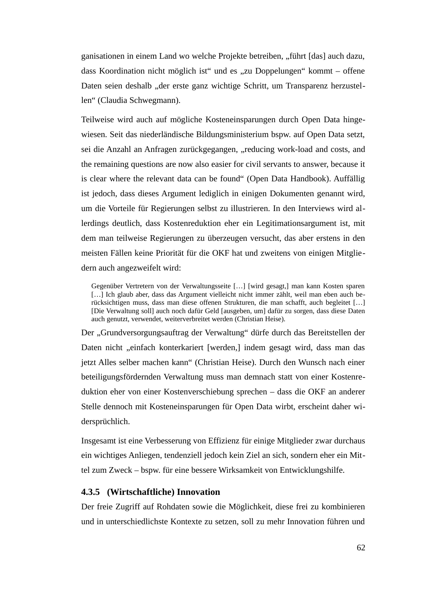ganisationen in einem Land wo welche Projekte betreiben, "führt [das] auch dazu, dass Koordination nicht möglich ist" und es "zu Doppelungen" kommt – offene Daten seien deshalb "der erste ganz wichtige Schritt, um Transparenz herzustellen" (Claudia Schwegmann).

Teilweise wird auch auf mögliche Kosteneinsparungen durch Open Data hingewiesen. Seit das niederländische Bildungsministerium bspw. auf Open Data setzt, sei die Anzahl an Anfragen zurückgegangen, "reducing work-load and costs, and the remaining questions are now also easier for civil servants to answer, because it is clear where the relevant data can be found" (Open Data Handbook). Auffällig ist jedoch, dass dieses Argument lediglich in einigen Dokumenten genannt wird, um die Vorteile für Regierungen selbst zu illustrieren. In den Interviews wird allerdings deutlich, dass Kostenreduktion eher ein Legitimationsargument ist, mit dem man teilweise Regierungen zu überzeugen versucht, das aber erstens in den meisten Fällen keine Priorität für die OKF hat und zweitens von einigen Mitgliedern auch angezweifelt wird:

Gegenüber Vertretern von der Verwaltungsseite […] [wird gesagt,] man kann Kosten sparen [...] Ich glaub aber, dass das Argument vielleicht nicht immer zählt, weil man eben auch berücksichtigen muss, dass man diese offenen Strukturen, die man schafft, auch begleitet […] [Die Verwaltung soll] auch noch dafür Geld [ausgeben, um] dafür zu sorgen, dass diese Daten auch genutzt, verwendet, weiterverbreitet werden (Christian Heise).

Der "Grundversorgungsauftrag der Verwaltung" dürfe durch das Bereitstellen der Daten nicht "einfach konterkariert [werden,] indem gesagt wird, dass man das jetzt Alles selber machen kann" (Christian Heise). Durch den Wunsch nach einer beteiligungsfördernden Verwaltung muss man demnach statt von einer Kostenreduktion eher von einer Kostenverschiebung sprechen – dass die OKF an anderer Stelle dennoch mit Kosteneinsparungen für Open Data wirbt, erscheint daher widersprüchlich.

Insgesamt ist eine Verbesserung von Effizienz für einige Mitglieder zwar durchaus ein wichtiges Anliegen, tendenziell jedoch kein Ziel an sich, sondern eher ein Mittel zum Zweck – bspw. für eine bessere Wirksamkeit von Entwicklungshilfe.

#### **4.3.5 (Wirtschaftliche) Innovation**

Der freie Zugriff auf Rohdaten sowie die Möglichkeit, diese frei zu kombinieren und in unterschiedlichste Kontexte zu setzen, soll zu mehr Innovation führen und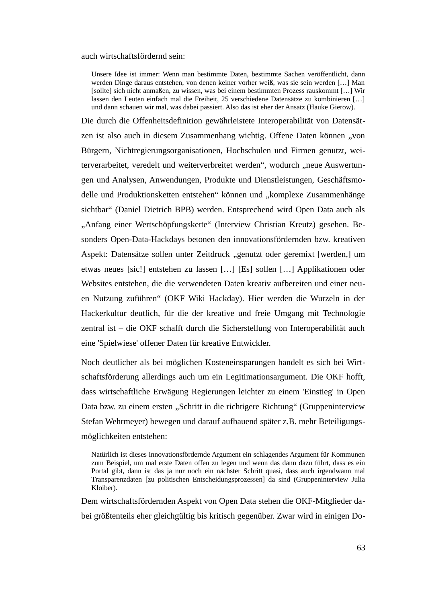auch wirtschaftsfördernd sein:

Unsere Idee ist immer: Wenn man bestimmte Daten, bestimmte Sachen veröffentlicht, dann werden Dinge daraus entstehen, von denen keiner vorher weiß, was sie sein werden […] Man [sollte] sich nicht anmaßen, zu wissen, was bei einem bestimmten Prozess rauskommt […] Wir lassen den Leuten einfach mal die Freiheit, 25 verschiedene Datensätze zu kombinieren […] und dann schauen wir mal, was dabei passiert. Also das ist eher der Ansatz (Hauke Gierow).

Die durch die Offenheitsdefinition gewährleistete Interoperabilität von Datensätzen ist also auch in diesem Zusammenhang wichtig. Offene Daten können "von Bürgern, Nichtregierungsorganisationen, Hochschulen und Firmen genutzt, weiterverarbeitet, veredelt und weiterverbreitet werden", wodurch "neue Auswertungen und Analysen, Anwendungen, Produkte und Dienstleistungen, Geschäftsmodelle und Produktionsketten entstehen" können und "komplexe Zusammenhänge sichtbar" (Daniel Dietrich BPB) werden. Entsprechend wird Open Data auch als "Anfang einer Wertschöpfungskette" (Interview Christian Kreutz) gesehen. Besonders Open-Data-Hackdays betonen den innovationsfördernden bzw. kreativen Aspekt: Datensätze sollen unter Zeitdruck "genutzt oder geremixt [werden,] um etwas neues [sic!] entstehen zu lassen […] [Es] sollen […] Applikationen oder Websites entstehen, die die verwendeten Daten kreativ aufbereiten und einer neuen Nutzung zuführen" (OKF Wiki Hackday). Hier werden die Wurzeln in der Hackerkultur deutlich, für die der kreative und freie Umgang mit Technologie zentral ist – die OKF schafft durch die Sicherstellung von Interoperabilität auch eine 'Spielwiese' offener Daten für kreative Entwickler.

Noch deutlicher als bei möglichen Kosteneinsparungen handelt es sich bei Wirtschaftsförderung allerdings auch um ein Legitimationsargument. Die OKF hofft, dass wirtschaftliche Erwägung Regierungen leichter zu einem 'Einstieg' in Open Data bzw. zu einem ersten "Schritt in die richtigere Richtung" (Gruppeninterview Stefan Wehrmeyer) bewegen und darauf aufbauend später z.B. mehr Beteiligungsmöglichkeiten entstehen:

Natürlich ist dieses innovationsfördernde Argument ein schlagendes Argument für Kommunen zum Beispiel, um mal erste Daten offen zu legen und wenn das dann dazu führt, dass es ein Portal gibt, dann ist das ja nur noch ein nächster Schritt quasi, dass auch irgendwann mal Transparenzdaten [zu politischen Entscheidungsprozessen] da sind (Gruppeninterview Julia Kloiber).

Dem wirtschaftsfördernden Aspekt von Open Data stehen die OKF-Mitglieder dabei größtenteils eher gleichgültig bis kritisch gegenüber. Zwar wird in einigen Do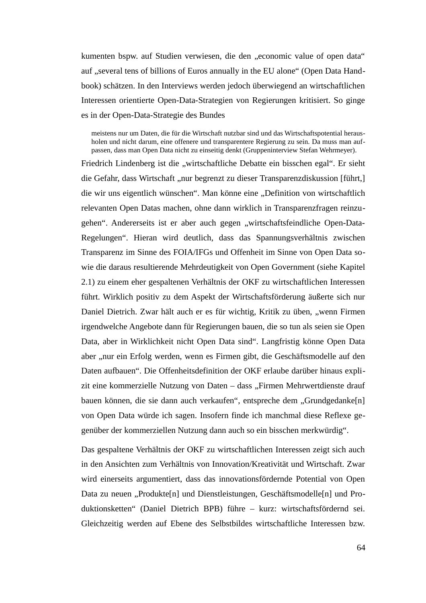kumenten bspw. auf Studien verwiesen, die den "economic value of open data" auf "several tens of billions of Euros annually in the EU alone" (Open Data Handbook) schätzen. In den Interviews werden jedoch überwiegend an wirtschaftlichen Interessen orientierte Open-Data-Strategien von Regierungen kritisiert. So ginge es in der Open-Data-Strategie des Bundes

meistens nur um Daten, die für die Wirtschaft nutzbar sind und das Wirtschaftspotential herausholen und nicht darum, eine offenere und transparentere Regierung zu sein. Da muss man aufpassen, dass man Open Data nicht zu einseitig denkt (Gruppeninterview Stefan Wehrmeyer).

Friedrich Lindenberg ist die "wirtschaftliche Debatte ein bisschen egal". Er sieht die Gefahr, dass Wirtschaft "nur begrenzt zu dieser Transparenzdiskussion [führt,] die wir uns eigentlich wünschen". Man könne eine "Definition von wirtschaftlich relevanten Open Datas machen, ohne dann wirklich in Transparenzfragen reinzugehen". Andererseits ist er aber auch gegen "wirtschaftsfeindliche Open-Data-Regelungen". Hieran wird deutlich, dass das Spannungsverhältnis zwischen Transparenz im Sinne des FOIA/IFGs und Offenheit im Sinne von Open Data sowie die daraus resultierende Mehrdeutigkeit von Open Government (siehe Kapitel 2.1) zu einem eher gespaltenen Verhältnis der OKF zu wirtschaftlichen Interessen führt. Wirklich positiv zu dem Aspekt der Wirtschaftsförderung äußerte sich nur Daniel Dietrich. Zwar hält auch er es für wichtig, Kritik zu üben, "wenn Firmen irgendwelche Angebote dann für Regierungen bauen, die so tun als seien sie Open Data, aber in Wirklichkeit nicht Open Data sind". Langfristig könne Open Data aber "nur ein Erfolg werden, wenn es Firmen gibt, die Geschäftsmodelle auf den Daten aufbauen". Die Offenheitsdefinition der OKF erlaube darüber hinaus explizit eine kommerzielle Nutzung von Daten - dass "Firmen Mehrwertdienste drauf bauen können, die sie dann auch verkaufen", entspreche dem "Grundgedanke[n] von Open Data würde ich sagen. Insofern finde ich manchmal diese Reflexe gegenüber der kommerziellen Nutzung dann auch so ein bisschen merkwürdig".

Das gespaltene Verhältnis der OKF zu wirtschaftlichen Interessen zeigt sich auch in den Ansichten zum Verhältnis von Innovation/Kreativität und Wirtschaft. Zwar wird einerseits argumentiert, dass das innovationsfördernde Potential von Open Data zu neuen "Produkte[n] und Dienstleistungen, Geschäftsmodelle[n] und Produktionsketten" (Daniel Dietrich BPB) führe – kurz: wirtschaftsfördernd sei. Gleichzeitig werden auf Ebene des Selbstbildes wirtschaftliche Interessen bzw.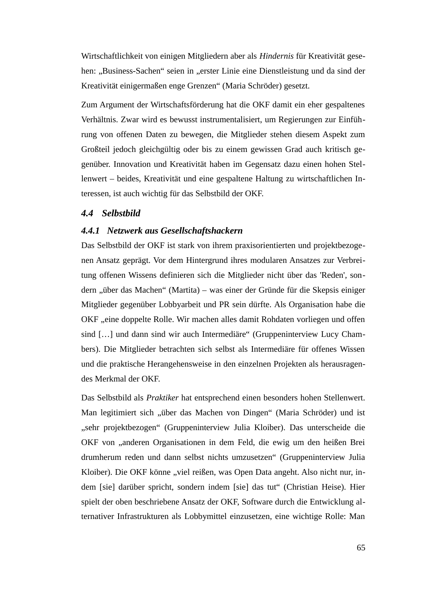Wirtschaftlichkeit von einigen Mitgliedern aber als *Hindernis* für Kreativität gesehen: "Business-Sachen" seien in "erster Linie eine Dienstleistung und da sind der Kreativität einigermaßen enge Grenzen" (Maria Schröder) gesetzt.

Zum Argument der Wirtschaftsförderung hat die OKF damit ein eher gespaltenes Verhältnis. Zwar wird es bewusst instrumentalisiert, um Regierungen zur Einführung von offenen Daten zu bewegen, die Mitglieder stehen diesem Aspekt zum Großteil jedoch gleichgültig oder bis zu einem gewissen Grad auch kritisch gegenüber. Innovation und Kreativität haben im Gegensatz dazu einen hohen Stellenwert – beides, Kreativität und eine gespaltene Haltung zu wirtschaftlichen Interessen, ist auch wichtig für das Selbstbild der OKF.

#### *4.4 Selbstbild*

#### *4.4.1 Netzwerk aus Gesellschaftshackern*

Das Selbstbild der OKF ist stark von ihrem praxisorientierten und projektbezogenen Ansatz geprägt. Vor dem Hintergrund ihres modularen Ansatzes zur Verbreitung offenen Wissens definieren sich die Mitglieder nicht über das 'Reden', sondern "über das Machen" (Martita) – was einer der Gründe für die Skepsis einiger Mitglieder gegenüber Lobbyarbeit und PR sein dürfte. Als Organisation habe die OKF "eine doppelte Rolle. Wir machen alles damit Rohdaten vorliegen und offen sind [...] und dann sind wir auch Intermediäre" (Gruppeninterview Lucy Chambers). Die Mitglieder betrachten sich selbst als Intermediäre für offenes Wissen und die praktische Herangehensweise in den einzelnen Projekten als herausragendes Merkmal der OKF.

Das Selbstbild als *Praktiker* hat entsprechend einen besonders hohen Stellenwert. Man legitimiert sich "über das Machen von Dingen" (Maria Schröder) und ist "sehr projektbezogen" (Gruppeninterview Julia Kloiber). Das unterscheide die OKF von "anderen Organisationen in dem Feld, die ewig um den heißen Brei drumherum reden und dann selbst nichts umzusetzen" (Gruppeninterview Julia Kloiber). Die OKF könne "viel reißen, was Open Data angeht. Also nicht nur, indem [sie] darüber spricht, sondern indem [sie] das tut" (Christian Heise). Hier spielt der oben beschriebene Ansatz der OKF, Software durch die Entwicklung alternativer Infrastrukturen als Lobbymittel einzusetzen, eine wichtige Rolle: Man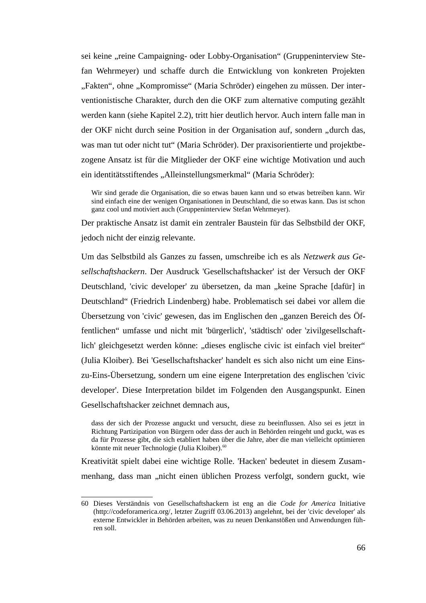sei keine "reine Campaigning- oder Lobby-Organisation" (Gruppeninterview Stefan Wehrmeyer) und schaffe durch die Entwicklung von konkreten Projekten "Fakten", ohne "Kompromisse" (Maria Schröder) eingehen zu müssen. Der interventionistische Charakter, durch den die OKF zum alternative computing gezählt werden kann (siehe Kapitel 2.2), tritt hier deutlich hervor. Auch intern falle man in der OKF nicht durch seine Position in der Organisation auf, sondern "durch das, was man tut oder nicht tut" (Maria Schröder). Der praxisorientierte und projektbezogene Ansatz ist für die Mitglieder der OKF eine wichtige Motivation und auch ein identitätsstiftendes "Alleinstellungsmerkmal" (Maria Schröder):

Wir sind gerade die Organisation, die so etwas bauen kann und so etwas betreiben kann. Wir sind einfach eine der wenigen Organisationen in Deutschland, die so etwas kann. Das ist schon ganz cool und motiviert auch (Gruppeninterview Stefan Wehrmeyer).

Der praktische Ansatz ist damit ein zentraler Baustein für das Selbstbild der OKF, jedoch nicht der einzig relevante.

Um das Selbstbild als Ganzes zu fassen, umschreibe ich es als *Netzwerk aus Gesellschaftshackern*. Der Ausdruck 'Gesellschaftshacker' ist der Versuch der OKF Deutschland, 'civic developer' zu übersetzen, da man "keine Sprache [dafür] in Deutschland" (Friedrich Lindenberg) habe. Problematisch sei dabei vor allem die Übersetzung von 'civic' gewesen, das im Englischen den "ganzen Bereich des Öffentlichen" umfasse und nicht mit 'bürgerlich', 'städtisch' oder 'zivilgesellschaftlich' gleichgesetzt werden könne: "dieses englische civic ist einfach viel breiter" (Julia Kloiber). Bei 'Gesellschaftshacker' handelt es sich also nicht um eine Einszu-Eins-Übersetzung, sondern um eine eigene Interpretation des englischen 'civic developer'. Diese Interpretation bildet im Folgenden den Ausgangspunkt. Einen Gesellschaftshacker zeichnet demnach aus,

Kreativität spielt dabei eine wichtige Rolle. 'Hacken' bedeutet in diesem Zusammenhang, dass man "nicht einen üblichen Prozess verfolgt, sondern guckt, wie

dass der sich der Prozesse anguckt und versucht, diese zu beeinflussen. Also sei es jetzt in Richtung Partizipation von Bürgern oder dass der auch in Behörden reingeht und guckt, was es da für Prozesse gibt, die sich etabliert haben über die Jahre, aber die man vielleicht optimieren könnte mit neuer Technologie (Julia Kloiber).<sup>[60](#page-68-0)</sup>

<span id="page-68-0"></span><sup>60</sup> Dieses Verständnis von Gesellschaftshackern ist eng an die *Code for America* Initiative [\(http://codeforamerica.org/,](http://codeforamerica.org/) letzter Zugriff 03.06.2013) angelehnt, bei der 'civic developer' als externe Entwickler in Behörden arbeiten, was zu neuen Denkanstößen und Anwendungen führen soll.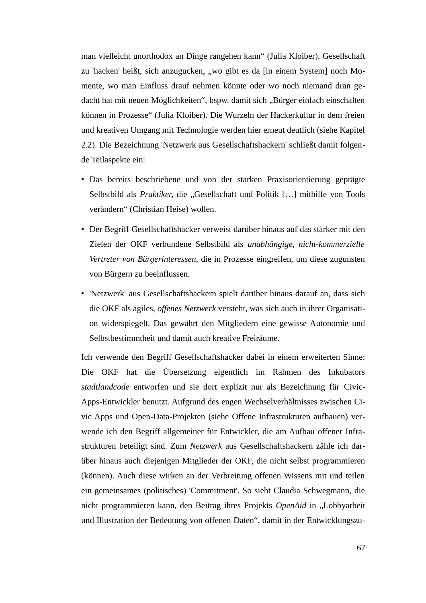man vielleicht unorthodox an Dinge rangehen kann" (Julia Kloiber). Gesellschaft zu 'hacken' heißt, sich anzugucken, "wo gibt es da [in einem System] noch Momente, wo man Einfluss drauf nehmen könnte oder wo noch niemand dran gedacht hat mit neuen Möglichkeiten", bspw. damit sich "Bürger einfach einschalten können in Prozesse" (Julia Kloiber). Die Wurzeln der Hackerkultur in dem freien und kreativen Umgang mit Technologie werden hier erneut deutlich (siehe Kapitel 2.2). Die Bezeichnung 'Netzwerk aus Gesellschaftshackern' schließt damit folgende Teilaspekte ein:

- Das bereits beschriebene und von der starken Praxisorientierung geprägte Selbstbild als *Praktiker*, die "Gesellschaft und Politik [...] mithilfe von Tools verändern" (Christian Heise) wollen.
- Der Begriff Gesellschaftshacker verweist darüber hinaus auf das stärker mit den Zielen der OKF verbundene Selbstbild als *unabhängige, nicht-kommerzielle Vertreter von Bürgerinteressen*, die in Prozesse eingreifen, um diese zugunsten von Bürgern zu beeinflussen.
- 'Netzwerk' aus Gesellschaftshackern spielt darüber hinaus darauf an, dass sich die OKF als agiles, *offenes Netzwerk* versteht, was sich auch in ihrer Organisation widerspiegelt. Das gewährt den Mitgliedern eine gewisse Autonomie und Selbstbestimmtheit und damit auch kreative Freiräume.

Ich verwende den Begriff Gesellschaftshacker dabei in einem erweiterten Sinne: Die OKF hat die Übersetzung eigentlich im Rahmen des Inkubators *stadtlandcode* entworfen und sie dort explizit nur als Bezeichnung für Civic-Apps-Entwickler benutzt. Aufgrund des engen Wechselverhältnisses zwischen Civic Apps und Open-Data-Projekten (siehe Offene Infrastrukturen aufbauen) verwende ich den Begriff allgemeiner für Entwickler, die am Aufbau offener Infrastrukturen beteiligt sind. Zum *Netzwerk* aus Gesellschaftshackern zähle ich darüber hinaus auch diejenigen Mitglieder der OKF, die nicht selbst programmieren (können). Auch diese wirken an der Verbreitung offenen Wissens mit und teilen ein gemeinsames (politisches) 'Commitment'. So sieht Claudia Schwegmann, die nicht programmieren kann, den Beitrag ihres Projekts *OpenAid* in "Lobbyarbeit und Illustration der Bedeutung von offenen Daten", damit in der Entwicklungszu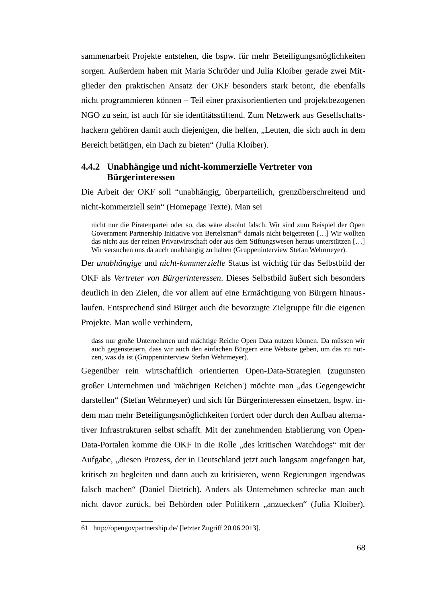sammenarbeit Projekte entstehen, die bspw. für mehr Beteiligungsmöglichkeiten sorgen. Außerdem haben mit Maria Schröder und Julia Kloiber gerade zwei Mitglieder den praktischen Ansatz der OKF besonders stark betont, die ebenfalls nicht programmieren können – Teil einer praxisorientierten und projektbezogenen NGO zu sein, ist auch für sie identitätsstiftend. Zum Netzwerk aus Gesellschaftshackern gehören damit auch diejenigen, die helfen, "Leuten, die sich auch in dem Bereich betätigen, ein Dach zu bieten" (Julia Kloiber).

## **4.4.2 Unabhängige und nicht-kommerzielle Vertreter von Bürgerinteressen**

Die Arbeit der OKF soll "unabhängig, überparteilich, grenzüberschreitend und nicht-kommerziell sein" (Homepage Texte). Man sei

nicht nur die Piratenpartei oder so, das wäre absolut falsch. Wir sind zum Beispiel der Open Government Partnership Initiative von Bertelsman<sup>[61](#page-70-0)</sup> damals nicht beigetreten [...] Wir wollten das nicht aus der reinen Privatwirtschaft oder aus dem Stiftungswesen heraus unterstützen […] Wir versuchen uns da auch unabhängig zu halten (Gruppeninterview Stefan Wehrmeyer).

Der *unabhängige* und *nicht-kommerzielle* Status ist wichtig für das Selbstbild der OKF als *Vertreter von Bürgerinteressen*. Dieses Selbstbild äußert sich besonders deutlich in den Zielen, die vor allem auf eine Ermächtigung von Bürgern hinauslaufen. Entsprechend sind Bürger auch die bevorzugte Zielgruppe für die eigenen Projekte. Man wolle verhindern,

dass nur große Unternehmen und mächtige Reiche Open Data nutzen können. Da müssen wir auch gegensteuern, dass wir auch den einfachen Bürgern eine Website geben, um das zu nutzen, was da ist (Gruppeninterview Stefan Wehrmeyer).

Gegenüber rein wirtschaftlich orientierten Open-Data-Strategien (zugunsten großer Unternehmen und 'mächtigen Reichen') möchte man "das Gegengewicht darstellen" (Stefan Wehrmeyer) und sich für Bürgerinteressen einsetzen, bspw. indem man mehr Beteiligungsmöglichkeiten fordert oder durch den Aufbau alternativer Infrastrukturen selbst schafft. Mit der zunehmenden Etablierung von Open-Data-Portalen komme die OKF in die Rolle "des kritischen Watchdogs" mit der Aufgabe, "diesen Prozess, der in Deutschland jetzt auch langsam angefangen hat, kritisch zu begleiten und dann auch zu kritisieren, wenn Regierungen irgendwas falsch machen" (Daniel Dietrich). Anders als Unternehmen schrecke man auch nicht davor zurück, bei Behörden oder Politikern "anzuecken" (Julia Kloiber).

<span id="page-70-0"></span><sup>61</sup> <http://opengovpartnership.de/>[letzter Zugriff 20.06.2013].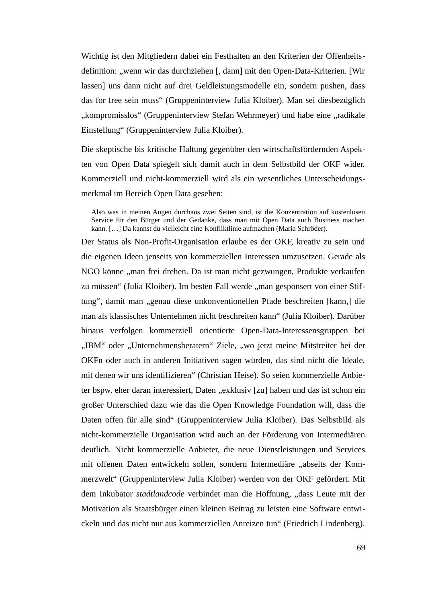Wichtig ist den Mitgliedern dabei ein Festhalten an den Kriterien der Offenheitsdefinition: "wenn wir das durchziehen [, dann] mit den Open-Data-Kriterien. [Wir lassen] uns dann nicht auf drei Geldleistungsmodelle ein, sondern pushen, dass das for free sein muss" (Gruppeninterview Julia Kloiber). Man sei diesbezüglich "kompromisslos" (Gruppeninterview Stefan Wehrmeyer) und habe eine "radikale Einstellung" (Gruppeninterview Julia Kloiber).

Die skeptische bis kritische Haltung gegenüber den wirtschaftsfördernden Aspekten von Open Data spiegelt sich damit auch in dem Selbstbild der OKF wider. Kommerziell und nicht-kommerziell wird als ein wesentliches Unterscheidungsmerkmal im Bereich Open Data gesehen:

Also was in meinen Augen durchaus zwei Seiten sind, ist die Konzentration auf kostenlosen Service für den Bürger und der Gedanke, dass man mit Open Data auch Business machen kann. […] Da kannst du vielleicht eine Konfliktlinie aufmachen (Maria Schröder).

Der Status als Non-Profit-Organisation erlaube es der OKF, kreativ zu sein und die eigenen Ideen jenseits von kommerziellen Interessen umzusetzen. Gerade als NGO könne "man frei drehen. Da ist man nicht gezwungen, Produkte verkaufen zu müssen" (Julia Kloiber). Im besten Fall werde "man gesponsert von einer Stiftung", damit man "genau diese unkonventionellen Pfade beschreiten [kann,] die man als klassisches Unternehmen nicht beschreiten kann" (Julia Kloiber). Darüber hinaus verfolgen kommerziell orientierte Open-Data-Interessensgruppen bei "IBM" oder "Unternehmensberatern" Ziele, "wo jetzt meine Mitstreiter bei der OKFn oder auch in anderen Initiativen sagen würden, das sind nicht die Ideale, mit denen wir uns identifizieren" (Christian Heise). So seien kommerzielle Anbieter bspw. eher daran interessiert, Daten "exklusiv [zu] haben und das ist schon ein großer Unterschied dazu wie das die Open Knowledge Foundation will, dass die Daten offen für alle sind" (Gruppeninterview Julia Kloiber). Das Selbstbild als nicht-kommerzielle Organisation wird auch an der Förderung von Intermediären deutlich. Nicht kommerzielle Anbieter, die neue Dienstleistungen und Services mit offenen Daten entwickeln sollen, sondern Intermediäre "abseits der Kommerzwelt" (Gruppeninterview Julia Kloiber) werden von der OKF gefördert. Mit dem Inkubator *stadtlandcode* verbindet man die Hoffnung, "dass Leute mit der Motivation als Staatsbürger einen kleinen Beitrag zu leisten eine Software entwickeln und das nicht nur aus kommerziellen Anreizen tun" (Friedrich Lindenberg).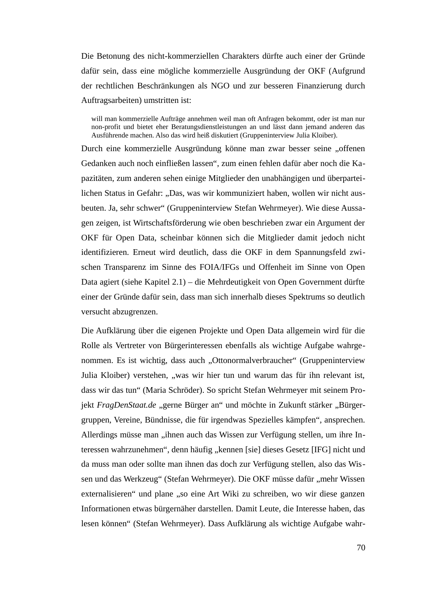Die Betonung des nicht-kommerziellen Charakters dürfte auch einer der Gründe dafür sein, dass eine mögliche kommerzielle Ausgründung der OKF (Aufgrund der rechtlichen Beschränkungen als NGO und zur besseren Finanzierung durch Auftragsarbeiten) umstritten ist:

will man kommerzielle Aufträge annehmen weil man oft Anfragen bekommt, oder ist man nur non-profit und bietet eher Beratungsdienstleistungen an und lässt dann jemand anderen das Ausführende machen. Also das wird heiß diskutiert (Gruppeninterview Julia Kloiber).

Durch eine kommerzielle Ausgründung könne man zwar besser seine "offenen Gedanken auch noch einfließen lassen", zum einen fehlen dafür aber noch die Kapazitäten, zum anderen sehen einige Mitglieder den unabhängigen und überparteilichen Status in Gefahr: "Das, was wir kommuniziert haben, wollen wir nicht ausbeuten. Ja, sehr schwer" (Gruppeninterview Stefan Wehrmeyer). Wie diese Aussagen zeigen, ist Wirtschaftsförderung wie oben beschrieben zwar ein Argument der OKF für Open Data, scheinbar können sich die Mitglieder damit jedoch nicht identifizieren. Erneut wird deutlich, dass die OKF in dem Spannungsfeld zwischen Transparenz im Sinne des FOIA/IFGs und Offenheit im Sinne von Open Data agiert (siehe Kapitel 2.1) – die Mehrdeutigkeit von Open Government dürfte einer der Gründe dafür sein, dass man sich innerhalb dieses Spektrums so deutlich versucht abzugrenzen.

Die Aufklärung über die eigenen Projekte und Open Data allgemein wird für die Rolle als Vertreter von Bürgerinteressen ebenfalls als wichtige Aufgabe wahrgenommen. Es ist wichtig, dass auch "Ottonormalverbraucher" (Gruppeninterview Julia Kloiber) verstehen, "was wir hier tun und warum das für ihn relevant ist, dass wir das tun" (Maria Schröder). So spricht Stefan Wehrmeyer mit seinem Projekt *FragDenStaat.de* "gerne Bürger an" und möchte in Zukunft stärker "Bürgergruppen, Vereine, Bündnisse, die für irgendwas Spezielles kämpfen", ansprechen. Allerdings müsse man "ihnen auch das Wissen zur Verfügung stellen, um ihre Interessen wahrzunehmen", denn häufig "kennen [sie] dieses Gesetz [IFG] nicht und da muss man oder sollte man ihnen das doch zur Verfügung stellen, also das Wissen und das Werkzeug" (Stefan Wehrmeyer). Die OKF müsse dafür "mehr Wissen externalisieren" und plane "so eine Art Wiki zu schreiben, wo wir diese ganzen Informationen etwas bürgernäher darstellen. Damit Leute, die Interesse haben, das lesen können" (Stefan Wehrmeyer). Dass Aufklärung als wichtige Aufgabe wahr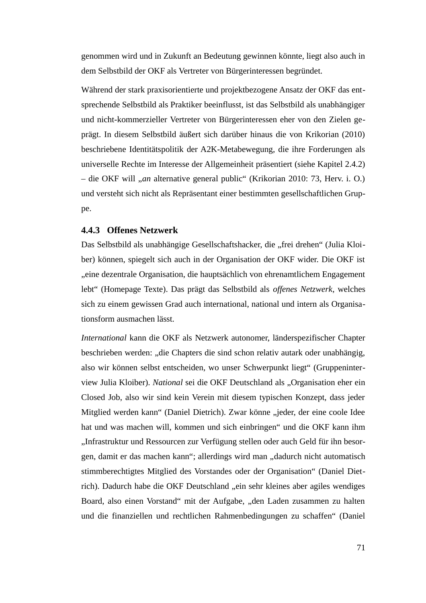genommen wird und in Zukunft an Bedeutung gewinnen könnte, liegt also auch in dem Selbstbild der OKF als Vertreter von Bürgerinteressen begründet.

Während der stark praxisorientierte und projektbezogene Ansatz der OKF das entsprechende Selbstbild als Praktiker beeinflusst, ist das Selbstbild als unabhängiger und nicht-kommerzieller Vertreter von Bürgerinteressen eher von den Zielen geprägt. In diesem Selbstbild äußert sich darüber hinaus die von Krikorian (2010) beschriebene Identitätspolitik der A2K-Metabewegung, die ihre Forderungen als universelle Rechte im Interesse der Allgemeinheit präsentiert (siehe Kapitel 2.4.2) – die OKF will "*an* alternative general public" (Krikorian 2010: 73, Herv. i. O.) und versteht sich nicht als Repräsentant einer bestimmten gesellschaftlichen Gruppe.

#### **4.4.3 Offenes Netzwerk**

Das Selbstbild als unabhängige Gesellschaftshacker, die "frei drehen" (Julia Kloiber) können, spiegelt sich auch in der Organisation der OKF wider. Die OKF ist "eine dezentrale Organisation, die hauptsächlich von ehrenamtlichem Engagement lebt" (Homepage Texte). Das prägt das Selbstbild als *offenes Netzwerk*, welches sich zu einem gewissen Grad auch international, national und intern als Organisationsform ausmachen lässt.

*International* kann die OKF als Netzwerk autonomer, länderspezifischer Chapter beschrieben werden: "die Chapters die sind schon relativ autark oder unabhängig, also wir können selbst entscheiden, wo unser Schwerpunkt liegt" (Gruppeninterview Julia Kloiber). *National* sei die OKF Deutschland als "Organisation eher ein Closed Job, also wir sind kein Verein mit diesem typischen Konzept, dass jeder Mitglied werden kann" (Daniel Dietrich). Zwar könne "jeder, der eine coole Idee hat und was machen will, kommen und sich einbringen" und die OKF kann ihm "Infrastruktur und Ressourcen zur Verfügung stellen oder auch Geld für ihn besorgen, damit er das machen kann"; allerdings wird man "dadurch nicht automatisch stimmberechtigtes Mitglied des Vorstandes oder der Organisation" (Daniel Dietrich). Dadurch habe die OKF Deutschland "ein sehr kleines aber agiles wendiges Board, also einen Vorstand" mit der Aufgabe, "den Laden zusammen zu halten und die finanziellen und rechtlichen Rahmenbedingungen zu schaffen" (Daniel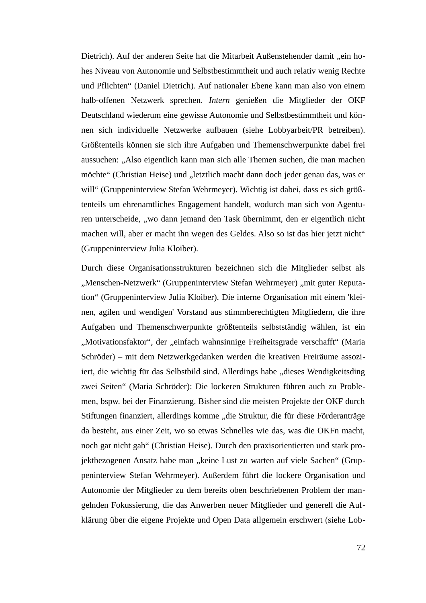Dietrich). Auf der anderen Seite hat die Mitarbeit Außenstehender damit "ein hohes Niveau von Autonomie und Selbstbestimmtheit und auch relativ wenig Rechte und Pflichten" (Daniel Dietrich). Auf nationaler Ebene kann man also von einem halb-offenen Netzwerk sprechen. *Intern* genießen die Mitglieder der OKF Deutschland wiederum eine gewisse Autonomie und Selbstbestimmtheit und können sich individuelle Netzwerke aufbauen (siehe Lobbyarbeit/PR betreiben). Größtenteils können sie sich ihre Aufgaben und Themenschwerpunkte dabei frei aussuchen: "Also eigentlich kann man sich alle Themen suchen, die man machen möchte" (Christian Heise) und "letztlich macht dann doch jeder genau das, was er will" (Gruppeninterview Stefan Wehrmeyer). Wichtig ist dabei, dass es sich größtenteils um ehrenamtliches Engagement handelt, wodurch man sich von Agenturen unterscheide, "wo dann jemand den Task übernimmt, den er eigentlich nicht machen will, aber er macht ihn wegen des Geldes. Also so ist das hier jetzt nicht" (Gruppeninterview Julia Kloiber).

Durch diese Organisationsstrukturen bezeichnen sich die Mitglieder selbst als "Menschen-Netzwerk" (Gruppeninterview Stefan Wehrmeyer) "mit guter Reputation" (Gruppeninterview Julia Kloiber). Die interne Organisation mit einem 'kleinen, agilen und wendigen' Vorstand aus stimmberechtigten Mitgliedern, die ihre Aufgaben und Themenschwerpunkte größtenteils selbstständig wählen, ist ein "Motivationsfaktor", der "einfach wahnsinnige Freiheitsgrade verschafft" (Maria Schröder) – mit dem Netzwerkgedanken werden die kreativen Freiräume assoziiert, die wichtig für das Selbstbild sind. Allerdings habe "dieses Wendigkeitsding zwei Seiten" (Maria Schröder): Die lockeren Strukturen führen auch zu Problemen, bspw. bei der Finanzierung. Bisher sind die meisten Projekte der OKF durch Stiftungen finanziert, allerdings komme "die Struktur, die für diese Förderanträge da besteht, aus einer Zeit, wo so etwas Schnelles wie das, was die OKFn macht, noch gar nicht gab" (Christian Heise). Durch den praxisorientierten und stark projektbezogenen Ansatz habe man "keine Lust zu warten auf viele Sachen" (Gruppeninterview Stefan Wehrmeyer). Außerdem führt die lockere Organisation und Autonomie der Mitglieder zu dem bereits oben beschriebenen Problem der mangelnden Fokussierung, die das Anwerben neuer Mitglieder und generell die Aufklärung über die eigene Projekte und Open Data allgemein erschwert (siehe Lob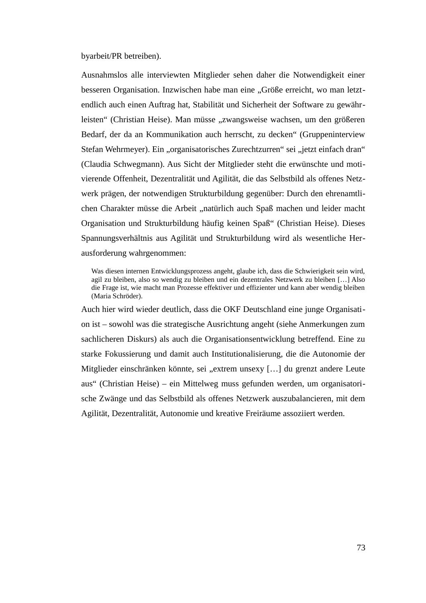byarbeit/PR betreiben).

Ausnahmslos alle interviewten Mitglieder sehen daher die Notwendigkeit einer besseren Organisation. Inzwischen habe man eine "Größe erreicht, wo man letztendlich auch einen Auftrag hat, Stabilität und Sicherheit der Software zu gewährleisten" (Christian Heise). Man müsse "zwangsweise wachsen, um den größeren Bedarf, der da an Kommunikation auch herrscht, zu decken" (Gruppeninterview Stefan Wehrmeyer). Ein "organisatorisches Zurechtzurren" sei "jetzt einfach dran" (Claudia Schwegmann). Aus Sicht der Mitglieder steht die erwünschte und motivierende Offenheit, Dezentralität und Agilität, die das Selbstbild als offenes Netzwerk prägen, der notwendigen Strukturbildung gegenüber: Durch den ehrenamtlichen Charakter müsse die Arbeit "natürlich auch Spaß machen und leider macht Organisation und Strukturbildung häufig keinen Spaß" (Christian Heise). Dieses Spannungsverhältnis aus Agilität und Strukturbildung wird als wesentliche Herausforderung wahrgenommen:

Was diesen internen Entwicklungsprozess angeht, glaube ich, dass die Schwierigkeit sein wird, agil zu bleiben, also so wendig zu bleiben und ein dezentrales Netzwerk zu bleiben […] Also die Frage ist, wie macht man Prozesse effektiver und effizienter und kann aber wendig bleiben (Maria Schröder).

Auch hier wird wieder deutlich, dass die OKF Deutschland eine junge Organisation ist – sowohl was die strategische Ausrichtung angeht (siehe Anmerkungen zum sachlicheren Diskurs) als auch die Organisationsentwicklung betreffend. Eine zu starke Fokussierung und damit auch Institutionalisierung, die die Autonomie der Mitglieder einschränken könnte, sei "extrem unsexy [...] du grenzt andere Leute aus" (Christian Heise) – ein Mittelweg muss gefunden werden, um organisatorische Zwänge und das Selbstbild als offenes Netzwerk auszubalancieren, mit dem Agilität, Dezentralität, Autonomie und kreative Freiräume assoziiert werden.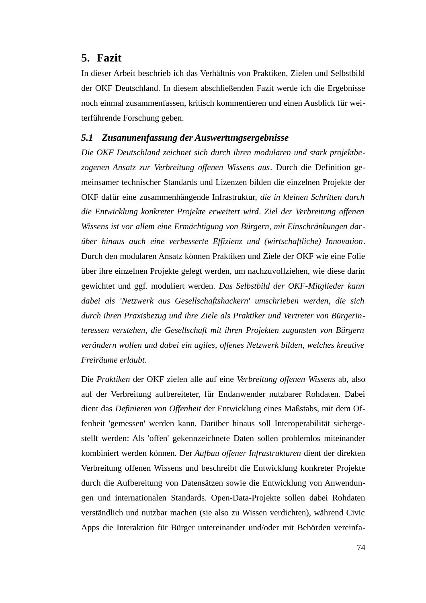# **5. Fazit**

In dieser Arbeit beschrieb ich das Verhältnis von Praktiken, Zielen und Selbstbild der OKF Deutschland. In diesem abschließenden Fazit werde ich die Ergebnisse noch einmal zusammenfassen, kritisch kommentieren und einen Ausblick für weiterführende Forschung geben.

## *5.1 Zusammenfassung der Auswertungsergebnisse*

*Die OKF Deutschland zeichnet sich durch ihren modularen und stark projektbezogenen Ansatz zur Verbreitung offenen Wissens aus*. Durch die Definition gemeinsamer technischer Standards und Lizenzen bilden die einzelnen Projekte der OKF dafür eine zusammenhängende Infrastruktur, *die in kleinen Schritten durch die Entwicklung konkreter Projekte erweitert wird*. *Ziel der Verbreitung offenen Wissens ist vor allem eine Ermächtigung von Bürgern, mit Einschränkungen darüber hinaus auch eine verbesserte Effizienz und (wirtschaftliche) Innovation*. Durch den modularen Ansatz können Praktiken und Ziele der OKF wie eine Folie über ihre einzelnen Projekte gelegt werden, um nachzuvollziehen, wie diese darin gewichtet und ggf. moduliert werden. *Das Selbstbild der OKF-Mitglieder kann dabei als 'Netzwerk aus Gesellschaftshackern' umschrieben werden, die sich durch ihren Praxisbezug und ihre Ziele als Praktiker und Vertreter von Bürgerinteressen verstehen, die Gesellschaft mit ihren Projekten zugunsten von Bürgern verändern wollen und dabei ein agiles, offenes Netzwerk bilden, welches kreative Freiräume erlaubt*.

Die *Praktiken* der OKF zielen alle auf eine *Verbreitung offenen Wissens* ab, also auf der Verbreitung aufbereiteter, für Endanwender nutzbarer Rohdaten. Dabei dient das *Definieren von Offenheit* der Entwicklung eines Maßstabs, mit dem Offenheit 'gemessen' werden kann. Darüber hinaus soll Interoperabilität sichergestellt werden: Als 'offen' gekennzeichnete Daten sollen problemlos miteinander kombiniert werden können. Der *Aufbau offener Infrastrukturen* dient der direkten Verbreitung offenen Wissens und beschreibt die Entwicklung konkreter Projekte durch die Aufbereitung von Datensätzen sowie die Entwicklung von Anwendungen und internationalen Standards. Open-Data-Projekte sollen dabei Rohdaten verständlich und nutzbar machen (sie also zu Wissen verdichten), während Civic Apps die Interaktion für Bürger untereinander und/oder mit Behörden vereinfa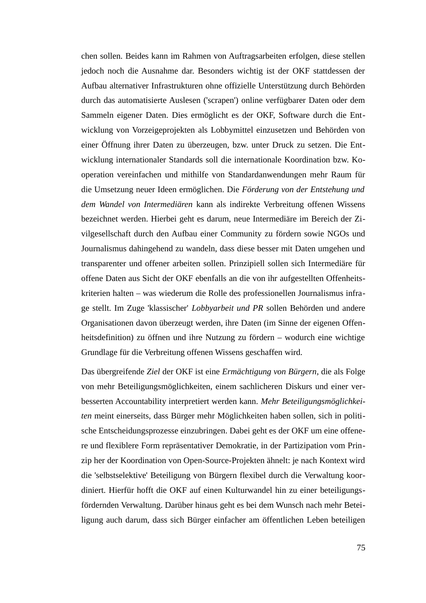chen sollen. Beides kann im Rahmen von Auftragsarbeiten erfolgen, diese stellen jedoch noch die Ausnahme dar. Besonders wichtig ist der OKF stattdessen der Aufbau alternativer Infrastrukturen ohne offizielle Unterstützung durch Behörden durch das automatisierte Auslesen ('scrapen') online verfügbarer Daten oder dem Sammeln eigener Daten. Dies ermöglicht es der OKF, Software durch die Entwicklung von Vorzeigeprojekten als Lobbymittel einzusetzen und Behörden von einer Öffnung ihrer Daten zu überzeugen, bzw. unter Druck zu setzen. Die Entwicklung internationaler Standards soll die internationale Koordination bzw. Kooperation vereinfachen und mithilfe von Standardanwendungen mehr Raum für die Umsetzung neuer Ideen ermöglichen. Die *Förderung von der Entstehung und dem Wandel von Intermediären* kann als indirekte Verbreitung offenen Wissens bezeichnet werden. Hierbei geht es darum, neue Intermediäre im Bereich der Zivilgesellschaft durch den Aufbau einer Community zu fördern sowie NGOs und Journalismus dahingehend zu wandeln, dass diese besser mit Daten umgehen und transparenter und offener arbeiten sollen. Prinzipiell sollen sich Intermediäre für offene Daten aus Sicht der OKF ebenfalls an die von ihr aufgestellten Offenheitskriterien halten – was wiederum die Rolle des professionellen Journalismus infrage stellt. Im Zuge 'klassischer' *Lobbyarbeit und PR* sollen Behörden und andere Organisationen davon überzeugt werden, ihre Daten (im Sinne der eigenen Offenheitsdefinition) zu öffnen und ihre Nutzung zu fördern – wodurch eine wichtige Grundlage für die Verbreitung offenen Wissens geschaffen wird.

Das übergreifende *Ziel* der OKF ist eine *Ermächtigung von Bürgern*, die als Folge von mehr Beteiligungsmöglichkeiten, einem sachlicheren Diskurs und einer verbesserten Accountability interpretiert werden kann. *Mehr Beteiligungsmöglichkeiten* meint einerseits, dass Bürger mehr Möglichkeiten haben sollen, sich in politische Entscheidungsprozesse einzubringen. Dabei geht es der OKF um eine offenere und flexiblere Form repräsentativer Demokratie, in der Partizipation vom Prinzip her der Koordination von Open-Source-Projekten ähnelt: je nach Kontext wird die 'selbstselektive' Beteiligung von Bürgern flexibel durch die Verwaltung koordiniert. Hierfür hofft die OKF auf einen Kulturwandel hin zu einer beteiligungsfördernden Verwaltung. Darüber hinaus geht es bei dem Wunsch nach mehr Beteiligung auch darum, dass sich Bürger einfacher am öffentlichen Leben beteiligen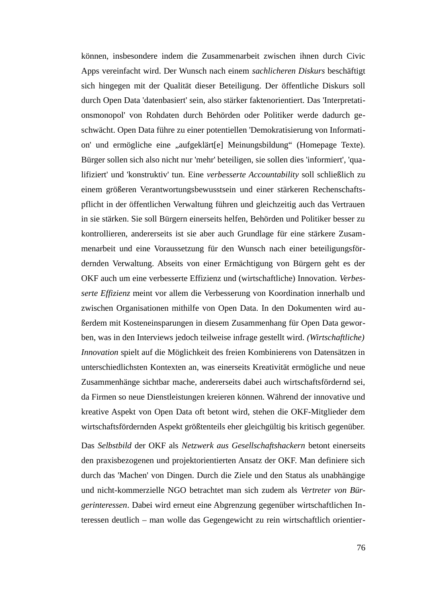können, insbesondere indem die Zusammenarbeit zwischen ihnen durch Civic Apps vereinfacht wird. Der Wunsch nach einem *sachlicheren Diskurs* beschäftigt sich hingegen mit der Qualität dieser Beteiligung. Der öffentliche Diskurs soll durch Open Data 'datenbasiert' sein, also stärker faktenorientiert. Das 'Interpretationsmonopol' von Rohdaten durch Behörden oder Politiker werde dadurch geschwächt. Open Data führe zu einer potentiellen 'Demokratisierung von Information' und ermögliche eine "aufgeklärt[e] Meinungsbildung" (Homepage Texte). Bürger sollen sich also nicht nur 'mehr' beteiligen, sie sollen dies 'informiert', 'qualifiziert' und 'konstruktiv' tun. Eine *verbesserte Accountability* soll schließlich zu einem größeren Verantwortungsbewusstsein und einer stärkeren Rechenschaftspflicht in der öffentlichen Verwaltung führen und gleichzeitig auch das Vertrauen in sie stärken. Sie soll Bürgern einerseits helfen, Behörden und Politiker besser zu kontrollieren, andererseits ist sie aber auch Grundlage für eine stärkere Zusammenarbeit und eine Voraussetzung für den Wunsch nach einer beteiligungsfördernden Verwaltung. Abseits von einer Ermächtigung von Bürgern geht es der OKF auch um eine verbesserte Effizienz und (wirtschaftliche) Innovation. *Verbesserte Effizienz* meint vor allem die Verbesserung von Koordination innerhalb und zwischen Organisationen mithilfe von Open Data. In den Dokumenten wird außerdem mit Kosteneinsparungen in diesem Zusammenhang für Open Data geworben, was in den Interviews jedoch teilweise infrage gestellt wird. *(Wirtschaftliche) Innovation* spielt auf die Möglichkeit des freien Kombinierens von Datensätzen in unterschiedlichsten Kontexten an, was einerseits Kreativität ermögliche und neue Zusammenhänge sichtbar mache, andererseits dabei auch wirtschaftsfördernd sei, da Firmen so neue Dienstleistungen kreieren können. Während der innovative und kreative Aspekt von Open Data oft betont wird, stehen die OKF-Mitglieder dem wirtschaftsfördernden Aspekt größtenteils eher gleichgültig bis kritisch gegenüber.

Das *Selbstbild* der OKF als *Netzwerk aus Gesellschaftshackern* betont einerseits den praxisbezogenen und projektorientierten Ansatz der OKF. Man definiere sich durch das 'Machen' von Dingen. Durch die Ziele und den Status als unabhängige und nicht-kommerzielle NGO betrachtet man sich zudem als *Vertreter von Bürgerinteressen*. Dabei wird erneut eine Abgrenzung gegenüber wirtschaftlichen Interessen deutlich – man wolle das Gegengewicht zu rein wirtschaftlich orientier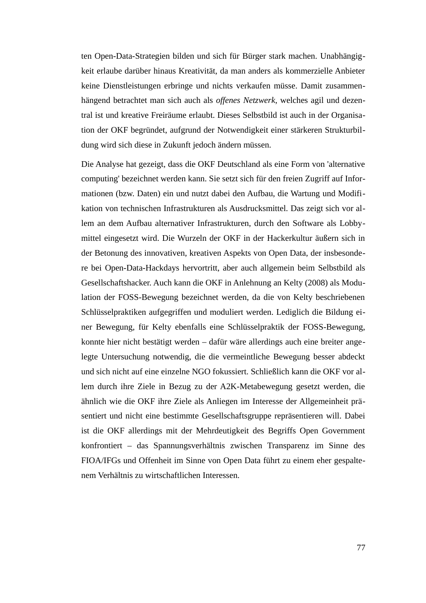ten Open-Data-Strategien bilden und sich für Bürger stark machen. Unabhängigkeit erlaube darüber hinaus Kreativität, da man anders als kommerzielle Anbieter keine Dienstleistungen erbringe und nichts verkaufen müsse. Damit zusammenhängend betrachtet man sich auch als *offenes Netzwerk*, welches agil und dezentral ist und kreative Freiräume erlaubt. Dieses Selbstbild ist auch in der Organisation der OKF begründet, aufgrund der Notwendigkeit einer stärkeren Strukturbildung wird sich diese in Zukunft jedoch ändern müssen.

Die Analyse hat gezeigt, dass die OKF Deutschland als eine Form von 'alternative computing' bezeichnet werden kann. Sie setzt sich für den freien Zugriff auf Informationen (bzw. Daten) ein und nutzt dabei den Aufbau, die Wartung und Modifikation von technischen Infrastrukturen als Ausdrucksmittel. Das zeigt sich vor allem an dem Aufbau alternativer Infrastrukturen, durch den Software als Lobbymittel eingesetzt wird. Die Wurzeln der OKF in der Hackerkultur äußern sich in der Betonung des innovativen, kreativen Aspekts von Open Data, der insbesondere bei Open-Data-Hackdays hervortritt, aber auch allgemein beim Selbstbild als Gesellschaftshacker. Auch kann die OKF in Anlehnung an Kelty (2008) als Modulation der FOSS-Bewegung bezeichnet werden, da die von Kelty beschriebenen Schlüsselpraktiken aufgegriffen und moduliert werden. Lediglich die Bildung einer Bewegung, für Kelty ebenfalls eine Schlüsselpraktik der FOSS-Bewegung, konnte hier nicht bestätigt werden – dafür wäre allerdings auch eine breiter angelegte Untersuchung notwendig, die die vermeintliche Bewegung besser abdeckt und sich nicht auf eine einzelne NGO fokussiert. Schließlich kann die OKF vor allem durch ihre Ziele in Bezug zu der A2K-Metabewegung gesetzt werden, die ähnlich wie die OKF ihre Ziele als Anliegen im Interesse der Allgemeinheit präsentiert und nicht eine bestimmte Gesellschaftsgruppe repräsentieren will. Dabei ist die OKF allerdings mit der Mehrdeutigkeit des Begriffs Open Government konfrontiert – das Spannungsverhältnis zwischen Transparenz im Sinne des FIOA/IFGs und Offenheit im Sinne von Open Data führt zu einem eher gespaltenem Verhältnis zu wirtschaftlichen Interessen.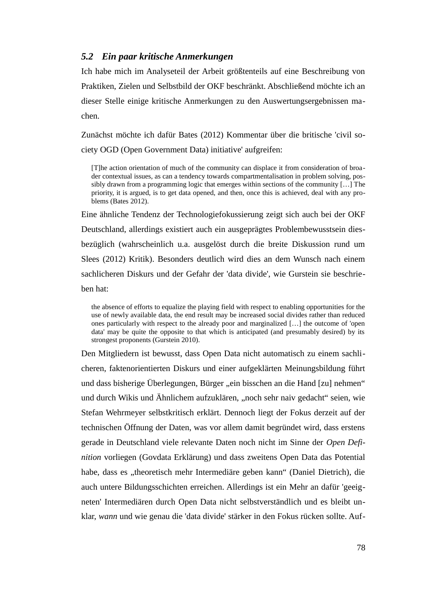### *5.2 Ein paar kritische Anmerkungen*

Ich habe mich im Analyseteil der Arbeit größtenteils auf eine Beschreibung von Praktiken, Zielen und Selbstbild der OKF beschränkt. Abschließend möchte ich an dieser Stelle einige kritische Anmerkungen zu den Auswertungsergebnissen machen.

Zunächst möchte ich dafür Bates (2012) Kommentar über die britische 'civil society OGD (Open Government Data) initiative' aufgreifen:

[T]he action orientation of much of the community can displace it from consideration of broader contextual issues, as can a tendency towards compartmentalisation in problem solving, possibly drawn from a programming logic that emerges within sections of the community […] The priority, it is argued, is to get data opened, and then, once this is achieved, deal with any problems (Bates 2012).

Eine ähnliche Tendenz der Technologiefokussierung zeigt sich auch bei der OKF Deutschland, allerdings existiert auch ein ausgeprägtes Problembewusstsein diesbezüglich (wahrscheinlich u.a. ausgelöst durch die breite Diskussion rund um Slees (2012) Kritik). Besonders deutlich wird dies an dem Wunsch nach einem sachlicheren Diskurs und der Gefahr der 'data divide', wie Gurstein sie beschrieben hat:

the absence of efforts to equalize the playing field with respect to enabling opportunities for the use of newly available data, the end result may be increased social divides rather than reduced ones particularly with respect to the already poor and marginalized […] the outcome of 'open data' may be quite the opposite to that which is anticipated (and presumably desired) by its strongest proponents (Gurstein 2010).

Den Mitgliedern ist bewusst, dass Open Data nicht automatisch zu einem sachlicheren, faktenorientierten Diskurs und einer aufgeklärten Meinungsbildung führt und dass bisherige Überlegungen, Bürger "ein bisschen an die Hand [zu] nehmen" und durch Wikis und Ähnlichem aufzuklären, "noch sehr naiv gedacht" seien, wie Stefan Wehrmeyer selbstkritisch erklärt. Dennoch liegt der Fokus derzeit auf der technischen Öffnung der Daten, was vor allem damit begründet wird, dass erstens gerade in Deutschland viele relevante Daten noch nicht im Sinne der *Open Definition* vorliegen (Govdata Erklärung) und dass zweitens Open Data das Potential habe, dass es "theoretisch mehr Intermediäre geben kann" (Daniel Dietrich), die auch untere Bildungsschichten erreichen. Allerdings ist ein Mehr an dafür 'geeigneten' Intermediären durch Open Data nicht selbstverständlich und es bleibt unklar, *wann* und wie genau die 'data divide' stärker in den Fokus rücken sollte. Auf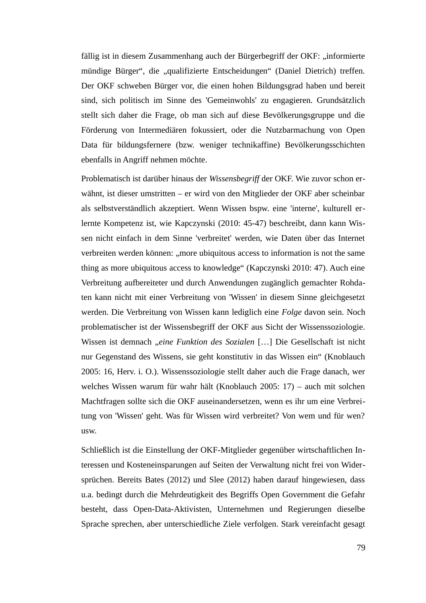fällig ist in diesem Zusammenhang auch der Bürgerbegriff der OKF: "informierte mündige Bürger", die "qualifizierte Entscheidungen" (Daniel Dietrich) treffen. Der OKF schweben Bürger vor, die einen hohen Bildungsgrad haben und bereit sind, sich politisch im Sinne des 'Gemeinwohls' zu engagieren. Grundsätzlich stellt sich daher die Frage, ob man sich auf diese Bevölkerungsgruppe und die Förderung von Intermediären fokussiert, oder die Nutzbarmachung von Open Data für bildungsfernere (bzw. weniger technikaffine) Bevölkerungsschichten ebenfalls in Angriff nehmen möchte.

Problematisch ist darüber hinaus der *Wissensbegriff* der OKF. Wie zuvor schon erwähnt, ist dieser umstritten – er wird von den Mitglieder der OKF aber scheinbar als selbstverständlich akzeptiert. Wenn Wissen bspw. eine 'interne', kulturell erlernte Kompetenz ist, wie Kapczynski (2010: 45-47) beschreibt, dann kann Wissen nicht einfach in dem Sinne 'verbreitet' werden, wie Daten über das Internet verbreiten werden können: "more ubiquitous access to information is not the same thing as more ubiquitous access to knowledge" (Kapczynski 2010: 47). Auch eine Verbreitung aufbereiteter und durch Anwendungen zugänglich gemachter Rohdaten kann nicht mit einer Verbreitung von 'Wissen' in diesem Sinne gleichgesetzt werden. Die Verbreitung von Wissen kann lediglich eine *Folge* davon sein. Noch problematischer ist der Wissensbegriff der OKF aus Sicht der Wissenssoziologie. Wissen ist demnach "*eine Funktion des Sozialen* […] Die Gesellschaft ist nicht nur Gegenstand des Wissens, sie geht konstitutiv in das Wissen ein" (Knoblauch 2005: 16, Herv. i. O.). Wissenssoziologie stellt daher auch die Frage danach, wer welches Wissen warum für wahr hält (Knoblauch 2005: 17) – auch mit solchen Machtfragen sollte sich die OKF auseinandersetzen, wenn es ihr um eine Verbreitung von 'Wissen' geht. Was für Wissen wird verbreitet? Von wem und für wen? usw.

Schließlich ist die Einstellung der OKF-Mitglieder gegenüber wirtschaftlichen Interessen und Kosteneinsparungen auf Seiten der Verwaltung nicht frei von Widersprüchen. Bereits Bates (2012) und Slee (2012) haben darauf hingewiesen, dass u.a. bedingt durch die Mehrdeutigkeit des Begriffs Open Government die Gefahr besteht, dass Open-Data-Aktivisten, Unternehmen und Regierungen dieselbe Sprache sprechen, aber unterschiedliche Ziele verfolgen. Stark vereinfacht gesagt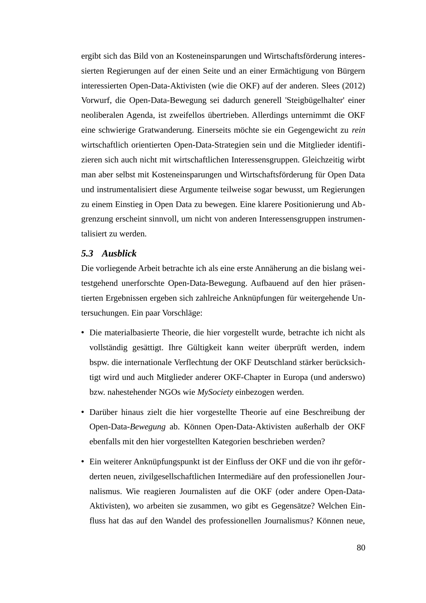ergibt sich das Bild von an Kosteneinsparungen und Wirtschaftsförderung interessierten Regierungen auf der einen Seite und an einer Ermächtigung von Bürgern interessierten Open-Data-Aktivisten (wie die OKF) auf der anderen. Slees (2012) Vorwurf, die Open-Data-Bewegung sei dadurch generell 'Steigbügelhalter' einer neoliberalen Agenda, ist zweifellos übertrieben. Allerdings unternimmt die OKF eine schwierige Gratwanderung. Einerseits möchte sie ein Gegengewicht zu *rein* wirtschaftlich orientierten Open-Data-Strategien sein und die Mitglieder identifizieren sich auch nicht mit wirtschaftlichen Interessensgruppen. Gleichzeitig wirbt man aber selbst mit Kosteneinsparungen und Wirtschaftsförderung für Open Data und instrumentalisiert diese Argumente teilweise sogar bewusst, um Regierungen zu einem Einstieg in Open Data zu bewegen. Eine klarere Positionierung und Abgrenzung erscheint sinnvoll, um nicht von anderen Interessensgruppen instrumentalisiert zu werden.

#### *5.3 Ausblick*

Die vorliegende Arbeit betrachte ich als eine erste Annäherung an die bislang weitestgehend unerforschte Open-Data-Bewegung. Aufbauend auf den hier präsentierten Ergebnissen ergeben sich zahlreiche Anknüpfungen für weitergehende Untersuchungen. Ein paar Vorschläge:

- Die materialbasierte Theorie, die hier vorgestellt wurde, betrachte ich nicht als vollständig gesättigt. Ihre Gültigkeit kann weiter überprüft werden, indem bspw. die internationale Verflechtung der OKF Deutschland stärker berücksichtigt wird und auch Mitglieder anderer OKF-Chapter in Europa (und anderswo) bzw. nahestehender NGOs wie *MySociety* einbezogen werden.
- Darüber hinaus zielt die hier vorgestellte Theorie auf eine Beschreibung der Open-Data-*Bewegung* ab. Können Open-Data-Aktivisten außerhalb der OKF ebenfalls mit den hier vorgestellten Kategorien beschrieben werden?
- Ein weiterer Anknüpfungspunkt ist der Einfluss der OKF und die von ihr geförderten neuen, zivilgesellschaftlichen Intermediäre auf den professionellen Journalismus. Wie reagieren Journalisten auf die OKF (oder andere Open-Data-Aktivisten), wo arbeiten sie zusammen, wo gibt es Gegensätze? Welchen Einfluss hat das auf den Wandel des professionellen Journalismus? Können neue,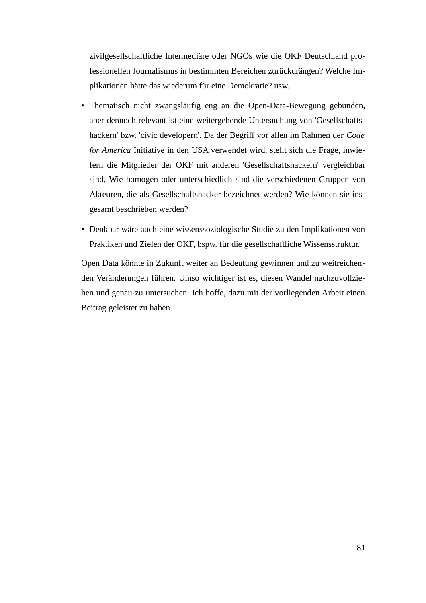zivilgesellschaftliche Intermediäre oder NGOs wie die OKF Deutschland professionellen Journalismus in bestimmten Bereichen zurückdrängen? Welche Implikationen hätte das wiederum für eine Demokratie? usw.

- Thematisch nicht zwangsläufig eng an die Open-Data-Bewegung gebunden, aber dennoch relevant ist eine weitergehende Untersuchung von 'Gesellschaftshackern' bzw. 'civic developern'. Da der Begriff vor allen im Rahmen der *Code for America* Initiative in den USA verwendet wird, stellt sich die Frage, inwiefern die Mitglieder der OKF mit anderen 'Gesellschaftshackern' vergleichbar sind. Wie homogen oder unterschiedlich sind die verschiedenen Gruppen von Akteuren, die als Gesellschaftshacker bezeichnet werden? Wie können sie insgesamt beschrieben werden?
- Denkbar wäre auch eine wissenssoziologische Studie zu den Implikationen von Praktiken und Zielen der OKF, bspw. für die gesellschaftliche Wissensstruktur.

Open Data könnte in Zukunft weiter an Bedeutung gewinnen und zu weitreichenden Veränderungen führen. Umso wichtiger ist es, diesen Wandel nachzuvollziehen und genau zu untersuchen. Ich hoffe, dazu mit der vorliegenden Arbeit einen Beitrag geleistet zu haben.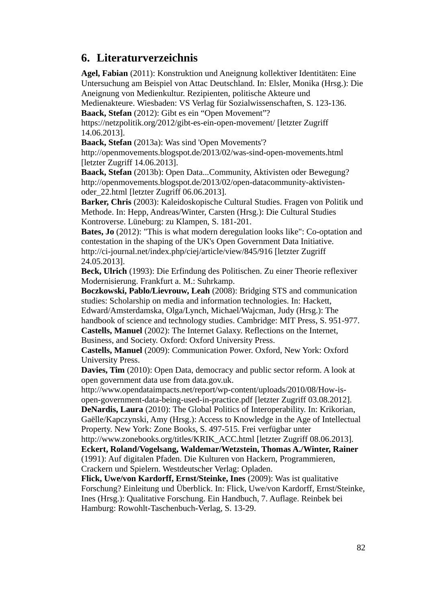# **6. Literaturverzeichnis**

**Agel, Fabian** (2011): Konstruktion und Aneignung kollektiver Identitäten: Eine Untersuchung am Beispiel von Attac Deutschland. In: Elsler, Monika (Hrsg.): Die Aneignung von Medienkultur. Rezipienten, politische Akteure und Medienakteure. Wiesbaden: VS Verlag für Sozialwissenschaften, S. 123-136.

**Baack, Stefan** (2012): Gibt es ein "Open Movement"?

<https://netzpolitik.org/2012/gibt-es-ein-open-movement/>[letzter Zugriff 14.06.2013].

**Baack, Stefan** (2013a): Was sind 'Open Movements'?

<http://openmovements.blogspot.de/2013/02/was-sind-open-movements.html> [letzter Zugriff 14.06.2013].

**Baack, Stefan** (2013b): Open Data...Community, Aktivisten oder Bewegung? [http://openmovements.blogspot.de/2013/02/open-datacommunity-aktivisten](http://openmovements.blogspot.de/2013/02/open-datacommunity-aktivisten-oder_22.html)[oder\\_22.html](http://openmovements.blogspot.de/2013/02/open-datacommunity-aktivisten-oder_22.html) [letzter Zugriff 06.06.2013].

**Barker, Chris** (2003): Kaleidoskopische Cultural Studies. Fragen von Politik und Methode. In: Hepp, Andreas/Winter, Carsten (Hrsg.): Die Cultural Studies Kontroverse. Lüneburg: zu Klampen, S. 181-201.

**Bates, Jo** (2012): "This is what modern deregulation looks like": Co-optation and contestation in the shaping of the UK's Open Government Data Initiative. <http://ci-journal.net/index.php/ciej/article/view/845/916>[letzter Zugriff 24.05.2013].

**Beck, Ulrich** (1993): Die Erfindung des Politischen. Zu einer Theorie reflexiver Modernisierung. Frankfurt a. M.: Suhrkamp.

**Boczkowski, Pablo/Lievrouw, Leah** (2008): Bridging STS and communication studies: Scholarship on media and information technologies. In: Hackett, Edward/Amsterdamska, Olga/Lynch, Michael/Wajcman, Judy (Hrsg.): The handbook of science and technology studies. Cambridge: MIT Press, S. 951-977.

**Castells, Manuel** (2002): The Internet Galaxy. Reflections on the Internet, Business, and Society. Oxford: Oxford University Press.

**Castells, Manuel** (2009): Communication Power. Oxford, New York: Oxford University Press.

**Davies, Tim** (2010): Open Data, democracy and public sector reform. A look at open government data use from data.gov.uk.

[http://www.opendataimpacts.net/report/wp-content/uploads/2010/08/How-is](http://www.opendataimpacts.net/report/wp-content/uploads/2010/08/How-is-open-government-data-being-used-in-practice.pdf)[open-government-data-being-used-in-practice.pdf](http://www.opendataimpacts.net/report/wp-content/uploads/2010/08/How-is-open-government-data-being-used-in-practice.pdf) [letzter Zugriff 03.08.2012]. **DeNardis, Laura** (2010): The Global Politics of Interoperability. In: Krikorian, Gaëlle/Kapczynski, Amy (Hrsg.): Access to Knowledge in the Age of Intellectual Property. New York: Zone Books, S. 497-515. Frei verfügbar unter

[http://www.zonebooks.org/titles/KRIK\\_ACC.html](http://www.zonebooks.org/titles/KRIK_ACC.html) [letzter Zugriff 08.06.2013]. **Eckert, Roland/Vogelsang, Waldemar/Wetzstein, Thomas A./Winter, Rainer** (1991): Auf digitalen Pfaden. Die Kulturen von Hackern, Programmieren, Crackern und Spielern. Westdeutscher Verlag: Opladen.

**Flick, Uwe/von Kardorff, Ernst/Steinke, Ines** (2009): Was ist qualitative Forschung? Einleitung und Überblick. In: Flick, Uwe/von Kardorff, Ernst/Steinke, Ines (Hrsg.): Qualitative Forschung. Ein Handbuch, 7. Auflage. Reinbek bei Hamburg: Rowohlt-Taschenbuch-Verlag, S. 13-29.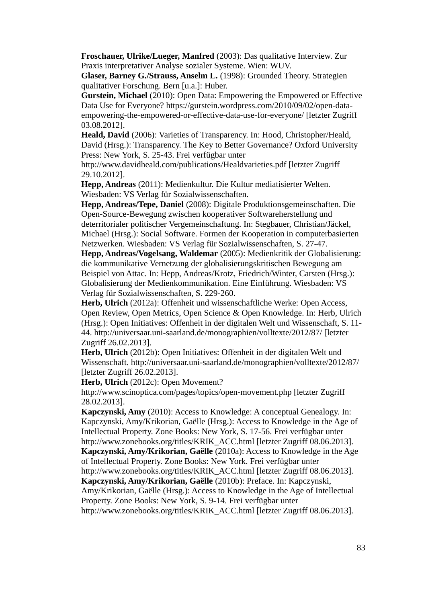**Froschauer, Ulrike/Lueger, Manfred** (2003): Das qualitative Interview. Zur Praxis interpretativer Analyse sozialer Systeme. Wien: WUV.

**Glaser, Barney G./Strauss, Anselm L.** (1998): Grounded Theory. Strategien qualitativer Forschung. Bern [u.a.]: Huber.

**Gurstein, Michael** (2010): Open Data: Empowering the Empowered or Effective Data Use for Everyone? https://gurstein.wordpress.com/2010/09/02/open-dataempowering-the-empowered-or-effective-data-use-for-everyone/ [letzter Zugriff 03.08.2012].

**Heald, David** (2006): Varieties of Transparency. In: Hood, Christopher/Heald, David (Hrsg.): Transparency. The Key to Better Governance? Oxford University Press: New York, S. 25-43. Frei verfügbar unter

http://www.davidheald.com/publications/Healdvarieties.pdf [letzter Zugriff 29.10.2012].

**Hepp, Andreas** (2011): Medienkultur. Die Kultur mediatisierter Welten. Wiesbaden: VS Verlag für Sozialwissenschaften.

**Hepp, Andreas/Tepe, Daniel** (2008): Digitale Produktionsgemeinschaften. Die Open-Source-Bewegung zwischen kooperativer Softwareherstellung und deterritorialer politischer Vergemeinschaftung. In: Stegbauer, Christian/Jäckel, Michael (Hrsg.): Social Software. Formen der Kooperation in computerbasierten Netzwerken. Wiesbaden: VS Verlag für Sozialwissenschaften, S. 27-47.

**Hepp, Andreas/Vogelsang, Waldemar** (2005): Medienkritik der Globalisierung: die kommunikative Vernetzung der globalisierungskritischen Bewegung am Beispiel von Attac. In: Hepp, Andreas/Krotz, Friedrich/Winter, Carsten (Hrsg.): Globalisierung der Medienkommunikation. Eine Einführung. Wiesbaden: VS Verlag für Sozialwissenschaften, S. 229-260.

**Herb, Ulrich** (2012a): Offenheit und wissenschaftliche Werke: Open Access, Open Review, Open Metrics, Open Science & Open Knowledge. In: Herb, Ulrich (Hrsg.): Open Initiatives: Offenheit in der digitalen Welt und Wissenschaft, S. 11- 44. http://universaar.uni-saarland.de/monographien/volltexte/2012/87/ [letzter Zugriff 26.02.2013].

**Herb, Ulrich** (2012b): Open Initiatives: Offenheit in der digitalen Welt und Wissenschaft. http://universaar.uni-saarland.de/monographien/volltexte/2012/87/ [letzter Zugriff 26.02.2013].

**Herb, Ulrich** (2012c): Open Movement?

http://www.scinoptica.com/pages/topics/open-movement.php [letzter Zugriff 28.02.2013].

**Kapczynski, Amy** (2010): Access to Knowledge: A conceptual Genealogy. In: Kapczynski, Amy/Krikorian, Gaëlle (Hrsg.): Access to Knowledge in the Age of Intellectual Property. Zone Books: New York, S. 17-56. Frei verfügbar unter http://www.zonebooks.org/titles/KRIK\_ACC.html [letzter Zugriff 08.06.2013].

**Kapczynski, Amy/Krikorian, Gaëlle** (2010a): Access to Knowledge in the Age of Intellectual Property. Zone Books: New York. Frei verfügbar unter

http://www.zonebooks.org/titles/KRIK\_ACC.html [letzter Zugriff 08.06.2013]. **Kapczynski, Amy/Krikorian, Gaëlle** (2010b): Preface. In: Kapczynski,

Amy/Krikorian, Gaëlle (Hrsg.): Access to Knowledge in the Age of Intellectual Property. Zone Books: New York, S. 9-14. Frei verfügbar unter

http://www.zonebooks.org/titles/KRIK\_ACC.html [letzter Zugriff 08.06.2013].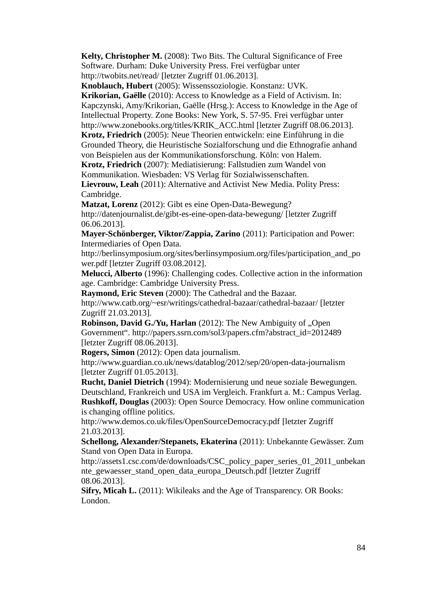**Kelty, Christopher M.** (2008): Two Bits. The Cultural Significance of Free Software. Durham: Duke University Press. Frei verfügbar unter http://twobits.net/read/ [letzter Zugriff 01.06.2013].

**Knoblauch, Hubert** (2005): Wissenssoziologie. Konstanz: UVK. **Krikorian, Gaëlle** (2010): Access to Knowledge as a Field of Activism. In: Kapczynski, Amy/Krikorian, Gaëlle (Hrsg.): Access to Knowledge in the Age of Intellectual Property. Zone Books: New York, S. 57-95. Frei verfügbar unter http://www.zonebooks.org/titles/KRIK\_ACC.html [letzter Zugriff 08.06.2013].

**Krotz, Friedrich** (2005): Neue Theorien entwickeln: eine Einführung in die Grounded Theory, die Heuristische Sozialforschung und die Ethnografie anhand von Beispielen aus der Kommunikationsforschung. Köln: von Halem.

**Krotz, Friedrich** (2007): Mediatisierung: Fallstudien zum Wandel von Kommunikation. Wiesbaden: VS Verlag für Sozialwissenschaften.

**Lievrouw, Leah** (2011): Alternative and Activist New Media. Polity Press: Cambridge.

**Matzat, Lorenz** (2012): Gibt es eine Open-Data-Bewegung? <http://datenjournalist.de/gibt-es-eine-open-data-bewegung/> [letzter Zugriff 06.06.2013].

**Mayer-Schönberger, Viktor/Zappia, Zarino** (2011): Participation and Power: Intermediaries of Open Data.

http://berlinsymposium.org/sites/berlinsymposium.org/files/participation\_and\_po wer.pdf [letzter Zugriff 03.08.2012].

**Melucci, Alberto** (1996): Challenging codes. Collective action in the information age. Cambridge: Cambridge University Press.

**Raymond, Eric Steven** (2000): The Cathedral and the Bazaar. <http://www.catb.org/~esr/writings/cathedral-bazaar/cathedral-bazaar/>[letzter Zugriff 21.03.2013].

**Robinson, David G./Yu, Harlan** (2012): The New Ambiguity of "Open Government". http://papers.ssrn.com/sol3/papers.cfm?abstract\_id=2012489 [letzter Zugriff 08.06.2013].

**Rogers, Simon** (2012): Open data journalism.

<http://www.guardian.co.uk/news/datablog/2012/sep/20/open-data-journalism> [letzter Zugriff 01.05.2013].

**Rucht, Daniel Dietrich** (1994): Modernisierung und neue soziale Bewegungen. Deutschland, Frankreich und USA im Vergleich. Frankfurt a. M.: Campus Verlag. **Rushkoff, Douglas** (2003): Open Source Democracy. How online communication is changing offline politics.

<http://www.demos.co.uk/files/OpenSourceDemocracy.pdf>[letzter Zugriff 21.03.2013].

**Schellong, Alexander/Stepanets, Ekaterina** (2011): Unbekannte Gewässer. Zum Stand von Open Data in Europa.

[http://assets1.csc.com/de/downloads/CSC\\_policy\\_paper\\_series\\_01\\_2011\\_unbekan](http://assets1.csc.com/de/downloads/CSC_policy_paper_series_01_2011_unbekannte_gewaesser_stand_open_data_europa_Deutsch.pdf) [nte\\_gewaesser\\_stand\\_open\\_data\\_europa\\_Deutsch.pdf](http://assets1.csc.com/de/downloads/CSC_policy_paper_series_01_2011_unbekannte_gewaesser_stand_open_data_europa_Deutsch.pdf) [letzter Zugriff 08.06.2013].

**Sifry, Micah L.** (2011): Wikileaks and the Age of Transparency. OR Books: London.